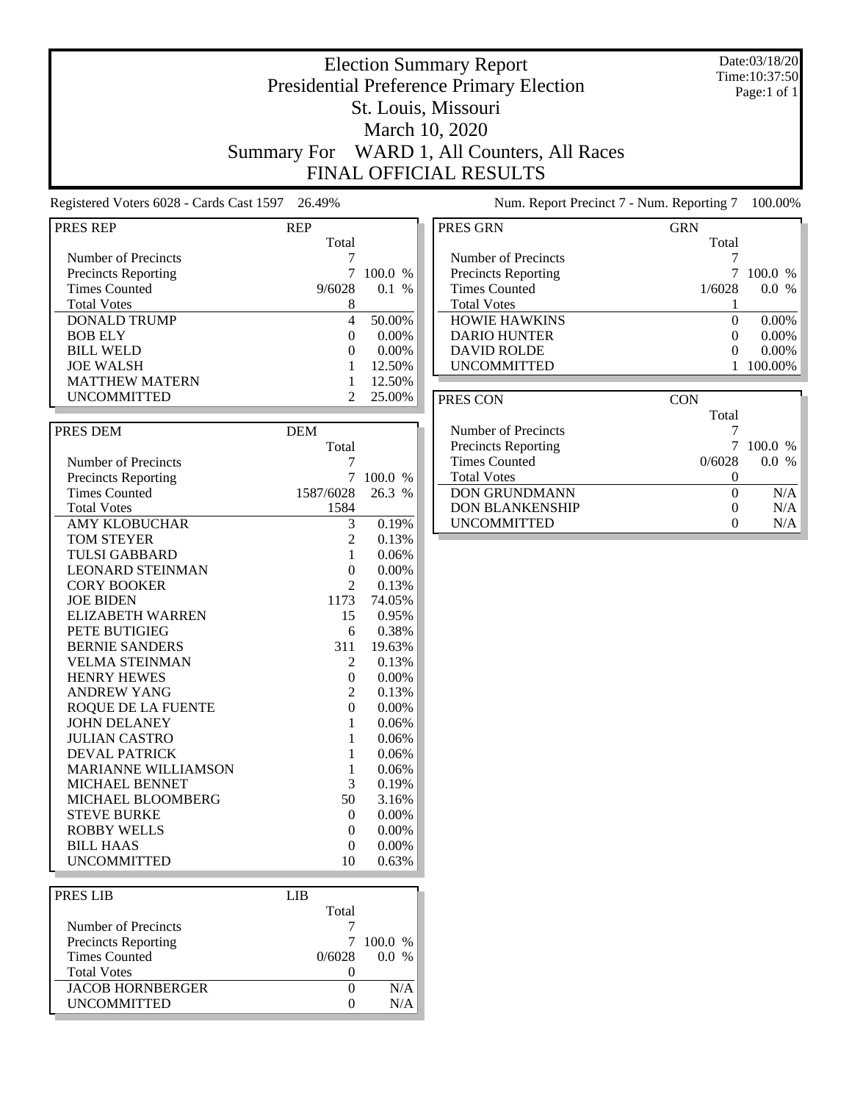## Election Summary Report Presidential Preference Primary Election St. Louis, Missouri March 10, 2020 Summary For WARD 1, All Counters, All Races FINAL OFFICIAL RESULTS

Date:03/18/20 Time:10:37:50 Page:1 of 1

Registered Voters 6028 - Cards Cast 1597 26.49% Num. Report Precinct 7 - Num. Reporting 7 100.00%

| <b>PRES REP</b>            | <b>REP</b>       |          |
|----------------------------|------------------|----------|
|                            | Total            |          |
| Number of Precincts        | 7                |          |
| <b>Precincts Reporting</b> | 7                | 100.0 %  |
| <b>Times Counted</b>       | 9/6028           | 0.1 %    |
| <b>Total Votes</b>         | 8                |          |
| <b>DONALD TRUMP</b>        | $\overline{4}$   | 50.00%   |
| <b>BOB ELY</b>             | $\overline{0}$   | 0.00%    |
| <b>BILL WELD</b>           | $\overline{0}$   | 0.00%    |
| <b>JOE WALSH</b>           | $\mathbf{1}$     | 12.50%   |
| <b>MATTHEW MATERN</b>      | $\mathbf{1}$     | 12.50%   |
| <b>UNCOMMITTED</b>         | $\overline{2}$   | 25.00%   |
|                            |                  |          |
|                            |                  |          |
| PRES DEM                   | <b>DEM</b>       |          |
|                            | Total            |          |
| Number of Precincts        | 7                |          |
| <b>Precincts Reporting</b> | 7                | 100.0 %  |
| <b>Times Counted</b>       | 1587/6028        | 26.3 %   |
| <b>Total Votes</b>         | 1584             |          |
| <b>AMY KLOBUCHAR</b>       | 3                | 0.19%    |
| <b>TOM STEYER</b>          | $\overline{c}$   | 0.13%    |
| <b>TULSI GABBARD</b>       | 1                | 0.06%    |
| <b>LEONARD STEINMAN</b>    | $\overline{0}$   | 0.00%    |
| <b>CORY BOOKER</b>         | $\overline{2}$   | 0.13%    |
| <b>JOE BIDEN</b>           | 1173             | 74.05%   |
| <b>ELIZABETH WARREN</b>    | 15               | 0.95%    |
| PETE BUTIGIEG              | 6                | 0.38%    |
| <b>BERNIE SANDERS</b>      | 311              | 19.63%   |
| <b>VELMA STEINMAN</b>      | 2                | 0.13%    |
| <b>HENRY HEWES</b>         | $\overline{0}$   | 0.00%    |
| <b>ANDREW YANG</b>         | $\mathbf{2}$     | 0.13%    |
| <b>ROQUE DE LA FUENTE</b>  | $\boldsymbol{0}$ | $0.00\%$ |
| <b>JOHN DELANEY</b>        | $\mathbf{1}$     | 0.06%    |
| <b>JULIAN CASTRO</b>       | 1                | 0.06%    |
| <b>DEVAL PATRICK</b>       | $\mathbf{1}$     | 0.06%    |
| <b>MARIANNE WILLIAMSON</b> | $\mathbf{1}$     | 0.06%    |
| MICHAEL BENNET             | 3                | 0.19%    |
| MICHAEL BLOOMBERG          | 50               | 3.16%    |
| <b>STEVE BURKE</b>         | 0                | 0.00%    |
| <b>ROBBY WELLS</b>         | $\overline{0}$   | 0.00%    |
| BILL HAAS                  | $\bf{0}$         | $0.00\%$ |
| <b>UNCOMMITTED</b>         | 10               | 0.63%    |
|                            |                  |          |
| PRES LIB                   | <b>LIB</b>       |          |
|                            | Total            |          |
| Number of Precincts        | 7                |          |
|                            | 7                |          |
| <b>Precincts Reporting</b> |                  | 100.0 %  |
| <b>Times Counted</b>       | 0/6028           | 0.0 %    |

Total Votes 0

**UNCOMMITTED** 

**JACOB HORNBERGER** 0 N/A<br>
UNCOMMITTED 0 N/A

| PRES GRN                   | GRN    |           |
|----------------------------|--------|-----------|
|                            | Total  |           |
| Number of Precincts        |        |           |
| <b>Precincts Reporting</b> |        | $100.0\%$ |
| <b>Times Counted</b>       | 1/6028 | 0.0       |
| <b>Total Votes</b>         |        |           |
| <b>HOWIE HAWKINS</b>       |        | 0.00%     |
| <b>DARIO HUNTER</b>        |        | 0.00%     |
| <b>DAVID ROLDE</b>         |        | $0.00\%$  |
| <b>UNCOMMITTED</b>         |        |           |

| PRES CON                   | CON    |             |
|----------------------------|--------|-------------|
|                            | Total  |             |
| Number of Precincts        |        |             |
| <b>Precincts Reporting</b> |        | $100.0\%$   |
| Times Counted              | 0/6028 | $\%$<br>0.0 |
| <b>Total Votes</b>         |        |             |
| <b>DON GRUNDMANN</b>       |        | N/A         |
| <b>DON BLANKENSHIP</b>     |        | N/A         |
| <b>UNCOMMITTED</b>         |        | N/A         |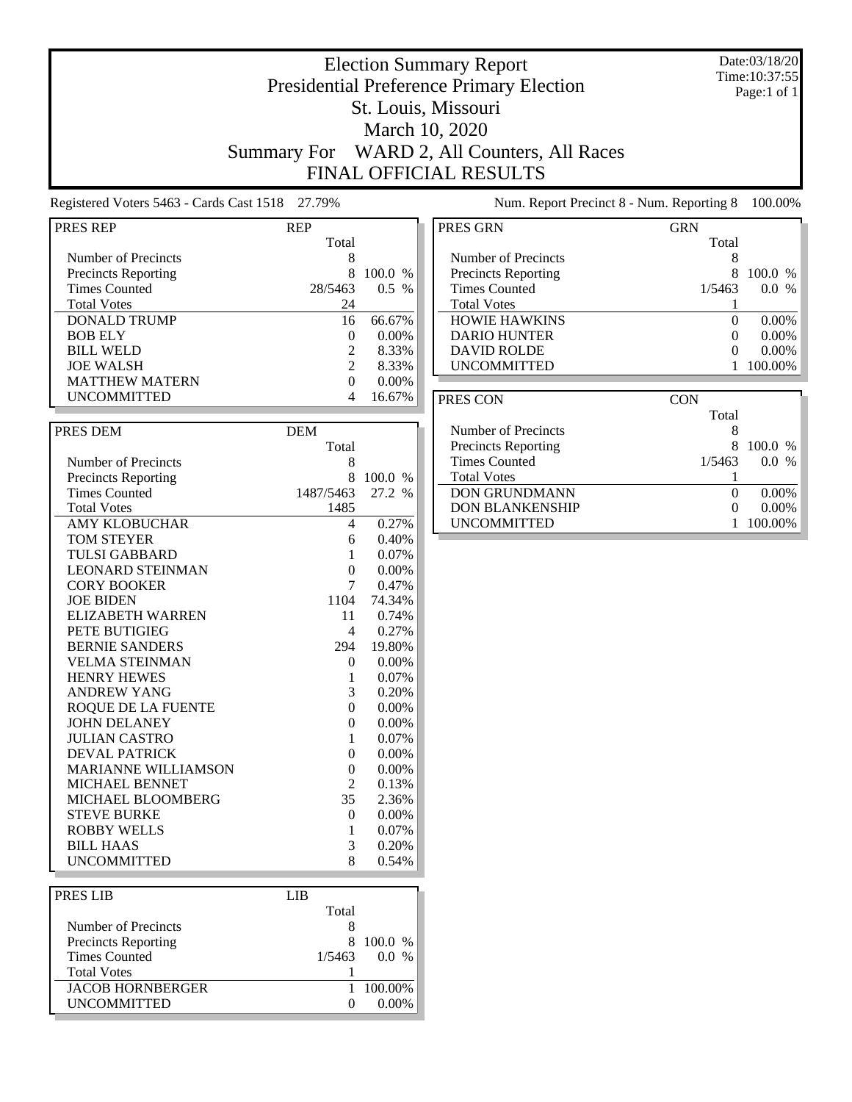### Date:03/18/20 Time:10:37:55 Page:1 of 1

## Presidential Preference Primary Election St. Louis, Missouri March 10, 2020 Summary For WARD 2, All Counters, All Races FINAL OFFICIAL RESULTS

Election Summary Report

Registered Voters 5463 - Cards Cast 1518 27.79% Num. Report Precinct 8 - Num. Reporting 8 100.00%

| <b>PRES REP</b>            | <b>REP</b>     |                |
|----------------------------|----------------|----------------|
|                            | Total          |                |
| Number of Precincts        | 8              |                |
| <b>Precincts Reporting</b> | 8              | 100.0 %        |
| <b>Times Counted</b>       | 28/5463        | $0.5\%$        |
| <b>Total Votes</b>         | 24             |                |
| <b>DONALD TRUMP</b>        | 16             | 66.67%         |
| <b>BOB ELY</b>             | 0              | 0.00%          |
| <b>BILL WELD</b>           | $\mathbf{2}$   | 8.33%          |
| <b>JOE WALSH</b>           | $\overline{2}$ | 8.33%          |
| <b>MATTHEW MATERN</b>      | $\Omega$       | $0.00\%$       |
| UNCOMMITTED                | 4              | 16.67%         |
|                            |                |                |
| PRES DEM                   | <b>DEM</b>     |                |
|                            | Total          |                |
| Number of Precincts        | 8              |                |
| <b>Precincts Reporting</b> | 8              | 100.0 %        |
| <b>Times Counted</b>       | 1487/5463      | 27.2 %         |
| <b>Total Votes</b>         | 1485           |                |
| <b>AMY KLOBUCHAR</b>       | 4              | 0.27%          |
| <b>TOM STEYER</b>          | 6              | 0.40%          |
| TULSI GABBARD              | 1              | 0.07%          |
| <b>LEONARD STEINMAN</b>    | $\overline{0}$ | 0.00%          |
| <b>CORY BOOKER</b>         | 7              | 0.47%          |
| <b>JOE BIDEN</b>           | 1104           | 74.34%         |
| <b>ELIZABETH WARREN</b>    |                |                |
|                            | 11             | 0.74%<br>0.27% |
| PETE BUTIGIEG              | 4              |                |
| <b>BERNIE SANDERS</b>      | 294            | 19.80%         |
| <b>VELMA STEINMAN</b>      | 0              | 0.00%          |
| <b>HENRY HEWES</b>         | 1              | 0.07%          |
| <b>ANDREW YANG</b>         | 3              | 0.20%          |
| <b>ROQUE DE LA FUENTE</b>  | 0              | $0.00\%$       |
| <b>JOHN DELANEY</b>        | $\overline{0}$ | 0.00%          |
| <b>JULIAN CASTRO</b>       | 1              | 0.07%          |
| <b>DEVAL PATRICK</b>       | $\overline{0}$ | $0.00\%$       |
| <b>MARIANNE WILLIAMSON</b> | $\overline{0}$ | 0.00%          |
| MICHAEL BENNET             | $\overline{c}$ | 0.13%          |
| MICHAEL BLOOMBERG          | 35             | 2.36%          |
| <b>STEVE BURKE</b>         | $\overline{0}$ | 0.00%          |
| <b>ROBBY WELLS</b>         | 1              | 0.07%          |
| <b>BILL HAAS</b>           | 3              | 0.20%          |
| <b>UNCOMMITTED</b>         | 8              | 0.54%          |
|                            |                |                |
| PRES LIB                   | LIB            |                |

| <b>PRES LIB</b>            | LIB    |          |
|----------------------------|--------|----------|
|                            | Total  |          |
| Number of Precincts        |        |          |
| <b>Precincts Reporting</b> |        | 100.0 %  |
| Times Counted              | 1/5463 | $0.0\%$  |
| <b>Total Votes</b>         |        |          |
| <b>JACOB HORNBERGER</b>    |        | 100.00%  |
| <b>UNCOMMITTED</b>         |        | $0.00\%$ |

| PRES GRN                   | GRN      |                      |
|----------------------------|----------|----------------------|
|                            | Total    |                      |
| Number of Precincts        | 8        |                      |
| <b>Precincts Reporting</b> | 8        | $100.0\%$            |
| <b>Times Counted</b>       | 1/5463   | $\frac{0}{0}$<br>0.0 |
| <b>Total Votes</b>         |          |                      |
| <b>HOWIE HAWKINS</b>       | $\Omega$ | $0.00\%$             |
| <b>DARIO HUNTER</b>        |          | $0.00\%$             |
| <b>DAVID ROLDE</b>         | $\Omega$ | $0.00\%$             |
| <b>UNCOMMITTED</b>         |          | 100.00%              |
|                            |          |                      |

| PRES CON                   | CON      |                     |
|----------------------------|----------|---------------------|
|                            | Total    |                     |
| Number of Precincts        | 8        |                     |
| <b>Precincts Reporting</b> | 8        | 100.0 %             |
| <b>Times Counted</b>       | 1/5463   | 00<br>$\frac{0}{0}$ |
| <b>Total Votes</b>         |          |                     |
| <b>DON GRUNDMANN</b>       | $\theta$ | $0.00\%$            |
| <b>DON BLANKENSHIP</b>     | $\Omega$ | $0.00\%$            |
| <b>UNCOMMITTED</b>         |          | 100.00%             |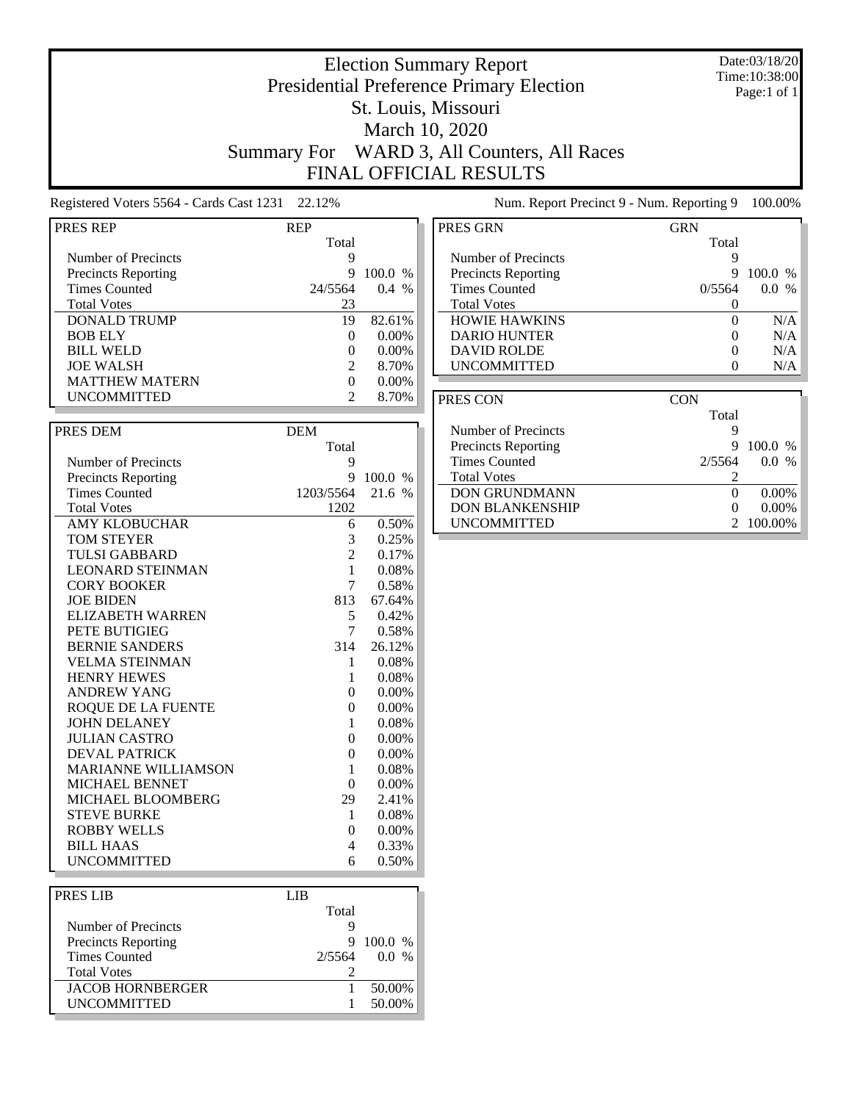### Date:03/18/20 Time:10:38:00 Page:1 of 1

## Presidential Preference Primary Election St. Louis, Missouri March 10, 2020 Summary For WARD 3, All Counters, All Races FINAL OFFICIAL RESULTS

Election Summary Report

Registered Voters 5564 - Cards Cast 1231 22.12% Num. Report Precinct 9 - Num. Reporting 9 100.00%

| <b>PRES REP</b>            | <b>REP</b>     |         |
|----------------------------|----------------|---------|
|                            | Total          |         |
| Number of Precincts        | 9              |         |
| <b>Precincts Reporting</b> | 9              | 100.0 % |
| <b>Times Counted</b>       | 24/5564        | 0.4%    |
| <b>Total Votes</b>         | 23             |         |
| <b>DONALD TRUMP</b>        | 19             | 82.61%  |
| <b>BOB ELY</b>             | 0              | 0.00%   |
| <b>BILL WELD</b>           | 0              | 0.00%   |
| <b>JOE WALSH</b>           | 2              | 8.70%   |
| <b>MATTHEW MATERN</b>      | 0              | 0.00%   |
| <b>UNCOMMITTED</b>         | 2              | 8.70%   |
|                            |                |         |
| PRES DEM                   | <b>DEM</b>     |         |
|                            | Total          |         |
| Number of Precincts        | 9              |         |
| <b>Precincts Reporting</b> | 9              | 100.0 % |
| <b>Times Counted</b>       | 1203/5564      | 21.6 %  |
| <b>Total Votes</b>         | 1202           |         |
| <b>AMY KLOBUCHAR</b>       | 6              | 0.50%   |
| <b>TOM STEYER</b>          | 3              | 0.25%   |
| <b>TULSI GABBARD</b>       | 2              | 0.17%   |
| <b>LEONARD STEINMAN</b>    | 1              | 0.08%   |
| <b>CORY BOOKER</b>         | 7              | 0.58%   |
| <b>JOE BIDEN</b>           | 813            | 67.64%  |
| <b>ELIZABETH WARREN</b>    | 5              | 0.42%   |
| <b>PETE BUTIGIEG</b>       | 7              | 0.58%   |
| <b>BERNIE SANDERS</b>      | 314            | 26.12%  |
| <b>VELMA STEINMAN</b>      | 1              | 0.08%   |
| <b>HENRY HEWES</b>         | 1              | 0.08%   |
| <b>ANDREW YANG</b>         | $\overline{0}$ | 0.00%   |
| <b>ROQUE DE LA FUENTE</b>  | $\overline{0}$ | 0.00%   |
| <b>JOHN DELANEY</b>        | 1              | 0.08%   |
| <b>JULIAN CASTRO</b>       | $\overline{0}$ | 0.00%   |
| <b>DEVAL PATRICK</b>       | $\overline{0}$ | 0.00%   |
| <b>MARIANNE WILLIAMSON</b> | 1              | 0.08%   |
| MICHAEL BENNET             | $\overline{0}$ | 0.00%   |
| MICHAEL BLOOMBERG          | 29             | 2.41%   |
| <b>STEVE BURKE</b>         | 1              | 0.08%   |
| <b>ROBBY WELLS</b>         | $\overline{0}$ | 0.00%   |
| <b>BILL HAAS</b>           | 4              | 0.33%   |
| <b>UNCOMMITTED</b>         | 6              | 0.50%   |
|                            |                |         |
| DDEC I ID                  | <b>T</b> TD    |         |

| LIB.   |         |           |
|--------|---------|-----------|
| Total  |         |           |
|        |         |           |
| 9      |         |           |
| 2/5564 | $0.0\%$ |           |
|        |         |           |
|        | 50.00%  |           |
|        | 50.00%  |           |
|        |         | $100.0\%$ |

| PRES GRN                   | <b>GRN</b>   |               |
|----------------------------|--------------|---------------|
|                            | Total        |               |
| Number of Precincts        | Ϋ            |               |
| <b>Precincts Reporting</b> | 9            | 100.0<br>$\%$ |
| <b>Times Counted</b>       | 0/5564       | $\%$<br>0.0   |
| <b>Total Votes</b>         |              |               |
| <b>HOWIE HAWKINS</b>       | $\Omega$     | N/A           |
| <b>DARIO HUNTER</b>        |              | N/A           |
| <b>DAVID ROLDE</b>         | $\mathbf{0}$ | N/A           |
| <b>UNCOMMITTED</b>         |              | N/A           |

| PRES CON                   | <b>CON</b> |             |
|----------------------------|------------|-------------|
|                            | Total      |             |
| Number of Precincts        |            |             |
| <b>Precincts Reporting</b> |            | $100.0\%$   |
| <b>Times Counted</b>       | 2/5564     | $\%$<br>0.0 |
| <b>Total Votes</b>         |            |             |
| <b>DON GRUNDMANN</b>       | $\Omega$   | $0.00\%$    |
| <b>DON BLANKENSHIP</b>     |            | $0.00\%$    |
| <b>UNCOMMITTED</b>         |            | 100.00%     |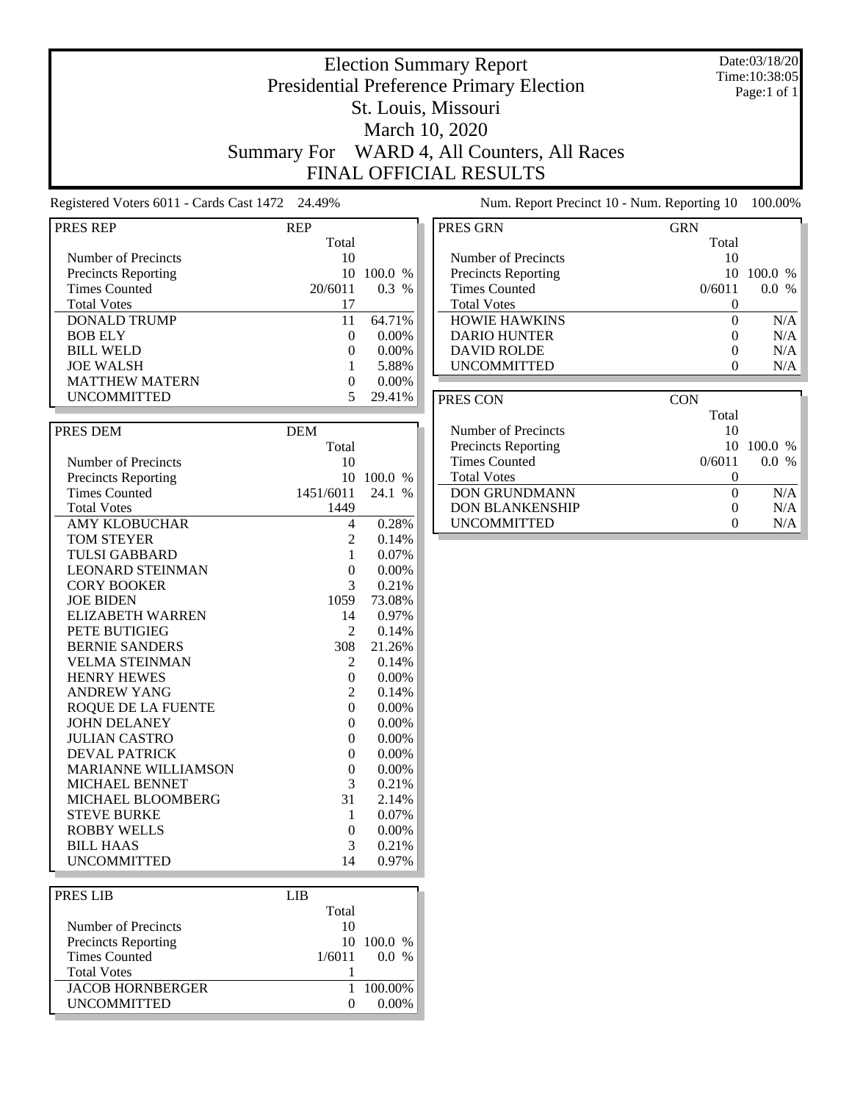## Election Summary Report Presidential Preference Primary Election St. Louis, Missouri March 10, 2020 Summary For WARD 4, All Counters, All Races FINAL OFFICIAL RESULTS

Date:03/18/20 Time:10:38:05 Page:1 of 1

Registered Voters 6011 - Cards Cast 1472 24.49% Num. Report Precinct 10 - Num. Reporting 10 100.00%

| PRES REP                   | <b>REP</b>     |                       |
|----------------------------|----------------|-----------------------|
|                            | Total          |                       |
| Number of Precincts        | 10             |                       |
|                            |                |                       |
| <b>Precincts Reporting</b> | 10             | 100.0 %               |
| <b>Times Counted</b>       | 20/6011        | $0.3\%$               |
| <b>Total Votes</b>         | 17             |                       |
| <b>DONALD TRUMP</b>        | 11             | 64.71%                |
| <b>BOB ELY</b>             | $\overline{0}$ | $0.00\%$              |
|                            |                |                       |
| <b>BILL WELD</b>           | $\overline{0}$ | 0.00%                 |
| <b>JOE WALSH</b>           | $\mathbf{1}$   | 5.88%                 |
| <b>MATTHEW MATERN</b>      | 0              | 0.00%                 |
| <b>UNCOMMITTED</b>         | 5              | 29.41%                |
|                            |                |                       |
|                            |                |                       |
| PRES DEM                   | <b>DEM</b>     |                       |
|                            | Total          |                       |
| Number of Precincts        | 10             |                       |
| <b>Precincts Reporting</b> |                | 10 100.0 %            |
| <b>Times Counted</b>       | 1451/6011      | 24.1<br>$\frac{0}{0}$ |
|                            | 1449           |                       |
| <b>Total Votes</b>         |                |                       |
| <b>AMY KLOBUCHAR</b>       | 4              | 0.28%                 |
| <b>TOM STEYER</b>          | 2              | 0.14%                 |
| <b>TULSI GABBARD</b>       | 1              | 0.07%                 |
| <b>LEONARD STEINMAN</b>    | $\overline{0}$ | 0.00%                 |
| <b>CORY BOOKER</b>         | 3              | 0.21%                 |
| <b>JOE BIDEN</b>           | 1059           |                       |
|                            |                | 73.08%                |
| <b>ELIZABETH WARREN</b>    | 14             | 0.97%                 |
| PETE BUTIGIEG              | 2              | 0.14%                 |
| <b>BERNIE SANDERS</b>      | 308            | 21.26%                |
| <b>VELMA STEINMAN</b>      | 2              | 0.14%                 |
| <b>HENRY HEWES</b>         | $\overline{0}$ | $0.00\%$              |
| <b>ANDREW YANG</b>         | $\overline{c}$ | 0.14%                 |
|                            |                |                       |
| ROQUE DE LA FUENTE         | $\overline{0}$ | $0.00\%$              |
| <b>JOHN DELANEY</b>        | $\overline{0}$ | $0.00\%$              |
| <b>JULIAN CASTRO</b>       | 0              | 0.00%                 |
| <b>DEVAL PATRICK</b>       | $\overline{0}$ | $0.00\%$              |
| <b>MARIANNE WILLIAMSON</b> | $\overline{0}$ | $0.00\%$              |
| <b>MICHAEL BENNET</b>      | 3              | 0.21%                 |
|                            |                |                       |
| MICHAEL BLOOMBERG          | 31             | 2.14%                 |
| <b>STEVE BURKE</b>         | 1              | $0.07\%$              |
| <b>ROBBY WELLS</b>         | $\theta$       | 0.00%                 |
| <b>BILL HAAS</b>           | 3              | 0.21%                 |
| <b>UNCOMMITTED</b>         | 14             | 0.97%                 |
|                            |                |                       |
|                            |                |                       |
| PRES LIB                   | <b>LIB</b>     |                       |
|                            | Total          |                       |
| Number of Precincts        | 10             |                       |
| <b>Precincts Reporting</b> | 10             | 100.0 %               |
|                            |                |                       |

Precincts Reporting 10 100.0 %<br>Times Counted 1/6011 0.0 %

 $\fbox{\parbox{1.5cm}l} \begin{tabular}{l} \multicolumn{2}{c}{{\text{\small I}}}\begin{tabular}{l} \multicolumn{2}{c}{{\text{\small I}}} & 100.00\% \\ \multicolumn{2}{c}{{\text{\small UN}}}\begin{tabular}{l}{{\text{\small I}}} & 100.00\% \\ \multicolumn{2}{c}{{\text{\small UN}}}\begin{tabular}{l}{{\text{\small I}}} & 100.00\% \\ \multicolumn{2}{c}{{\text{\small II}}} & 100.00\% \\ \multicolumn{2}{c}{{\text{\small II}}} & 100.00\% \\ \multicolumn{2}{c}$ 

Total Votes 1

Times Counted

| PRES GRN                   | GRN    |                        |
|----------------------------|--------|------------------------|
|                            | Total  |                        |
| Number of Precincts        | 10     |                        |
| <b>Precincts Reporting</b> | 10     | 100.0<br>$\frac{0}{0}$ |
| <b>Times Counted</b>       | 0/6011 | $\frac{0}{6}$<br>0.0   |
| <b>Total Votes</b>         |        |                        |
| <b>HOWIE HAWKINS</b>       |        | N/A                    |
| <b>DARIO HUNTER</b>        |        | N/A                    |
| <b>DAVID ROLDE</b>         |        | N/A                    |
| <b>UNCOMMITTED</b>         |        | N/A                    |

| PRES CON                   | CON    |           |
|----------------------------|--------|-----------|
|                            | Total  |           |
| Number of Precincts        | 10     |           |
| <b>Precincts Reporting</b> | 10     | $100.0\%$ |
| <b>Times Counted</b>       | 0/6011 | $\%$      |
| <b>Total Votes</b>         |        |           |
| <b>DON GRUNDMANN</b>       |        | N/A       |
| <b>DON BLANKENSHIP</b>     |        | N/A       |
| <b>UNCOMMITTED</b>         |        | N/A       |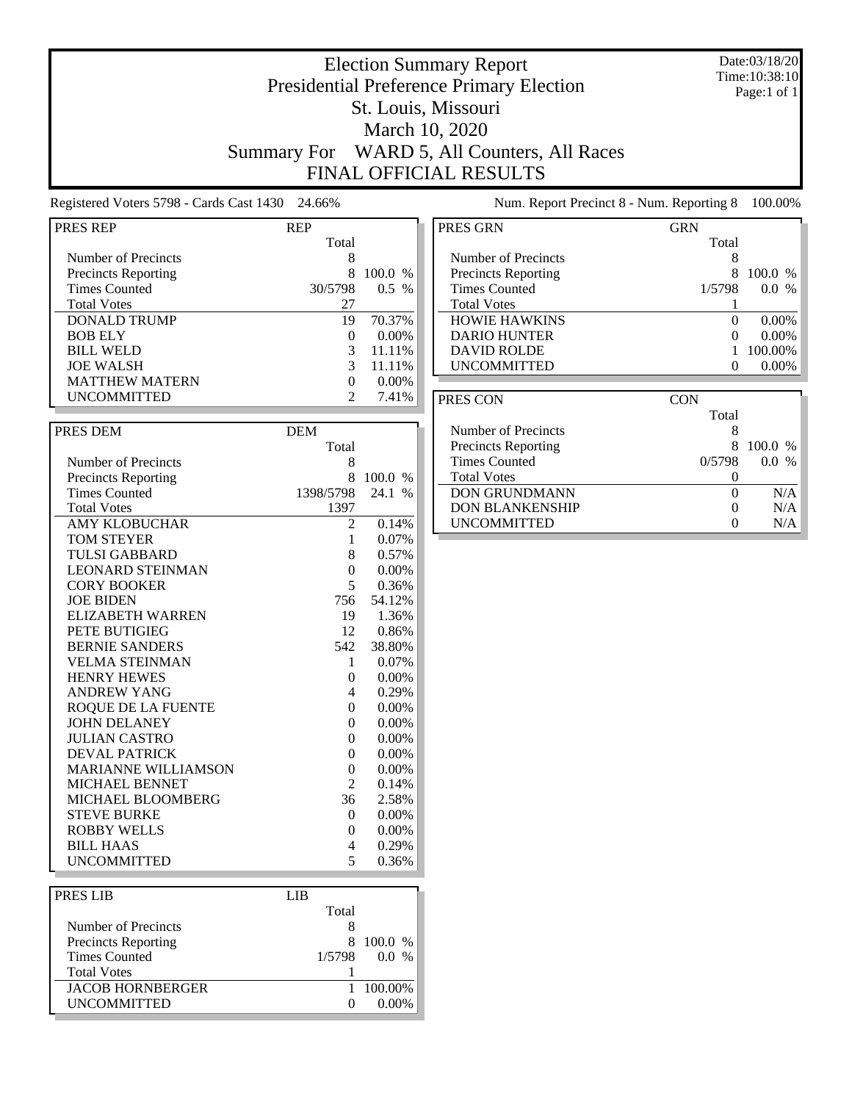Date:03/18/20 Time:10:38:10 Page:1 of 1

## Election Summary Report Presidential Preference Primary Election St. Louis, Missouri March 10, 2020 Summary For WARD 5, All Counters, All Races FINAL OFFICIAL RESULTS

Registered Voters 5798 - Cards Cast 1430 24.66% Num. Report Precinct 8 - Num. Reporting 8 100.00%

| <b>IPRES REP</b>    | RFP   |
|---------------------|-------|
|                     | Total |
| Number of Precincts |       |
|                     |       |

| <b>Precincts Reporting</b> |          | 100.0 %  |
|----------------------------|----------|----------|
| <b>Times Counted</b>       | 30/5798  | $0.5\%$  |
| <b>Total Votes</b>         | 27       |          |
| <b>DONALD TRUMP</b>        | 19       | 70.37%   |
| <b>BOB ELY</b>             | $\Omega$ | $0.00\%$ |
| <b>BILL WELD</b>           | 3        | 11.11%   |
| <b>JOE WALSH</b>           | 3        | 11.11%   |
| <b>MATTHEW MATERN</b>      | $\Omega$ | $0.00\%$ |
| <b>UNCOMMITTED</b>         |          | 7.41%    |

| PRES DEM                   | <b>DEM</b>     |          |
|----------------------------|----------------|----------|
|                            | Total          |          |
| Number of Precincts        | 8              |          |
| <b>Precincts Reporting</b> | 8              | 100.0 %  |
| <b>Times Counted</b>       | 1398/5798      | 24.1 %   |
| <b>Total Votes</b>         | 1397           |          |
| <b>AMY KLOBUCHAR</b>       | 2              | 0.14%    |
| <b>TOM STEYER</b>          | 1              | 0.07%    |
| <b>TULSI GABBARD</b>       | 8              | 0.57%    |
| <b>LEONARD STEINMAN</b>    | $\theta$       | 0.00%    |
| <b>CORY BOOKER</b>         | 5              | 0.36%    |
| <b>JOE BIDEN</b>           | 756            | 54.12%   |
| <b>ELIZABETH WARREN</b>    | 19             | 1.36%    |
| PETE BUTIGIEG              | 12             | 0.86%    |
| <b>BERNIE SANDERS</b>      | 542            | 38.80%   |
| <b>VELMA STEINMAN</b>      | 1              | 0.07%    |
| <b>HENRY HEWES</b>         | $\Omega$       | 0.00%    |
| <b>ANDREW YANG</b>         | 4              | 0.29%    |
| ROQUE DE LA FUENTE         | $\theta$       | $0.00\%$ |
| <b>JOHN DELANEY</b>        | $\theta$       | 0.00%    |
| <b>JULIAN CASTRO</b>       | $\overline{0}$ | 0.00%    |
| <b>DEVAL PATRICK</b>       | $\overline{0}$ | 0.00%    |
| <b>MARIANNE WILLIAMSON</b> | $\overline{0}$ | 0.00%    |
| <b>MICHAEL BENNET</b>      | 2              | 0.14%    |
| MICHAEL BLOOMBERG          | 36             | 2.58%    |
| <b>STEVE BURKE</b>         | $\theta$       | $0.00\%$ |
| <b>ROBBY WELLS</b>         | $\theta$       | 0.00%    |
| <b>BILL HAAS</b>           | 4              | 0.29%    |
| <b>UNCOMMITTED</b>         | 5              | 0.36%    |

| PRES LIB                   | LIB    |         |
|----------------------------|--------|---------|
|                            | Total  |         |
| Number of Precincts        |        |         |
| <b>Precincts Reporting</b> | 8      | 100.0 % |
| <b>Times Counted</b>       | 1/5798 | $0.0\%$ |
| <b>Total Votes</b>         |        |         |
| <b>JACOB HORNBERGER</b>    |        | 100.00% |
| <b>UNCOMMITTED</b>         |        |         |
|                            |        |         |

| PRES GRN                   | GRN               |           |
|----------------------------|-------------------|-----------|
|                            | Total             |           |
| Number of Precincts        | 8                 |           |
| <b>Precincts Reporting</b> | 8                 | $100.0\%$ |
| Times Counted              | 1/5798            | $0.0\%$   |
| <b>Total Votes</b>         |                   |           |
| <b>HOWIE HAWKINS</b>       | $\mathbf{\Omega}$ | $0.00\%$  |
| <b>DARIO HUNTER</b>        | $\mathbf{\Omega}$ | $0.00\%$  |
| <b>DAVID ROLDE</b>         |                   | 100.00%   |
| <b>UNCOMMITTED</b>         | 0                 | $0.00\%$  |
|                            |                   |           |

| PRES CON                   | CON    |             |
|----------------------------|--------|-------------|
|                            | Total  |             |
| Number of Precincts        | 8      |             |
| <b>Precincts Reporting</b> | 8      | $100.0\%$   |
| <b>Times Counted</b>       | 0/5798 | $\%$<br>0.0 |
| <b>Total Votes</b>         |        |             |
| <b>DON GRUNDMANN</b>       | 0      | N/A         |
| <b>DON BLANKENSHIP</b>     | 0      | N/A         |
| <b>UNCOMMITTED</b>         | 0      | N/A         |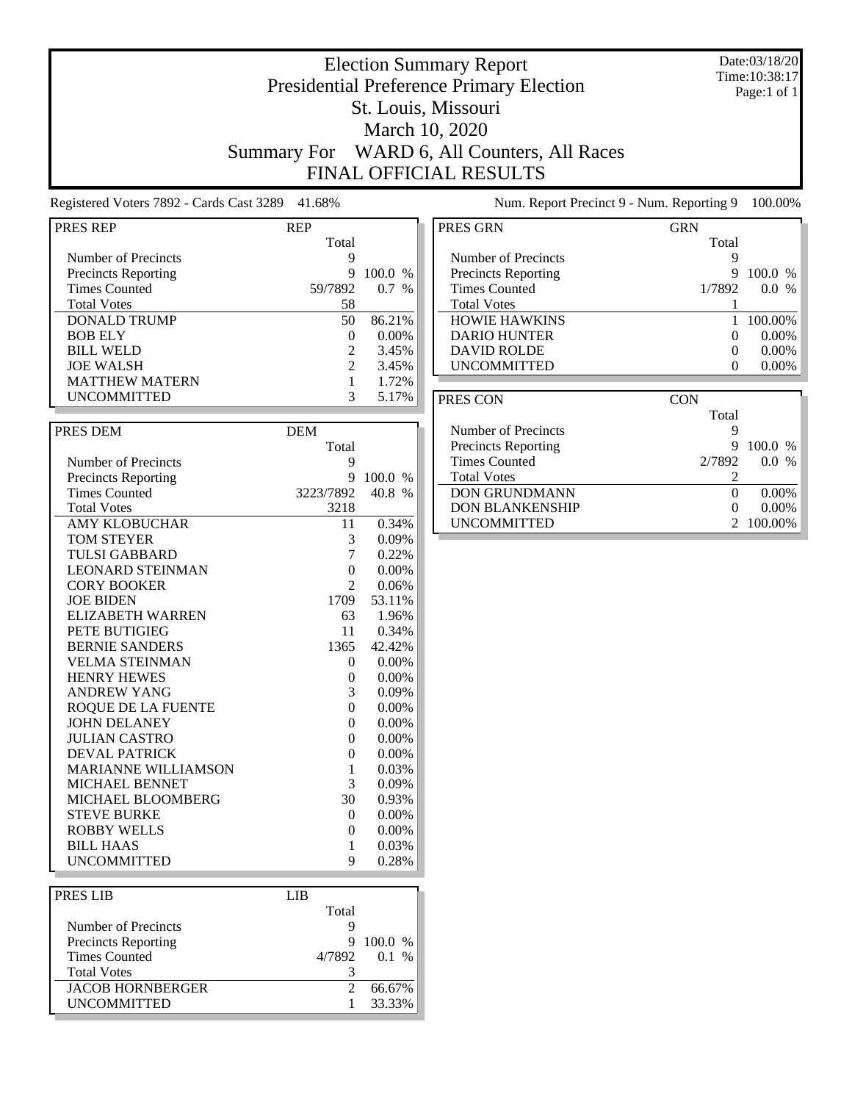Date:03/18/20 Time:10:38:17 Page:1 of 1

## Election Summary Report Presidential Preference Primary Election St. Louis, Missouri March 10, 2020 Summary For WARD 6, All Counters, All Races FINAL OFFICIAL RESULTS

Total

Registered Voters 7892 - Cards Cast 3289 41.68% Num. Report Precinct 9 - Num. Reporting 9 100.00%

| Registered Voters 7892 - Cards Cast 3289 41.68% |  |  |  |
|-------------------------------------------------|--|--|--|
|                                                 |  |  |  |

Number of Precincts<br>
Precincts Reporting<br>
9 100.0 % Precincts Reporting 9 100.0 %<br>Times Counted 9 100.0 % 59/7892 0.7 %

DONALD TRUMP 50 86.21% BOB ELY 0 0.00%

Total Votes 58

PRES REP REP

Times Counted

| PRES GRN                   | <b>GRN</b>               |
|----------------------------|--------------------------|
|                            | Total                    |
| Number of Precincts        | 9                        |
| <b>Precincts Reporting</b> | $100.0\%$<br>9           |
| <b>Times Counted</b>       | 1/7892<br>$0.0\%$        |
| <b>Total Votes</b>         |                          |
| <b>HOWIE HAWKINS</b>       | 100.00%                  |
| <b>DARIO HUNTER</b>        | $0.00\%$<br>$\mathbf{0}$ |
| <b>DAVID ROLDE</b>         | $0.00\%$<br>0            |
| <b>UNCOMMITTED</b>         | $0.00\%$                 |
|                            |                          |

| <b>BILL WELD</b>           | 2              | 3.45%    |
|----------------------------|----------------|----------|
| <b>JOE WALSH</b>           | $\overline{c}$ | 3.45%    |
| <b>MATTHEW MATERN</b>      | $\mathbf{1}$   | 1.72%    |
| <b>UNCOMMITTED</b>         | 3              | 5.17%    |
|                            |                |          |
| PRES DEM                   | <b>DEM</b>     |          |
|                            | Total          |          |
| Number of Precincts        | 9              |          |
| <b>Precincts Reporting</b> | 9              | 100.0 %  |
| <b>Times Counted</b>       | 3223/7892      | 40.8 %   |
| <b>Total Votes</b>         | 3218           |          |
| <b>AMY KLOBUCHAR</b>       | 11             | 0.34%    |
| <b>TOM STEYER</b>          | 3              | 0.09%    |
| <b>TULSI GABBARD</b>       | 7              | 0.22%    |
| <b>LEONARD STEINMAN</b>    | $\overline{0}$ | 0.00%    |
| <b>CORY BOOKER</b>         | $\mathfrak{D}$ | 0.06%    |
| <b>JOE BIDEN</b>           | 1709           | 53.11%   |
| ELIZABETH WARREN           | 63             | 1.96%    |
| PETE BUTIGIEG              | 11             | 0.34%    |
| <b>BERNIE SANDERS</b>      | 1365           | 42.42%   |
| <b>VELMA STEINMAN</b>      | $\Omega$       | $0.00\%$ |
| <b>HENRY HEWES</b>         | $\overline{0}$ | $0.00\%$ |
| <b>ANDREW YANG</b>         | 3              | 0.09%    |
| <b>ROQUE DE LA FUENTE</b>  | $\theta$       | 0.00%    |
| <b>JOHN DELANEY</b>        | 0              | $0.00\%$ |
| <b>JULIAN CASTRO</b>       | $\theta$       | $0.00\%$ |
| <b>DEVAL PATRICK</b>       | $\overline{0}$ | $0.00\%$ |
| <b>MARIANNE WILLIAMSON</b> | 1              | 0.03%    |
| <b>MICHAEL BENNET</b>      | 3              | 0.09%    |
| MICHAEL BLOOMBERG          | 30             | 0.93%    |
| <b>STEVE BURKE</b>         | 0              | 0.00%    |
| <b>ROBBY WELLS</b>         | $\theta$       | 0.00%    |
| <b>BILL HAAS</b>           | 1              | 0.03%    |
| <b>UNCOMMITTED</b>         | 9              | 0.28%    |

| <b>PRES LIB</b>            | LIB   |              |
|----------------------------|-------|--------------|
|                            | Total |              |
| Number of Precincts        |       |              |
| <b>Precincts Reporting</b> | 9     | $100.0\%$    |
| Times Counted              |       | 4/7892 0.1 % |
| <b>Total Votes</b>         |       |              |
| <b>JACOB HORNBERGER</b>    |       | 66.67%       |
| <b>UNCOMMITTED</b>         |       | 33.33%       |
|                            |       |              |

| CON    |                      |
|--------|----------------------|
| Total  |                      |
| 9      |                      |
| 9      | $100.0\%$            |
| 2/7892 | $\frac{0}{6}$<br>0.0 |
|        |                      |
| 0      | $0.00\%$             |
|        | $0.00\%$             |
|        | 100.00%              |
|        |                      |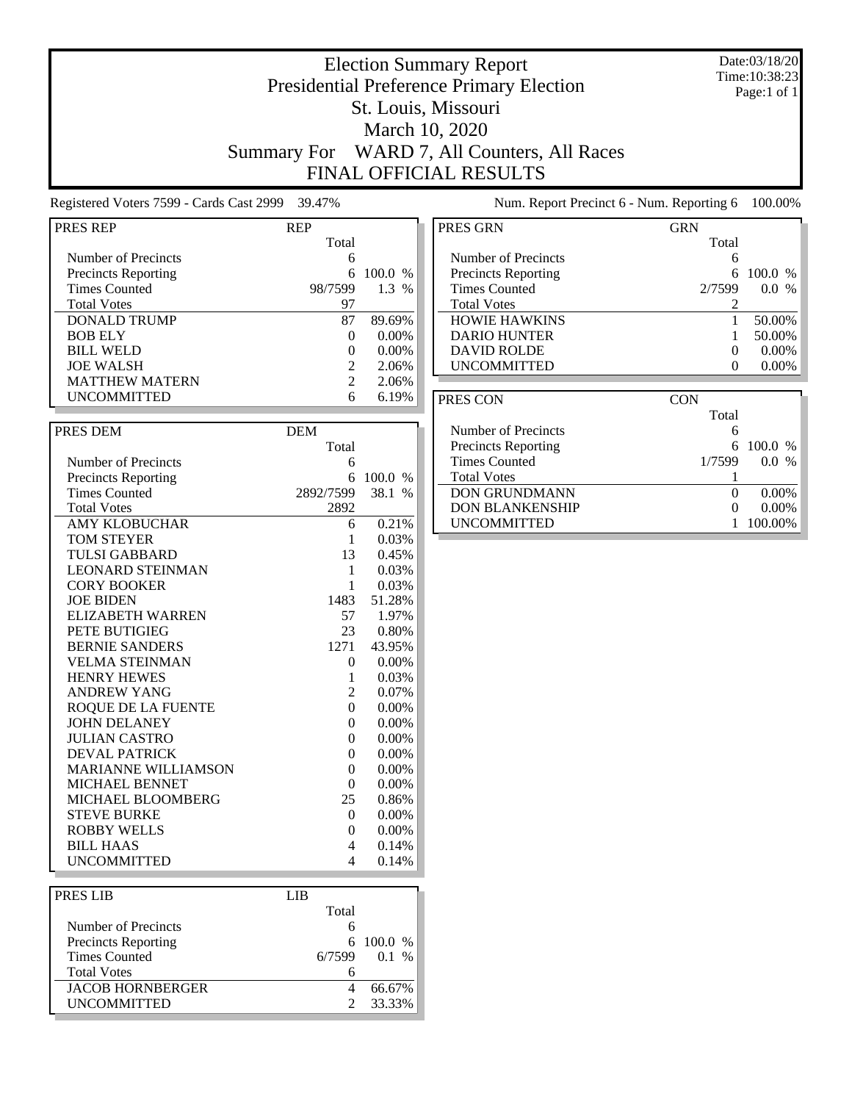Date:03/18/20 Time:10:38:23 Page:1 of 1

## Election Summary Report Presidential Preference Primary Election St. Louis, Missouri March 10, 2020 Summary For WARD 7, All Counters, All Races FINAL OFFICIAL RESULTS

Registered Voters 7599 - Cards Cast 2999 39.47% Num. Report Precinct 6 - Num. Reporting 6 100.00%

| Registeled Votels 7999 - Cards Cast 2999 | 39.41 <sub>70</sub> |              |
|------------------------------------------|---------------------|--------------|
| PRES REP                                 | <b>REP</b>          |              |
|                                          | Total               |              |
| Number of Precincts                      | 6                   |              |
| <b>Precincts Reporting</b>               | 6                   | 100.0 %      |
| <b>Times Counted</b>                     | 98/7599             | 1.3 %        |
| <b>Total Votes</b>                       | 97                  |              |
| <b>DONALD TRUMP</b>                      | 87                  | 89.69%       |
| <b>BOB ELY</b>                           | 0                   | $0.00\%$     |
| <b>BILL WELD</b>                         | 0                   | 0.00%        |
| <b>JOE WALSH</b>                         | $\overline{2}$      | 2.06%        |
| <b>MATTHEW MATERN</b>                    | $\overline{c}$      | 2.06%        |
| <b>UNCOMMITTED</b>                       | 6                   | 6.19%        |
|                                          |                     |              |
| PRES DEM                                 | <b>DEM</b>          |              |
|                                          | Total               |              |
| Number of Precincts                      | 6                   |              |
| <b>Precincts Reporting</b>               | 6                   | 100.0 %      |
| <b>Times Counted</b>                     | 2892/7599           | 38.1<br>$\%$ |
| <b>Total Votes</b>                       | 2892                |              |
| <b>AMY KLOBUCHAR</b>                     |                     | 0.21%        |
| <b>TOM STEYER</b>                        | 6<br>1              | 0.03%        |
| <b>TULSI GABBARD</b>                     | 13                  | 0.45%        |
| <b>LEONARD STEINMAN</b>                  | 1                   | 0.03%        |
| <b>CORY BOOKER</b>                       | 1                   | 0.03%        |
| <b>JOE BIDEN</b>                         | 1483                | 51.28%       |
|                                          |                     |              |
| <b>ELIZABETH WARREN</b>                  | 57                  | 1.97%        |
| PETE BUTIGIEG                            | 23                  | 0.80%        |
| <b>BERNIE SANDERS</b>                    | 1271                | 43.95%       |
| <b>VELMA STEINMAN</b>                    | 0                   | 0.00%        |
| <b>HENRY HEWES</b>                       | 1                   | 0.03%        |
| <b>ANDREW YANG</b>                       | 2                   | 0.07%        |
| ROQUE DE LA FUENTE                       | 0                   | 0.00%        |
| <b>JOHN DELANEY</b>                      | 0                   | $0.00\%$     |
| <b>JULIAN CASTRO</b>                     | 0                   | 0.00%        |
| <b>DEVAL PATRICK</b>                     | $\overline{0}$      | 0.00%        |
| <b>MARIANNE WILLIAMSON</b>               | $\overline{0}$      | 0.00%        |
| MICHAEL BENNET                           | $\overline{0}$      | 0.00%        |
| MICHAEL BLOOMBERG                        | 25                  | 0.86%        |
| <b>STEVE BURKE</b>                       | $\theta$            | 0.00%        |
| <b>ROBBY WELLS</b>                       | 0                   | 0.00%        |
| <b>BILL HAAS</b>                         | 4                   | 0.14%        |
| <b>UNCOMMITTED</b>                       | 4                   | 0.14%        |
|                                          |                     |              |
| PRES LIB                                 | <b>LIB</b>          |              |

| PRES LIB                   | LIB    |                 |  |
|----------------------------|--------|-----------------|--|
|                            | Total  |                 |  |
| Number of Precincts        |        |                 |  |
| <b>Precincts Reporting</b> |        | $6\quad100.0\%$ |  |
| <b>Times Counted</b>       | 6/7599 | $0.1\%$         |  |
| <b>Total Votes</b>         |        |                 |  |
| <b>JACOB HORNBERGER</b>    |        | 66.67%          |  |
| <b>UNCOMMITTED</b>         |        | 33.33%          |  |

| PRES GRN                   | <b>GRN</b> |          |
|----------------------------|------------|----------|
|                            | Total      |          |
| Number of Precincts        | 6          |          |
| <b>Precincts Reporting</b> | 6          | 100.0 %  |
| <b>Times Counted</b>       | 2/7599     | $0.0\%$  |
| <b>Total Votes</b>         | 2          |          |
| <b>HOWIE HAWKINS</b>       |            | 50.00%   |
| <b>DARIO HUNTER</b>        |            | 50.00%   |
| <b>DAVID ROLDE</b>         | $\Omega$   | $0.00\%$ |
| <b>UNCOMMITTED</b>         | 0          | $0.00\%$ |
|                            |            |          |
| DDES COM                   | CON        |          |

| PRES CON                   | CON    |                     |
|----------------------------|--------|---------------------|
|                            | Total  |                     |
| Number of Precincts        |        |                     |
| <b>Precincts Reporting</b> |        | 6 100.0 $%$         |
| <b>Times Counted</b>       | 1/7599 | $\frac{0}{0}$<br>00 |
| <b>Total Votes</b>         |        |                     |
| <b>DON GRUNDMANN</b>       |        | $0.00\%$            |
| <b>DON BLANKENSHIP</b>     |        | $0.00\%$            |
| <b>UNCOMMITTED</b>         |        | 100.00%             |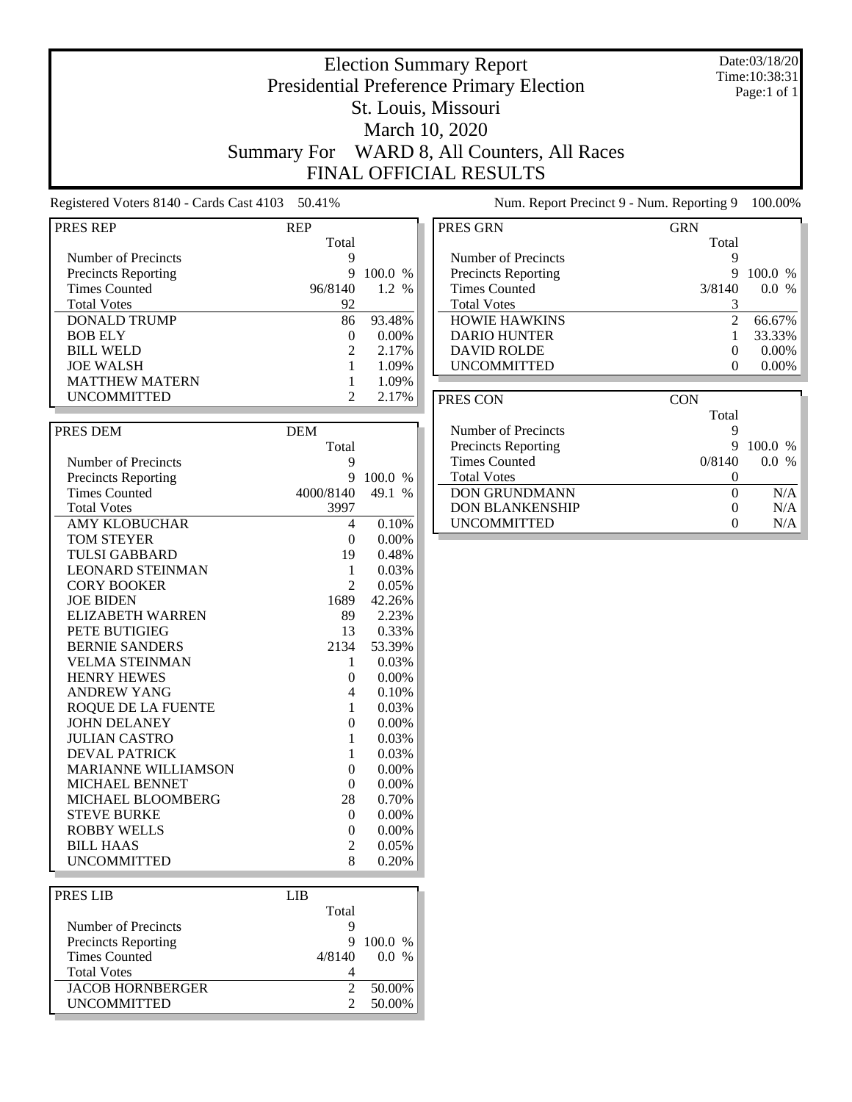Date:03/18/20 Time:10:38:31 Page:1 of 1

## Election Summary Report Presidential Preference Primary Election St. Louis, Missouri March 10, 2020 Summary For WARD 8, All Counters, All Races FINAL OFFICIAL RESULTS

Registered Voters 8140 - Cards Cast 4103 50.41% Num. Report Precinct 9 - Num. Reporting 9 100.00%

| Total<br>Number of Precincts<br>9<br><b>Precincts Reporting</b><br>Q<br>100.0 %<br><b>Times Counted</b><br>1.2 %<br>96/8140<br><b>Total Votes</b><br>92<br><b>DONALD TRUMP</b><br>93.48%<br>86<br><b>BOB ELY</b><br>0<br>$0.00\%$<br><b>BILL WELD</b><br>$\overline{c}$<br>2.17%<br><b>JOE WALSH</b><br>1<br>1.09%<br><b>MATTHEW MATERN</b><br>1<br>1.09%<br>2.17%<br><b>UNCOMMITTED</b><br>$\overline{c}$<br>PRES DEM<br><b>DEM</b><br>Total<br>Number of Precincts<br>9<br><b>Precincts Reporting</b><br>9<br>100.0 %<br>Times Counted<br>49.1<br>4000/8140<br>$\frac{0}{0}$<br><b>Total Votes</b><br>3997<br><b>AMY KLOBUCHAR</b><br>4<br>0.10%<br><b>TOM STEYER</b><br>$\overline{0}$<br>0.00%<br><b>TULSI GABBARD</b><br>0.48%<br>19<br><b>LEONARD STEINMAN</b><br>0.03%<br>1<br><b>CORY BOOKER</b><br>$\mathfrak{D}$<br>0.05%<br><b>JOE BIDEN</b><br>1689<br>42.26%<br><b>ELIZABETH WARREN</b><br>2.23%<br>89<br>PETE BUTIGIEG<br>13<br>0.33%<br><b>BERNIE SANDERS</b><br>2134<br>53.39%<br><b>VELMA STEINMAN</b><br>0.03%<br>1<br><b>HENRY HEWES</b><br>0.00%<br>$\Omega$<br><b>ANDREW YANG</b><br>4<br>0.10%<br>ROQUE DE LA FUENTE<br>1<br>$0.03\%$<br><b>JOHN DELANEY</b><br>$\overline{0}$<br>$0.00\%$<br><b>JULIAN CASTRO</b><br>1<br>0.03%<br><b>DEVAL PATRICK</b><br>1<br>$0.03\%$<br><b>MARIANNE WILLIAMSON</b><br>$\theta$<br>0.00%<br>MICHAEL BENNET<br>$\theta$<br>$0.00\%$<br>MICHAEL BLOOMBERG<br>28<br>0.70%<br><b>STEVE BURKE</b><br>$\theta$<br>$0.00\%$<br><b>ROBBY WELLS</b><br>0<br>$0.00\%$<br><b>BILL HAAS</b><br>0.05%<br>2<br><b>UNCOMMITTED</b><br>8<br>0.20%<br><b>PRES LIB</b><br><b>LIB</b> | <b>PRES REP</b> | <b>REP</b> |  |
|------------------------------------------------------------------------------------------------------------------------------------------------------------------------------------------------------------------------------------------------------------------------------------------------------------------------------------------------------------------------------------------------------------------------------------------------------------------------------------------------------------------------------------------------------------------------------------------------------------------------------------------------------------------------------------------------------------------------------------------------------------------------------------------------------------------------------------------------------------------------------------------------------------------------------------------------------------------------------------------------------------------------------------------------------------------------------------------------------------------------------------------------------------------------------------------------------------------------------------------------------------------------------------------------------------------------------------------------------------------------------------------------------------------------------------------------------------------------------------------------------------------------------------------------------------------------------------------------------------------------------|-----------------|------------|--|
|                                                                                                                                                                                                                                                                                                                                                                                                                                                                                                                                                                                                                                                                                                                                                                                                                                                                                                                                                                                                                                                                                                                                                                                                                                                                                                                                                                                                                                                                                                                                                                                                                              |                 |            |  |
|                                                                                                                                                                                                                                                                                                                                                                                                                                                                                                                                                                                                                                                                                                                                                                                                                                                                                                                                                                                                                                                                                                                                                                                                                                                                                                                                                                                                                                                                                                                                                                                                                              |                 |            |  |
|                                                                                                                                                                                                                                                                                                                                                                                                                                                                                                                                                                                                                                                                                                                                                                                                                                                                                                                                                                                                                                                                                                                                                                                                                                                                                                                                                                                                                                                                                                                                                                                                                              |                 |            |  |
|                                                                                                                                                                                                                                                                                                                                                                                                                                                                                                                                                                                                                                                                                                                                                                                                                                                                                                                                                                                                                                                                                                                                                                                                                                                                                                                                                                                                                                                                                                                                                                                                                              |                 |            |  |
|                                                                                                                                                                                                                                                                                                                                                                                                                                                                                                                                                                                                                                                                                                                                                                                                                                                                                                                                                                                                                                                                                                                                                                                                                                                                                                                                                                                                                                                                                                                                                                                                                              |                 |            |  |
|                                                                                                                                                                                                                                                                                                                                                                                                                                                                                                                                                                                                                                                                                                                                                                                                                                                                                                                                                                                                                                                                                                                                                                                                                                                                                                                                                                                                                                                                                                                                                                                                                              |                 |            |  |
|                                                                                                                                                                                                                                                                                                                                                                                                                                                                                                                                                                                                                                                                                                                                                                                                                                                                                                                                                                                                                                                                                                                                                                                                                                                                                                                                                                                                                                                                                                                                                                                                                              |                 |            |  |
|                                                                                                                                                                                                                                                                                                                                                                                                                                                                                                                                                                                                                                                                                                                                                                                                                                                                                                                                                                                                                                                                                                                                                                                                                                                                                                                                                                                                                                                                                                                                                                                                                              |                 |            |  |
|                                                                                                                                                                                                                                                                                                                                                                                                                                                                                                                                                                                                                                                                                                                                                                                                                                                                                                                                                                                                                                                                                                                                                                                                                                                                                                                                                                                                                                                                                                                                                                                                                              |                 |            |  |
|                                                                                                                                                                                                                                                                                                                                                                                                                                                                                                                                                                                                                                                                                                                                                                                                                                                                                                                                                                                                                                                                                                                                                                                                                                                                                                                                                                                                                                                                                                                                                                                                                              |                 |            |  |
|                                                                                                                                                                                                                                                                                                                                                                                                                                                                                                                                                                                                                                                                                                                                                                                                                                                                                                                                                                                                                                                                                                                                                                                                                                                                                                                                                                                                                                                                                                                                                                                                                              |                 |            |  |
|                                                                                                                                                                                                                                                                                                                                                                                                                                                                                                                                                                                                                                                                                                                                                                                                                                                                                                                                                                                                                                                                                                                                                                                                                                                                                                                                                                                                                                                                                                                                                                                                                              |                 |            |  |
|                                                                                                                                                                                                                                                                                                                                                                                                                                                                                                                                                                                                                                                                                                                                                                                                                                                                                                                                                                                                                                                                                                                                                                                                                                                                                                                                                                                                                                                                                                                                                                                                                              |                 |            |  |
|                                                                                                                                                                                                                                                                                                                                                                                                                                                                                                                                                                                                                                                                                                                                                                                                                                                                                                                                                                                                                                                                                                                                                                                                                                                                                                                                                                                                                                                                                                                                                                                                                              |                 |            |  |
|                                                                                                                                                                                                                                                                                                                                                                                                                                                                                                                                                                                                                                                                                                                                                                                                                                                                                                                                                                                                                                                                                                                                                                                                                                                                                                                                                                                                                                                                                                                                                                                                                              |                 |            |  |
|                                                                                                                                                                                                                                                                                                                                                                                                                                                                                                                                                                                                                                                                                                                                                                                                                                                                                                                                                                                                                                                                                                                                                                                                                                                                                                                                                                                                                                                                                                                                                                                                                              |                 |            |  |
|                                                                                                                                                                                                                                                                                                                                                                                                                                                                                                                                                                                                                                                                                                                                                                                                                                                                                                                                                                                                                                                                                                                                                                                                                                                                                                                                                                                                                                                                                                                                                                                                                              |                 |            |  |
|                                                                                                                                                                                                                                                                                                                                                                                                                                                                                                                                                                                                                                                                                                                                                                                                                                                                                                                                                                                                                                                                                                                                                                                                                                                                                                                                                                                                                                                                                                                                                                                                                              |                 |            |  |
|                                                                                                                                                                                                                                                                                                                                                                                                                                                                                                                                                                                                                                                                                                                                                                                                                                                                                                                                                                                                                                                                                                                                                                                                                                                                                                                                                                                                                                                                                                                                                                                                                              |                 |            |  |
|                                                                                                                                                                                                                                                                                                                                                                                                                                                                                                                                                                                                                                                                                                                                                                                                                                                                                                                                                                                                                                                                                                                                                                                                                                                                                                                                                                                                                                                                                                                                                                                                                              |                 |            |  |
|                                                                                                                                                                                                                                                                                                                                                                                                                                                                                                                                                                                                                                                                                                                                                                                                                                                                                                                                                                                                                                                                                                                                                                                                                                                                                                                                                                                                                                                                                                                                                                                                                              |                 |            |  |
|                                                                                                                                                                                                                                                                                                                                                                                                                                                                                                                                                                                                                                                                                                                                                                                                                                                                                                                                                                                                                                                                                                                                                                                                                                                                                                                                                                                                                                                                                                                                                                                                                              |                 |            |  |
|                                                                                                                                                                                                                                                                                                                                                                                                                                                                                                                                                                                                                                                                                                                                                                                                                                                                                                                                                                                                                                                                                                                                                                                                                                                                                                                                                                                                                                                                                                                                                                                                                              |                 |            |  |
|                                                                                                                                                                                                                                                                                                                                                                                                                                                                                                                                                                                                                                                                                                                                                                                                                                                                                                                                                                                                                                                                                                                                                                                                                                                                                                                                                                                                                                                                                                                                                                                                                              |                 |            |  |
|                                                                                                                                                                                                                                                                                                                                                                                                                                                                                                                                                                                                                                                                                                                                                                                                                                                                                                                                                                                                                                                                                                                                                                                                                                                                                                                                                                                                                                                                                                                                                                                                                              |                 |            |  |
|                                                                                                                                                                                                                                                                                                                                                                                                                                                                                                                                                                                                                                                                                                                                                                                                                                                                                                                                                                                                                                                                                                                                                                                                                                                                                                                                                                                                                                                                                                                                                                                                                              |                 |            |  |
|                                                                                                                                                                                                                                                                                                                                                                                                                                                                                                                                                                                                                                                                                                                                                                                                                                                                                                                                                                                                                                                                                                                                                                                                                                                                                                                                                                                                                                                                                                                                                                                                                              |                 |            |  |
|                                                                                                                                                                                                                                                                                                                                                                                                                                                                                                                                                                                                                                                                                                                                                                                                                                                                                                                                                                                                                                                                                                                                                                                                                                                                                                                                                                                                                                                                                                                                                                                                                              |                 |            |  |
|                                                                                                                                                                                                                                                                                                                                                                                                                                                                                                                                                                                                                                                                                                                                                                                                                                                                                                                                                                                                                                                                                                                                                                                                                                                                                                                                                                                                                                                                                                                                                                                                                              |                 |            |  |
|                                                                                                                                                                                                                                                                                                                                                                                                                                                                                                                                                                                                                                                                                                                                                                                                                                                                                                                                                                                                                                                                                                                                                                                                                                                                                                                                                                                                                                                                                                                                                                                                                              |                 |            |  |
|                                                                                                                                                                                                                                                                                                                                                                                                                                                                                                                                                                                                                                                                                                                                                                                                                                                                                                                                                                                                                                                                                                                                                                                                                                                                                                                                                                                                                                                                                                                                                                                                                              |                 |            |  |
|                                                                                                                                                                                                                                                                                                                                                                                                                                                                                                                                                                                                                                                                                                                                                                                                                                                                                                                                                                                                                                                                                                                                                                                                                                                                                                                                                                                                                                                                                                                                                                                                                              |                 |            |  |
|                                                                                                                                                                                                                                                                                                                                                                                                                                                                                                                                                                                                                                                                                                                                                                                                                                                                                                                                                                                                                                                                                                                                                                                                                                                                                                                                                                                                                                                                                                                                                                                                                              |                 |            |  |
|                                                                                                                                                                                                                                                                                                                                                                                                                                                                                                                                                                                                                                                                                                                                                                                                                                                                                                                                                                                                                                                                                                                                                                                                                                                                                                                                                                                                                                                                                                                                                                                                                              |                 |            |  |
|                                                                                                                                                                                                                                                                                                                                                                                                                                                                                                                                                                                                                                                                                                                                                                                                                                                                                                                                                                                                                                                                                                                                                                                                                                                                                                                                                                                                                                                                                                                                                                                                                              |                 |            |  |
|                                                                                                                                                                                                                                                                                                                                                                                                                                                                                                                                                                                                                                                                                                                                                                                                                                                                                                                                                                                                                                                                                                                                                                                                                                                                                                                                                                                                                                                                                                                                                                                                                              |                 |            |  |
|                                                                                                                                                                                                                                                                                                                                                                                                                                                                                                                                                                                                                                                                                                                                                                                                                                                                                                                                                                                                                                                                                                                                                                                                                                                                                                                                                                                                                                                                                                                                                                                                                              |                 |            |  |
|                                                                                                                                                                                                                                                                                                                                                                                                                                                                                                                                                                                                                                                                                                                                                                                                                                                                                                                                                                                                                                                                                                                                                                                                                                                                                                                                                                                                                                                                                                                                                                                                                              |                 |            |  |
|                                                                                                                                                                                                                                                                                                                                                                                                                                                                                                                                                                                                                                                                                                                                                                                                                                                                                                                                                                                                                                                                                                                                                                                                                                                                                                                                                                                                                                                                                                                                                                                                                              |                 |            |  |
|                                                                                                                                                                                                                                                                                                                                                                                                                                                                                                                                                                                                                                                                                                                                                                                                                                                                                                                                                                                                                                                                                                                                                                                                                                                                                                                                                                                                                                                                                                                                                                                                                              |                 |            |  |
|                                                                                                                                                                                                                                                                                                                                                                                                                                                                                                                                                                                                                                                                                                                                                                                                                                                                                                                                                                                                                                                                                                                                                                                                                                                                                                                                                                                                                                                                                                                                                                                                                              |                 |            |  |
|                                                                                                                                                                                                                                                                                                                                                                                                                                                                                                                                                                                                                                                                                                                                                                                                                                                                                                                                                                                                                                                                                                                                                                                                                                                                                                                                                                                                                                                                                                                                                                                                                              |                 |            |  |
|                                                                                                                                                                                                                                                                                                                                                                                                                                                                                                                                                                                                                                                                                                                                                                                                                                                                                                                                                                                                                                                                                                                                                                                                                                                                                                                                                                                                                                                                                                                                                                                                                              |                 |            |  |
|                                                                                                                                                                                                                                                                                                                                                                                                                                                                                                                                                                                                                                                                                                                                                                                                                                                                                                                                                                                                                                                                                                                                                                                                                                                                                                                                                                                                                                                                                                                                                                                                                              |                 | Total      |  |

Number of Precincts<br>
Precincts Reporting<br>
9 100.0 % Precincts Reporting 9 100.0 %<br>Times Counted 9 4/8140 0.0 %

 $\fbox{\parbox{13.5in} \begin{tabular}{l|c} \hline JACOB HORNBERGER & \multicolumn{2}{c}{\multicolumn{2}{c}{} & \multicolumn{2}{c}{\multicolumn{2}{c}{} & \multicolumn{2}{c}{\multicolumn{2}{c}{} & \multicolumn{2}{c}{\multicolumn{2}{c}{} & \multicolumn{2}{c}{\multicolumn{2}{c}{} & \multicolumn{2}{c}{\multicolumn{2}{c}{} & \multicolumn{2}{c}{\multicolumn{2}{c}{} & \multicolumn{2}{c}{\multicolumn{2}{c}{} & \multicolumn{2}{c}{\multicolumn{2}{c}{} & \multicolumn{2}{c$ 

Total Votes 4

Times Counted

| PRES GRN                   | GRN    |                        |
|----------------------------|--------|------------------------|
|                            | Total  |                        |
| Number of Precincts        |        |                        |
| <b>Precincts Reporting</b> |        | 100.0<br>$\frac{0}{0}$ |
| <b>Times Counted</b>       | 3/8140 | $\frac{0}{0}$<br>0.0   |
| <b>Total Votes</b>         |        |                        |
| <b>HOWIE HAWKINS</b>       |        | 66.67%                 |
| <b>DARIO HUNTER</b>        |        | 33.33%                 |
| <b>DAVID ROLDE</b>         |        | $0.00\%$               |
| <b>UNCOMMITTED</b>         |        | $0.00\%$               |

| PRES CON                   | CON    |                                |
|----------------------------|--------|--------------------------------|
|                            | Total  |                                |
| Number of Precincts        | ч      |                                |
| <b>Precincts Reporting</b> | 9      | $100.0\%$                      |
| <b>Times Counted</b>       | 0/8140 | $\frac{0}{0}$<br>$0.0^{\circ}$ |
| <b>Total Votes</b>         |        |                                |
| <b>DON GRUNDMANN</b>       |        | N/A                            |
| <b>DON BLANKENSHIP</b>     |        | N/A                            |
| <b>UNCOMMITTED</b>         |        | N/A                            |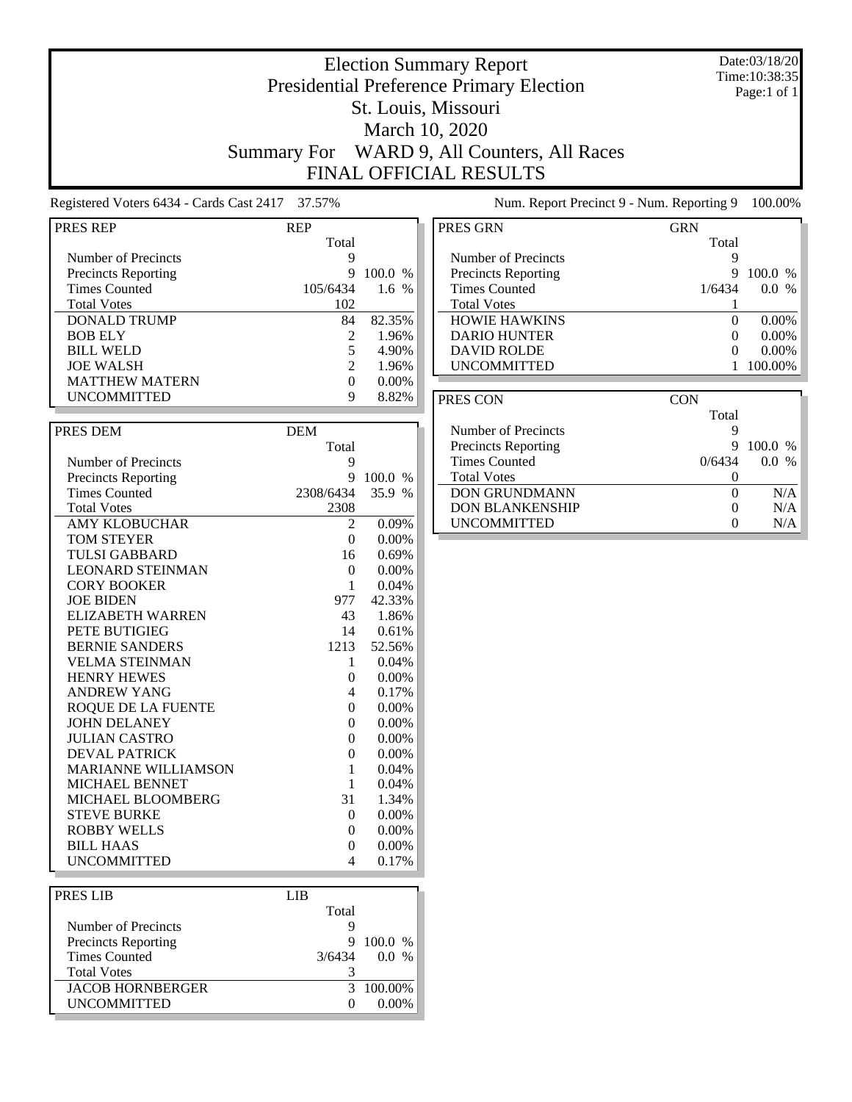Date:03/18/20 Time:10:38:35 Page:1 of 1

## Election Summary Report Presidential Preference Primary Election St. Louis, Missouri March 10, 2020 Summary For WARD 9, All Counters, All Races FINAL OFFICIAL RESULTS

Registered Voters 6434 - Cards Cast 2417 37.57% Num. Report Precinct 9 - Num. Reporting 9 100.00%

| <b>PRES REP</b>            | REP            |                |
|----------------------------|----------------|----------------|
|                            | Total          |                |
| Number of Precincts        | 9              |                |
| <b>Precincts Reporting</b> | 9              | 100.0 %        |
| <b>Times Counted</b>       | 105/6434       | 1.6 %          |
| <b>Total Votes</b>         | 102            |                |
| <b>DONALD TRUMP</b>        | 84             | 82.35%         |
| <b>BOB ELY</b>             | 2              | 1.96%          |
| <b>BILL WELD</b>           | 5              | 4.90%          |
| <b>JOE WALSH</b>           | $\overline{c}$ | 1.96%          |
| <b>MATTHEW MATERN</b>      | 0              | $0.00\%$       |
| <b>UNCOMMITTED</b>         | 9              | 8.82%          |
|                            |                |                |
| PRES DEM                   | <b>DEM</b>     |                |
|                            | Total          |                |
| Number of Precincts        | 9              |                |
| <b>Precincts Reporting</b> | 9              | 100.0 %        |
| <b>Times Counted</b>       | 2308/6434      | 35.9 %         |
| <b>Total Votes</b>         | 2308           |                |
| <b>AMY KLOBUCHAR</b>       | 2              |                |
| <b>TOM STEYER</b>          | $\theta$       | 0.09%<br>0.00% |
|                            |                |                |
| <b>TULSI GABBARD</b>       | 16             | 0.69%          |
| <b>LEONARD STEINMAN</b>    | $\overline{0}$ | 0.00%          |
| <b>CORY BOOKER</b>         | 1              | 0.04%          |
| <b>JOE BIDEN</b>           | 977            | 42.33%         |
| <b>ELIZABETH WARREN</b>    | 43             | 1.86%          |
| PETE BUTIGIEG              | 14             | 0.61%          |
| <b>BERNIE SANDERS</b>      | 1213           | 52.56%         |
| <b>VELMA STEINMAN</b>      | 1              | 0.04%          |
| <b>HENRY HEWES</b>         | $\theta$       | 0.00%          |
| <b>ANDREW YANG</b>         | 4              | 0.17%          |
| <b>ROQUE DE LA FUENTE</b>  | $\theta$       | $0.00\%$       |
| <b>JOHN DELANEY</b>        | $\theta$       | 0.00%          |
| <b>JULIAN CASTRO</b>       | 0              | $0.00\%$       |
| <b>DEVAL PATRICK</b>       | $\theta$       | 0.00%          |
| <b>MARIANNE WILLIAMSON</b> | 1              | 0.04%          |
| <b>MICHAEL BENNET</b>      | 1              | 0.04%          |
| MICHAEL BLOOMBERG          | 31             | 1.34%          |
| <b>STEVE BURKE</b>         | $\theta$       | 0.00%          |
| <b>ROBBY WELLS</b>         | $\theta$       | 0.00%          |
| <b>BILL HAAS</b>           | $\theta$       | 0.00%          |
| <b>UNCOMMITTED</b>         | 4              | 0.17%          |
|                            |                |                |
| <b>PRES LIB</b>            | <b>LIB</b>     |                |
|                            | Total          |                |

Number of Precincts<br>
Precincts Reporting<br>
9 100.0 % Precincts Reporting 9 100.0 %<br>Times Counted 9 3/6434 0.0 %

 $\fbox{JACOB HORNBERGER} \begin{tabular}{c} 3 & 100.00\% \\ \hline 3 & 100.00\% \\ \end{tabular}$ 

Total Votes 3

Times Counted

| PRES GRN             | <b>GRN</b> |                      |
|----------------------|------------|----------------------|
|                      | Total      |                      |
| Number of Precincts  |            |                      |
| Precincts Reporting  | g          | 100.0<br>$\%$        |
| <b>Times Counted</b> | 1/6434     | 0.0<br>$\frac{0}{0}$ |
| <b>Total Votes</b>   |            |                      |
| <b>HOWIE HAWKINS</b> | $\theta$   | $0.00\%$             |
| <b>DARIO HUNTER</b>  |            | $0.00\%$             |
| <b>DAVID ROLDE</b>   |            | $0.00\%$             |
| <b>UNCOMMITTED</b>   |            | 100.00%              |

| PRES CON                   | CON    |                      |
|----------------------------|--------|----------------------|
|                            | Total  |                      |
| Number of Precincts        |        |                      |
| <b>Precincts Reporting</b> | 9      | 100.0 %              |
| Times Counted              | 0/6434 | 0.0<br>$\frac{0}{0}$ |
| <b>Total Votes</b>         |        |                      |
| <b>DON GRUNDMANN</b>       |        | N/A                  |
| <b>DON BLANKENSHIP</b>     |        | N/A                  |
| <b>UNCOMMITTED</b>         |        | N/A                  |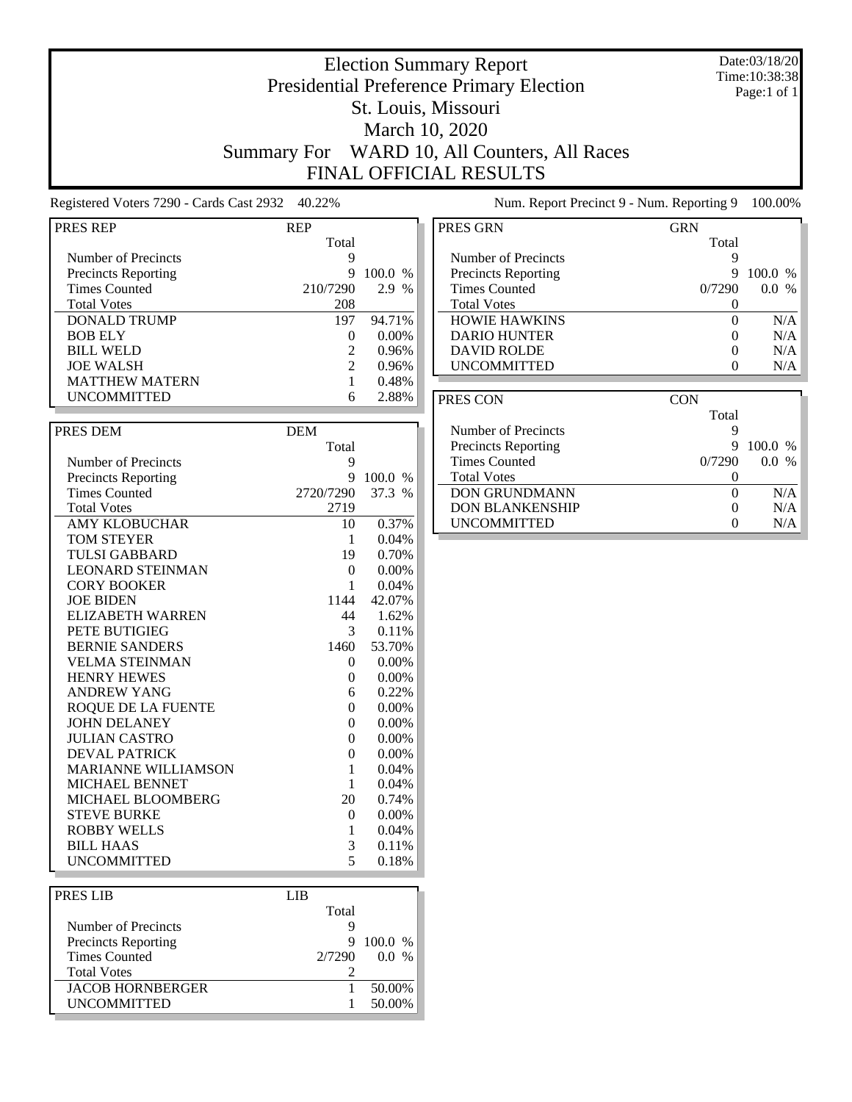### Date:03/18/20 Time:10:38:38 Page:1 of 1

## Election Summary Report Presidential Preference Primary Election St. Louis, Missouri March 10, 2020 Summary For WARD 10, All Counters, All Races FINAL OFFICIAL RESULTS

Registered Voters 7290 - Cards Cast 2932 40.22% Num. Report Precinct 9 - Num. Reporting 9 100.00%

| PRES REP                                  | <b>REP</b>          |          |
|-------------------------------------------|---------------------|----------|
|                                           | Total               |          |
| Number of Precincts                       | 9                   |          |
| <b>Precincts Reporting</b>                | 9                   | 100.0 %  |
| <b>Times Counted</b>                      | 210/7290            | 2.9 %    |
| <b>Total Votes</b>                        | 208                 |          |
|                                           |                     |          |
| <b>DONALD TRUMP</b>                       | 197                 | 94.71%   |
| <b>BOB ELY</b><br><b>BILL WELD</b>        | 0<br>$\overline{2}$ | $0.00\%$ |
|                                           | $\overline{2}$      | 0.96%    |
| <b>JOE WALSH</b><br><b>MATTHEW MATERN</b> |                     | 0.96%    |
|                                           | 1                   | 0.48%    |
| <b>UNCOMMITTED</b>                        | 6                   | 2.88%    |
|                                           |                     |          |
| PRES DEM                                  | <b>DEM</b>          |          |
|                                           | Total               |          |
| Number of Precincts                       | 9                   |          |
| <b>Precincts Reporting</b>                | 9                   | 100.0 %  |
| <b>Times Counted</b>                      | 2720/7290           | 37.3 %   |
| <b>Total Votes</b>                        | 2719                |          |
| <b>AMY KLOBUCHAR</b>                      | 10                  | 0.37%    |
| <b>TOM STEYER</b>                         | 1                   | 0.04%    |
| <b>TULSI GABBARD</b>                      | 19                  | 0.70%    |
| <b>LEONARD STEINMAN</b>                   | $\overline{0}$      | $0.00\%$ |
| <b>CORY BOOKER</b>                        | 1                   | 0.04%    |
| <b>JOE BIDEN</b>                          | 1144                | 42.07%   |
| <b>ELIZABETH WARREN</b>                   | 44                  | 1.62%    |
| PETE BUTIGIEG                             | 3                   | 0.11%    |
| <b>BERNIE SANDERS</b>                     | 1460                | 53.70%   |
| <b>VELMA STEINMAN</b>                     | 0                   | 0.00%    |
| <b>HENRY HEWES</b>                        | 0                   | $0.00\%$ |
| <b>ANDREW YANG</b>                        | 6                   | 0.22%    |
| <b>ROQUE DE LA FUENTE</b>                 | $\theta$            | 0.00%    |
| <b>JOHN DELANEY</b>                       | $\overline{0}$      | 0.00%    |
| <b>JULIAN CASTRO</b>                      | $\theta$            | $0.00\%$ |
| <b>DEVAL PATRICK</b>                      | $\overline{0}$      | 0.00%    |
| <b>MARIANNE WILLIAMSON</b>                | 1                   | 0.04%    |
| MICHAEL BENNET                            | 1                   | 0.04%    |
| MICHAEL BLOOMBERG                         | 20                  | 0.74%    |
| <b>STEVE BURKE</b>                        | 0                   | $0.00\%$ |
| <b>ROBBY WELLS</b>                        | 1                   | 0.04%    |
| <b>BILL HAAS</b>                          | 3                   | 0.11%    |
| UNCOMMITTED                               | 5                   | 0.18%    |
|                                           |                     |          |
| PRES LIB                                  | <b>LIB</b>          |          |
|                                           | $\mathbf{r}$        |          |

| PRES LIB                   | LIB    |                 |
|----------------------------|--------|-----------------|
|                            | Total  |                 |
| Number of Precincts        |        |                 |
| <b>Precincts Reporting</b> |        | 100.0 %         |
| <b>Times Counted</b>       | 2/7290 | $\%$<br>$0.0^-$ |
| <b>Total Votes</b>         |        |                 |
| <b>JACOB HORNBERGER</b>    |        | 50.00%          |
| <b>UNCOMMITTED</b>         |        | 50.00%          |
|                            |        |                 |

| <b>GRN</b> |                      |
|------------|----------------------|
| Total      |                      |
| ч          |                      |
| 9          | $100.0\%$            |
| 0/7290     | $\frac{0}{0}$<br>0.0 |
| 0          |                      |
| $\Omega$   | N/A                  |
|            | N/A                  |
| 0          | N/A                  |
|            | N/A                  |
|            |                      |

| PRES CON                   | <b>CON</b> |                          |
|----------------------------|------------|--------------------------|
|                            | Total      |                          |
| Number of Precincts        |            |                          |
| <b>Precincts Reporting</b> | 9          | 100.0 %                  |
| Times Counted              | 0/7290     | $0.0^-$<br>$\frac{0}{0}$ |
| <b>Total Votes</b>         |            |                          |
| <b>DON GRUNDMANN</b>       |            | N/A                      |
| <b>DON BLANKENSHIP</b>     |            | N/A                      |
| <b>UNCOMMITTED</b>         |            | N/A                      |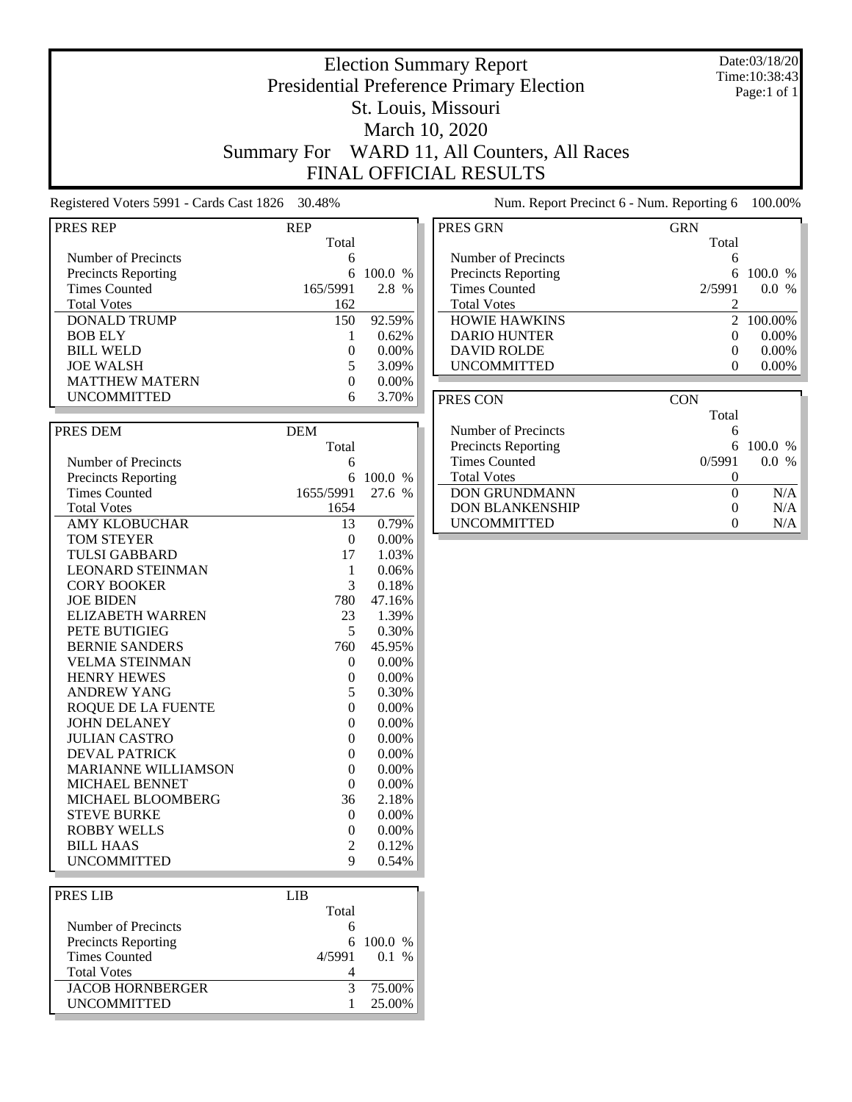### Date:03/18/20 Time:10:38:43 Page:1 of 1

## Presidential Preference Primary Election St. Louis, Missouri March 10, 2020 Summary For WARD 11, All Counters, All Races FINAL OFFICIAL RESULTS

Election Summary Report

Registered Voters 5991 - Cards Cast 1826 30.48% Num. Report Precinct 6 - Num. Reporting 6 100.00%

| PRES REP                   | <b>REP</b>          |          |
|----------------------------|---------------------|----------|
|                            | Total               |          |
| Number of Precincts        | 6                   |          |
| <b>Precincts Reporting</b> | 6                   | 100.0 %  |
| <b>Times Counted</b>       | 165/5991            | 2.8 %    |
| <b>Total Votes</b>         | 162                 |          |
| <b>DONALD TRUMP</b>        | 150                 | 92.59%   |
| <b>BOB ELY</b>             | 1                   | 0.62%    |
| <b>BILL WELD</b>           | $\overline{0}$      | 0.00%    |
| <b>JOE WALSH</b>           | 5                   | 3.09%    |
| <b>MATTHEW MATERN</b>      | 0                   | 0.00%    |
| <b>UNCOMMITTED</b>         | 6                   | 3.70%    |
|                            |                     |          |
| PRES DEM                   | <b>DEM</b>          |          |
|                            | Total               |          |
|                            |                     |          |
| Number of Precincts        | 6                   |          |
| <b>Precincts Reporting</b> | 6                   | 100.0 %  |
| <b>Times Counted</b>       | 1655/5991           | 27.6 %   |
| <b>Total Votes</b>         | 1654                |          |
| AMY KLOBUCHAR              | 13                  | 0.79%    |
| <b>TOM STEYER</b>          | 0                   | $0.00\%$ |
| <b>TULSI GABBARD</b>       | 17                  | 1.03%    |
| <b>LEONARD STEINMAN</b>    | 1                   | 0.06%    |
| <b>CORY BOOKER</b>         | 3                   | 0.18%    |
| <b>JOE BIDEN</b>           | 780                 | 47.16%   |
| <b>ELIZABETH WARREN</b>    | 23                  | 1.39%    |
| PETE BUTIGIEG              | 5                   | 0.30%    |
| <b>BERNIE SANDERS</b>      | 760                 | 45.95%   |
| <b>VELMA STEINMAN</b>      | 0                   | 0.00%    |
| <b>HENRY HEWES</b>         | 0                   | 0.00%    |
| <b>ANDREW YANG</b>         | 5                   | 0.30%    |
| ROQUE DE LA FUENTE         | $\Omega$            | 0.00%    |
| <b>JOHN DELANEY</b>        | $\Omega$            | $0.00\%$ |
| <b>JULIAN CASTRO</b>       | $\theta$            | 0.00%    |
| <b>DEVAL PATRICK</b>       | 0                   | 0.00%    |
| <b>MARIANNE WILLIAMSON</b> | $\overline{0}$      | 0.00%    |
| <b>MICHAEL BENNET</b>      | 0                   | $0.00\%$ |
| MICHAEL BLOOMBERG          | 36                  | 2.18%    |
| <b>STEVE BURKE</b>         | 0                   | 0.00%    |
| <b>ROBBY WELLS</b>         | $\overline{0}$      | 0.00%    |
| <b>BILL HAAS</b>           | 2                   | 0.12%    |
| <b>UNCOMMITTED</b>         | 9                   | 0.54%    |
|                            |                     |          |
|                            |                     |          |
|                            |                     |          |
| PRES LIB                   | <b>LIB</b><br>Total |          |

Precincts Reporting 6 100.0 %<br>Times Counted 4/5991 0.1 %

JACOB HORNBERGER 3 75.00%<br>UNCOMMITTED 1 25.00%

Total Votes 4

Times Counted

| PRES GRN                   | GRN    |                        |
|----------------------------|--------|------------------------|
|                            | Total  |                        |
| Number of Precincts        | 6      |                        |
| <b>Precincts Reporting</b> |        | 100.0<br>$\frac{0}{0}$ |
| <b>Times Counted</b>       | 2/5991 | $\frac{0}{6}$<br>0.0   |
| <b>Total Votes</b>         |        |                        |
| <b>HOWIE HAWKINS</b>       |        | 2 100.00%              |
| <b>DARIO HUNTER</b>        |        | $0.00\%$               |
| <b>DAVID ROLDE</b>         |        | $0.00\%$               |
| <b>UNCOMMITTED</b>         |        | $0.00\%$               |
|                            |        |                        |

| PRES CON                   | CON    |               |
|----------------------------|--------|---------------|
|                            | Total  |               |
| Number of Precincts        | 6      |               |
| <b>Precincts Reporting</b> | 6      | - 100.0 %     |
| <b>Times Counted</b>       | 0/5991 | $\frac{0}{6}$ |
| <b>Total Votes</b>         |        |               |
| <b>DON GRUNDMANN</b>       |        | N/A           |
| <b>DON BLANKENSHIP</b>     |        | N/A           |
| <b>UNCOMMITTED</b>         |        | N/A           |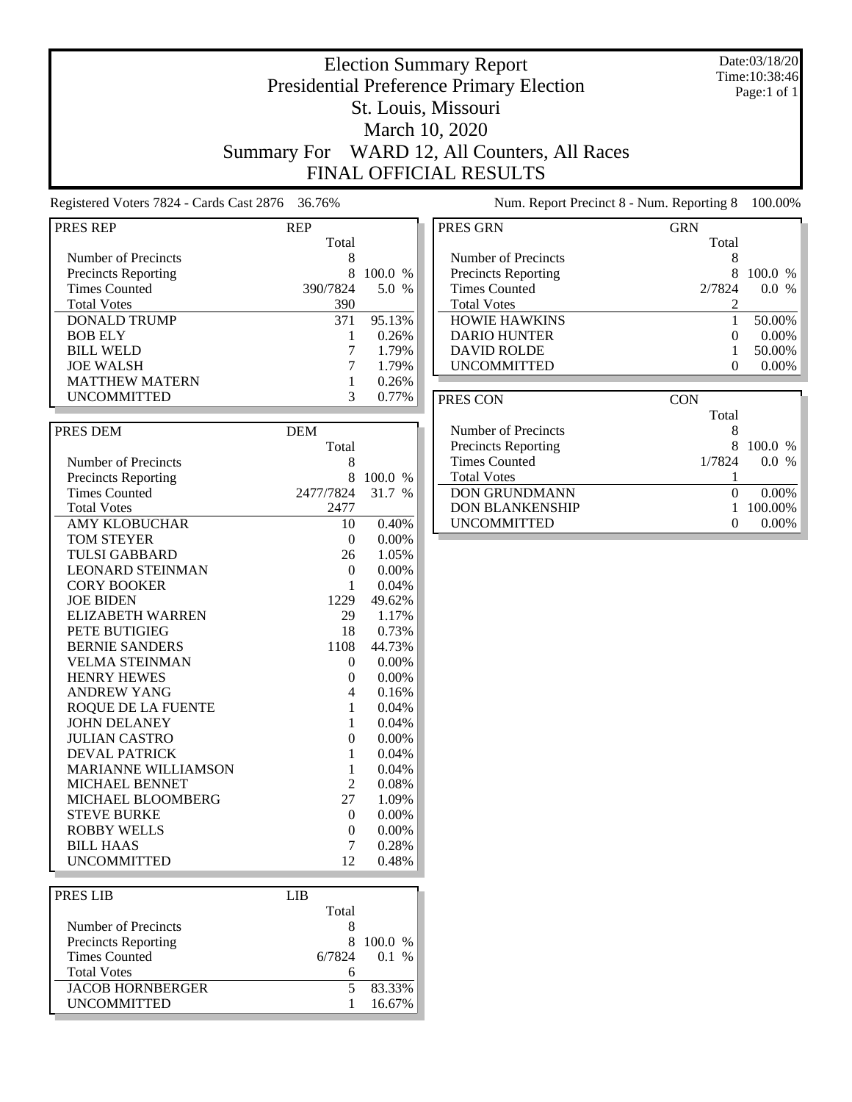### Date:03/18/20 Time:10:38:46 Page:1 of 1

## Presidential Preference Primary Election St. Louis, Missouri March 10, 2020 Summary For WARD 12, All Counters, All Races FINAL OFFICIAL RESULTS

Election Summary Report

Registered Voters 7824 - Cards Cast 2876 36.76% Num. Report Precinct 8 - Num. Reporting 8 100.00%

| <b>PRES REP</b>            | <b>REP</b>     |                |
|----------------------------|----------------|----------------|
|                            | Total          |                |
| Number of Precincts        | 8              |                |
| <b>Precincts Reporting</b> | 8              | 100.0 %        |
| <b>Times Counted</b>       | 390/7824       | 5.0 %          |
| <b>Total Votes</b>         | 390            |                |
| <b>DONALD TRUMP</b>        | 371            | 95.13%         |
| <b>BOB ELY</b>             | 1              | 0.26%          |
| <b>BILL WELD</b>           | 7              | 1.79%          |
| <b>JOE WALSH</b>           | 7              | 1.79%          |
| <b>MATTHEW MATERN</b>      | 1              | 0.26%          |
| <b>UNCOMMITTED</b>         | 3              | 0.77%          |
|                            |                |                |
|                            |                |                |
| PRES DEM                   | <b>DEM</b>     |                |
|                            | Total          |                |
| Number of Precincts        | 8              |                |
| <b>Precincts Reporting</b> | 8              | 100.0 %        |
| <b>Times Counted</b>       | 2477/7824      | 31.7 %         |
| <b>Total Votes</b>         | 2477           |                |
| <b>AMY KLOBUCHAR</b>       | 10             | 0.40%          |
| TOM STEYER                 | 0              | 0.00%          |
| <b>TULSI GABBARD</b>       | 26             | 1.05%          |
| <b>LEONARD STEINMAN</b>    | $\overline{0}$ | $0.00\%$       |
| <b>CORY BOOKER</b>         | $\mathbf{1}$   | 0.04%          |
| <b>JOE BIDEN</b>           | 1229           | 49.62%         |
| <b>ELIZABETH WARREN</b>    | 29             | 1.17%          |
| PETE BUTIGIEG              | 18             | 0.73%          |
| <b>BERNIE SANDERS</b>      | 1108           | 44.73%         |
| <b>VELMA STEINMAN</b>      | 0              | 0.00%          |
| <b>HENRY HEWES</b>         | $\overline{0}$ | 0.00%          |
| <b>ANDREW YANG</b>         | 4              | 0.16%          |
| ROQUE DE LA FUENTE         | 1              | 0.04%          |
| <b>JOHN DELANEY</b>        | 1              | 0.04%          |
| <b>JULIAN CASTRO</b>       | $\overline{0}$ | 0.00%          |
| <b>DEVAL PATRICK</b>       | $\mathbf{1}$   | 0.04%          |
| <b>MARIANNE WILLIAMSON</b> | 1              | 0.04%          |
| MICHAEL BENNET             | 2              | 0.08%          |
| MICHAEL BLOOMBERG          | 27             |                |
| <b>STEVE BURKE</b>         | 0              | 1.09%<br>0.00% |
|                            |                |                |
| <b>ROBBY WELLS</b>         | $\overline{0}$ | 0.00%          |
| BILL HAAS                  | 7              | 0.28%          |
| <b>UNCOMMITTED</b>         | 12             | 0.48%          |
|                            |                |                |
| PRES LIB                   | <b>LIB</b>     |                |
|                            | Total          |                |
| Number of Precincts        | 8              |                |
| <b>Precincts Reporting</b> | 8              | 100.0 %        |
| <b>Times Counted</b>       | 6/7824         | 0.1 %          |

Times Counted

UNCOMMITTED

Total Votes 6

JACOB HORNBERGER 5 83.33%<br>UNCOMMITTED 1 16.67%

| PRES GRN                   | <b>GRN</b> |             |
|----------------------------|------------|-------------|
|                            | Total      |             |
| Number of Precincts        |            |             |
| <b>Precincts Reporting</b> | 8          | 100.0       |
| <b>Times Counted</b>       | 2/7824     | 0.0<br>$\%$ |
| <b>Total Votes</b>         |            |             |
| <b>HOWIE HAWKINS</b>       |            | 50.00%      |
| <b>DARIO HUNTER</b>        |            | $0.00\%$    |
| <b>DAVID ROLDE</b>         |            | 50.00%      |
| <b>UNCOMMITTED</b>         |            | $0.00\%$    |
|                            |            |             |

| PRES CON                   | <b>CON</b>                    |  |
|----------------------------|-------------------------------|--|
|                            | Total                         |  |
| Number of Precincts        | 8                             |  |
| <b>Precincts Reporting</b> | x<br>$100.0\%$                |  |
| <b>Times Counted</b>       | $\%$<br>1/7824<br>0.0         |  |
| <b>Total Votes</b>         |                               |  |
| <b>DON GRUNDMANN</b>       | $0.00\%$                      |  |
| <b>DON BLANKENSHIP</b>     | 100.00%                       |  |
| <b>UNCOMMITTED</b>         | $0.00\%$<br>$\mathbf{\Omega}$ |  |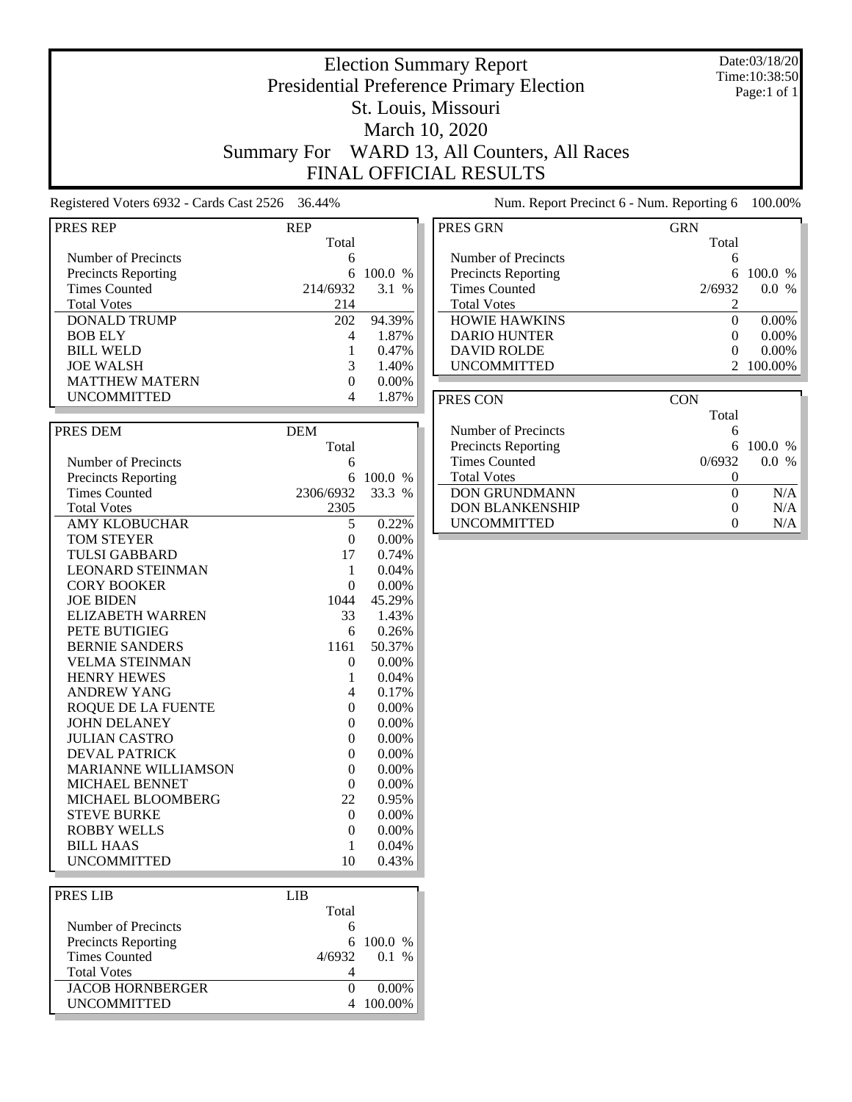### Date:03/18/20 Time:10:38:50 Page:1 of 1

## Election Summary Report Presidential Preference Primary Election St. Louis, Missouri March 10, 2020 Summary For WARD 13, All Counters, All Races FINAL OFFICIAL RESULTS

Registered Voters 6932 - Cards Cast 2526 36.44% Num. Report Precinct 6 - Num. Reporting 6 100.00%

| PRES REP                   | <b>REP</b>     |          |
|----------------------------|----------------|----------|
|                            | Total          |          |
| Number of Precincts        | 6              |          |
| <b>Precincts Reporting</b> | 6              | 100.0 %  |
| <b>Times Counted</b>       | 214/6932       | 3.1%     |
| <b>Total Votes</b>         | 214            |          |
| <b>DONALD TRUMP</b>        | 202            | 94.39%   |
| <b>BOB ELY</b>             | 4              | 1.87%    |
| <b>BILL WELD</b>           | $\mathbf{1}$   | 0.47%    |
| <b>JOE WALSH</b>           | 3              | 1.40%    |
| <b>MATTHEW MATERN</b>      | $\Omega$       | 0.00%    |
| <b>UNCOMMITTED</b>         | 4              | 1.87%    |
|                            |                |          |
| PRES DEM                   | <b>DEM</b>     |          |
|                            |                |          |
|                            | Total          |          |
| Number of Precincts        | 6              |          |
| <b>Precincts Reporting</b> | 6              | 100.0 %  |
| <b>Times Counted</b>       | 2306/6932      | 33.3 %   |
| <b>Total Votes</b>         | 2305           |          |
| AMY KLOBUCHAR              | 5              | 0.22%    |
| <b>TOM STEYER</b>          | $\overline{0}$ | 0.00%    |
| <b>TULSI GABBARD</b>       | 17             | 0.74%    |
| <b>LEONARD STEINMAN</b>    | 1              | 0.04%    |
| <b>CORY BOOKER</b>         | $\Omega$       | $0.00\%$ |
| <b>JOE BIDEN</b>           | 1044           | 45.29%   |
| <b>ELIZABETH WARREN</b>    | 33             | 1.43%    |
| PETE BUTIGIEG              | 6              | 0.26%    |
| <b>BERNIE SANDERS</b>      | 1161           | 50.37%   |
| <b>VELMA STEINMAN</b>      | $\Omega$       | 0.00%    |
| <b>HENRY HEWES</b>         | 1              | 0.04%    |
| <b>ANDREW YANG</b>         | 4              | 0.17%    |
| <b>ROQUE DE LA FUENTE</b>  | $\theta$       | 0.00%    |
| <b>JOHN DELANEY</b>        | $\theta$       | $0.00\%$ |
| <b>JULIAN CASTRO</b>       | $\theta$       | 0.00%    |
| <b>DEVAL PATRICK</b>       | 0              | 0.00%    |
| <b>MARIANNE WILLIAMSON</b> | $\overline{0}$ | 0.00%    |
| MICHAEL BENNET             | $\Omega$       | $0.00\%$ |
| MICHAEL BLOOMBERG          | 22             | 0.95%    |
| <b>STEVE BURKE</b>         | $\overline{0}$ | 0.00%    |
| <b>ROBBY WELLS</b>         | $\overline{0}$ | 0.00%    |
| <b>BILL HAAS</b>           | 1              | 0.04%    |
| <b>UNCOMMITTED</b>         | 10             | 0.43%    |
|                            |                |          |
| PRES LIB                   | <b>LIB</b>     |          |
|                            | Total          |          |
| Number of Precincts        |                |          |
|                            | 6              |          |

Precincts Reporting 6 100.0 %<br>Times Counted 4/6932 0.1 %

 $\fbox{JACOB HORNBERGER} \begin{tabular}{c} 0 & 0.00\% \\ \hline 0.000\% & 0.000\% \\ \end{tabular}$ 

Total Votes 4

Times Counted

| PRES GRN                   | GRN    |           |
|----------------------------|--------|-----------|
|                            | Total  |           |
| Number of Precincts        |        |           |
| <b>Precincts Reporting</b> |        | -100.0    |
| <b>Times Counted</b>       | 2/6932 | 0.0       |
| <b>Total Votes</b>         |        |           |
| <b>HOWIE HAWKINS</b>       |        | $0.00\%$  |
| <b>DARIO HUNTER</b>        |        | $0.00\%$  |
| <b>DAVID ROLDE</b>         |        | $0.00\%$  |
| <b>UNCOMMITTED</b>         |        | 2 100.00% |
|                            |        |           |

| PRES CON                   | CON    |                     |
|----------------------------|--------|---------------------|
|                            | Total  |                     |
| Number of Precincts        | 6      |                     |
| <b>Precincts Reporting</b> |        | $6\quad100.0\%$     |
| <b>Times Counted</b>       | 0/6932 | $\frac{0}{6}$<br>00 |
| <b>Total Votes</b>         |        |                     |
| <b>DON GRUNDMANN</b>       |        | N/A                 |
| <b>DON BLANKENSHIP</b>     |        | N/A                 |
| <b>UNCOMMITTED</b>         |        | N/A                 |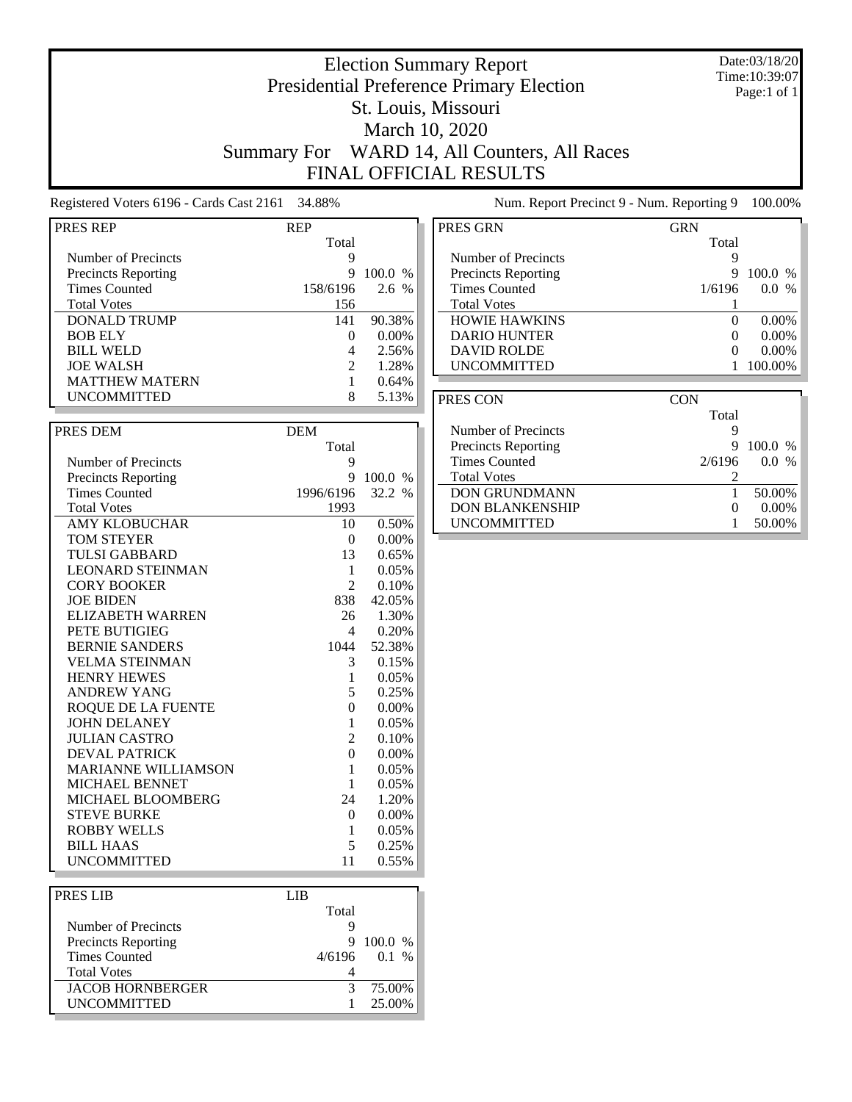### Date:03/18/20 Time:10:39:07 Page:1 of 1

## Presidential Preference Primary Election St. Louis, Missouri March 10, 2020 Summary For WARD 14, All Counters, All Races FINAL OFFICIAL RESULTS

Election Summary Report

## Registered Voters 6196 - Cards Cast 2161 34.88% Num. Report Precinct 9 - Num. Reporting 9 100.00%

| PRES REP                   | <b>REP</b>                  |           | PR |
|----------------------------|-----------------------------|-----------|----|
|                            | Total                       |           |    |
| Number of Precincts        | 9                           |           |    |
| <b>Precincts Reporting</b> | 9                           | $100.0\%$ |    |
| Times Counted              | 158/6196                    | 2.6 %     |    |
| <b>Total Votes</b>         | 156                         |           |    |
| DONALD TRUMP               | 141                         | 90.38%    |    |
| <b>BOB ELY</b>             | $\mathbf{\Omega}$           | $0.00\%$  |    |
| <b>BILL WELD</b>           |                             | 2.56%     |    |
| <b>JOE WALSH</b>           | $\mathcal{D}_{\mathcal{L}}$ | 1.28%     |    |
| <b>MATTHEW MATERN</b>      |                             | 0.64%     |    |
| <b>UNCOMMITTED</b>         | 8                           | 5.13%     |    |

| PRES DEM                   | <b>DEM</b>       |          |
|----------------------------|------------------|----------|
|                            | Total            |          |
| Number of Precincts        | 9                |          |
| <b>Precincts Reporting</b> | 9                | 100.0 %  |
| <b>Times Counted</b>       | 1996/6196        | 32.2 %   |
| <b>Total Votes</b>         | 1993             |          |
| <b>AMY KLOBUCHAR</b>       | 10               | 0.50%    |
| TOM STEYER                 | $\Omega$         | $0.00\%$ |
| TULSI GABBARD              | 13               | 0.65%    |
| <b>LEONARD STEINMAN</b>    | 1                | 0.05%    |
| <b>CORY BOOKER</b>         | $\overline{2}$   | 0.10%    |
| <b>JOE BIDEN</b>           | 838              | 42.05%   |
| ELIZABETH WARREN           | 26               | 1.30%    |
| PETE BUTIGIEG              | 4                | 0.20%    |
| <b>BERNIE SANDERS</b>      | 1044             | 52.38%   |
| <b>VELMA STEINMAN</b>      | 3                | 0.15%    |
| <b>HENRY HEWES</b>         | 1                | 0.05%    |
| <b>ANDREW YANG</b>         | 5                | 0.25%    |
| ROQUE DE LA FUENTE         | $\theta$         | $0.00\%$ |
| <b>JOHN DELANEY</b>        | 1                | 0.05%    |
| <b>JULIAN CASTRO</b>       | $\overline{c}$   | 0.10%    |
| <b>DEVAL PATRICK</b>       | $\boldsymbol{0}$ | $0.00\%$ |
| <b>MARIANNE WILLIAMSON</b> | 1                | 0.05%    |
| <b>MICHAEL BENNET</b>      | 1                | 0.05%    |
| <b>MICHAEL BLOOMBERG</b>   | 24               | 1.20%    |
| <b>STEVE BURKE</b>         | 0                | $0.00\%$ |
| <b>ROBBY WELLS</b>         | 1                | 0.05%    |
| <b>BILL HAAS</b>           | 5                | 0.25%    |
| <b>UNCOMMITTED</b>         | 11               | 0.55%    |

| <b>PRES LIB</b>            | LIB.  |                |
|----------------------------|-------|----------------|
|                            | Total |                |
| Number of Precincts        |       |                |
| <b>Precincts Reporting</b> | 9     | 100.0 %        |
| <b>Times Counted</b>       |       | $4/6196$ 0.1 % |
| <b>Total Votes</b>         |       |                |
| <b>JACOB HORNBERGER</b>    |       | 75.00%         |
| <b>UNCOMMITTED</b>         |       | 25.00%         |
|                            |       |                |

| PRES GRN                   | GRN      |                          |
|----------------------------|----------|--------------------------|
|                            | Total    |                          |
| Number of Precincts        | 9        |                          |
| <b>Precincts Reporting</b> | 9        | 100.0 %                  |
| <b>Times Counted</b>       | 1/6196   | $0.0^-$<br>$\frac{0}{0}$ |
| <b>Total Votes</b>         |          |                          |
| <b>HOWIE HAWKINS</b>       | $\Omega$ | $0.00\%$                 |
| <b>DARIO HUNTER</b>        |          | $0.00\%$                 |
| <b>DAVID ROLDE</b>         | $\Omega$ | $0.00\%$                 |
| <b>UNCOMMITTED</b>         |          | 100.00%                  |
|                            |          |                          |

| PRES CON                   | <b>CON</b> |                          |
|----------------------------|------------|--------------------------|
|                            | Total      |                          |
| Number of Precincts        |            |                          |
| <b>Precincts Reporting</b> | 9          | 100.0 %                  |
| <b>Times Counted</b>       | 2/6196     | $\frac{0}{0}$<br>$0.0^-$ |
| <b>Total Votes</b>         |            |                          |
| <b>DON GRUNDMANN</b>       |            | 50.00%                   |
| <b>DON BLANKENSHIP</b>     |            | $0.00\%$                 |
| <b>UNCOMMITTED</b>         |            | 50.00%                   |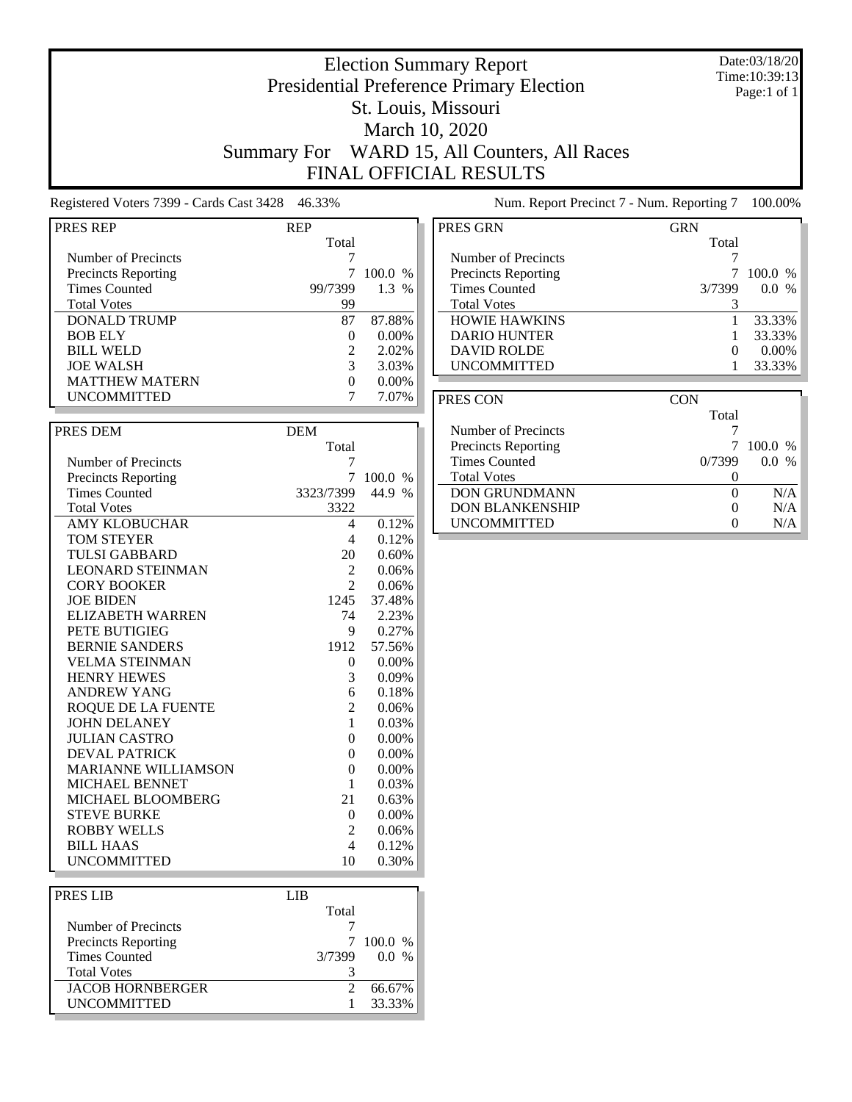### Date:03/18/20 Time:10:39:13 Page:1 of 1

## St. Louis, Missouri March 10, 2020

Election Summary Report Presidential Preference Primary Election

Summary For WARD 15, All Counters, All Races FINAL OFFICIAL RESULTS

Registered Voters 7399 - Cards Cast 3428 46.33% Num. Report Precinct 7 - Num. Reporting 7 100.00%

| PRES REP                   | <b>REP</b>       |          |
|----------------------------|------------------|----------|
|                            | Total            |          |
| Number of Precincts        | 7                |          |
| <b>Precincts Reporting</b> | 7                | 100.0 %  |
| <b>Times Counted</b>       | 99/7399          | 1.3 %    |
| <b>Total Votes</b>         | 99               |          |
|                            |                  |          |
| <b>DONALD TRUMP</b>        | 87               | 87.88%   |
| <b>BOB ELY</b>             | 0                | $0.00\%$ |
| <b>BILL WELD</b>           | $\overline{2}$   | 2.02%    |
| <b>JOE WALSH</b>           | 3                | 3.03%    |
| <b>MATTHEW MATERN</b>      | $\overline{0}$   | 0.00%    |
| <b>UNCOMMITTED</b>         | 7                | 7.07%    |
|                            |                  |          |
| PRES DEM                   | <b>DEM</b>       |          |
|                            | Total            |          |
| Number of Precincts        | 7                |          |
| <b>Precincts Reporting</b> | 7                | 100.0 %  |
| <b>Times Counted</b>       | 3323/7399        | 44.9 %   |
| <b>Total Votes</b>         | 3322             |          |
| <b>AMY KLOBUCHAR</b>       | 4                | 0.12%    |
| <b>TOM STEYER</b>          | 4                | 0.12%    |
| <b>TULSI GABBARD</b>       | 20               | 0.60%    |
|                            |                  |          |
| <b>LEONARD STEINMAN</b>    | 2                | 0.06%    |
| <b>CORY BOOKER</b>         | $\overline{c}$   | 0.06%    |
| <b>JOE BIDEN</b>           | 1245             | 37.48%   |
| <b>ELIZABETH WARREN</b>    | 74               | 2.23%    |
| PETE BUTIGIEG              | 9                | 0.27%    |
| <b>BERNIE SANDERS</b>      | 1912             | 57.56%   |
| <b>VELMA STEINMAN</b>      | 0                | $0.00\%$ |
| <b>HENRY HEWES</b>         | 3                | 0.09%    |
| <b>ANDREW YANG</b>         | 6                | 0.18%    |
| ROQUE DE LA FUENTE         | $\overline{c}$   | 0.06%    |
| <b>JOHN DELANEY</b>        | $\mathbf{1}$     | 0.03%    |
| <b>JULIAN CASTRO</b>       | $\boldsymbol{0}$ | $0.00\%$ |
| <b>DEVAL PATRICK</b>       | $\theta$         | 0.00%    |
| <b>MARIANNE WILLIAMSON</b> | $\theta$         | $0.00\%$ |
| MICHAEL BENNET             | 1                | 0.03%    |
| MICHAEL BLOOMBERG          | 21               | 0.63%    |
| <b>STEVE BURKE</b>         | 0                | 0.00%    |
| <b>ROBBY WELLS</b>         | $\overline{2}$   |          |
|                            |                  | 0.06%    |
| <b>BILL HAAS</b>           | 4                | 0.12%    |
| <b>UNCOMMITTED</b>         | 10               | 0.30%    |
|                            |                  |          |
| PRES LIB                   | LIB              |          |
|                            | Total            |          |
| Number of Precincts        | 7                |          |
| <b>Precincts Reporting</b> | 7                | 100.0 %  |

Precincts Reporting 7 100.0 %<br>Times Counted 3/7399 0.0 %

JACOB HORNBERGER 2 66.67%<br>UNCOMMITTED 1 33.33%

Total Votes 3

Times Counted

| PRES GRN                   | <b>GRN</b> |           |
|----------------------------|------------|-----------|
|                            | Total      |           |
| Number of Precincts        |            |           |
| <b>Precincts Reporting</b> |            | $100.0\%$ |
| <b>Times Counted</b>       | 3/7399     | $\%$      |
| <b>Total Votes</b>         |            |           |
| <b>HOWIE HAWKINS</b>       |            | 33.33%    |
| <b>DARIO HUNTER</b>        |            | 33.33%    |
| <b>DAVID ROLDE</b>         | 0          | $0.00\%$  |
| <b>UNCOMMITTED</b>         |            | 33.33%    |

| PRES CON                   | <b>CON</b> |                      |
|----------------------------|------------|----------------------|
|                            | Total      |                      |
| Number of Precincts        |            |                      |
| <b>Precincts Reporting</b> |            | 100.0 %              |
| <b>Times Counted</b>       | 0/7399     | $\frac{0}{6}$<br>0.0 |
| <b>Total Votes</b>         |            |                      |
| <b>DON GRUNDMANN</b>       |            | N/A                  |
| <b>DON BLANKENSHIP</b>     |            | N/A                  |
| <b>UNCOMMITTED</b>         |            | N/A                  |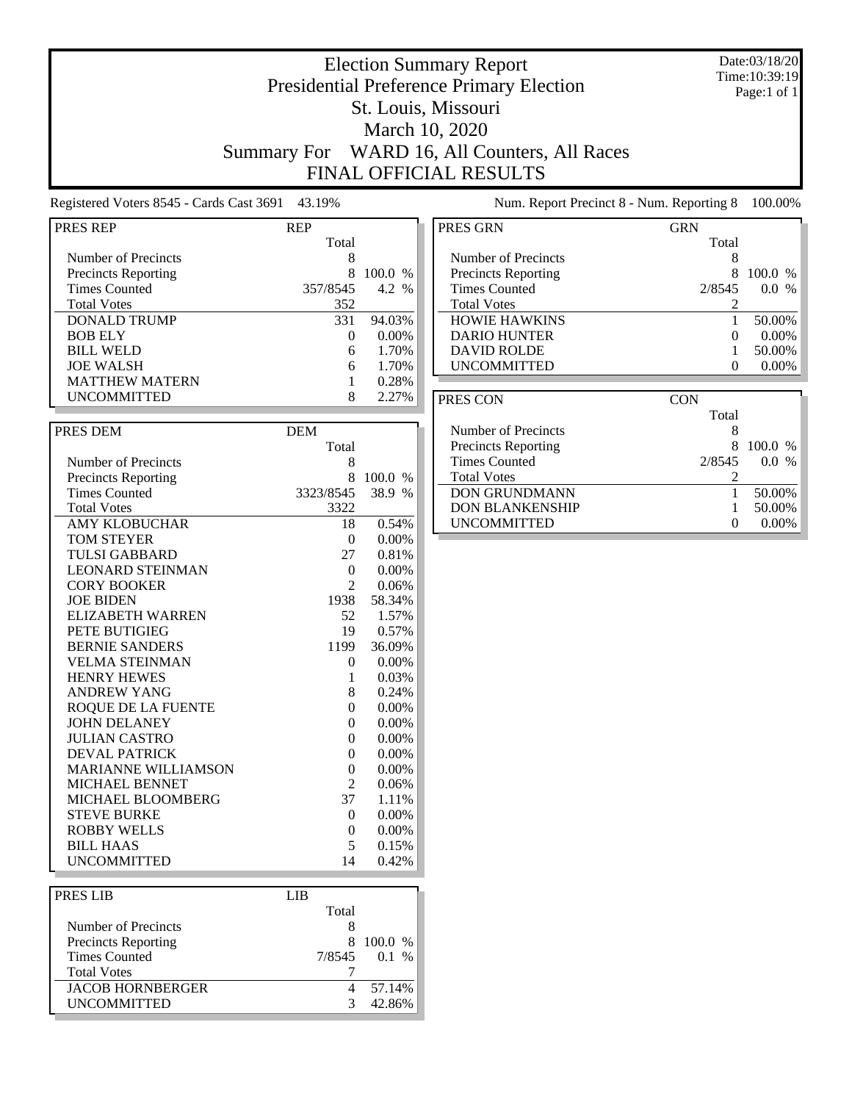### Date:03/18/20 Time:10:39:19 Page:1 of 1

## Presidential Preference Primary Election St. Louis, Missouri March 10, 2020 Summary For WARD 16, All Counters, All Races FINAL OFFICIAL RESULTS

Election Summary Report

Registered Voters 8545 - Cards Cast 3691 43.19% Num. Report Precinct 8 - Num. Reporting 8 100.00%

| PRES REP                   | REP            |          |
|----------------------------|----------------|----------|
|                            | Total          |          |
| Number of Precincts        | 8              |          |
| <b>Precincts Reporting</b> | 8              | 100.0 %  |
| <b>Times Counted</b>       | 357/8545       | 4.2 %    |
| <b>Total Votes</b>         | 352            |          |
| <b>DONALD TRUMP</b>        | 331            | 94.03%   |
| <b>BOB ELY</b>             | $\theta$       | $0.00\%$ |
| <b>BILL WELD</b>           | 6              | 1.70%    |
| <b>JOE WALSH</b>           | 6              | 1.70%    |
| <b>MATTHEW MATERN</b>      | 1              | 0.28%    |
| <b>UNCOMMITTED</b>         | 8              | 2.27%    |
|                            |                |          |
| PRES DEM                   | <b>DEM</b>     |          |
|                            | Total          |          |
|                            |                |          |
| Number of Precincts        | 8<br>8         | 100.0 %  |
| <b>Precincts Reporting</b> |                | 38.9 %   |
| <b>Times Counted</b>       | 3323/8545      |          |
| <b>Total Votes</b>         | 3322           |          |
| <b>AMY KLOBUCHAR</b>       | 18             | 0.54%    |
| <b>TOM STEYER</b>          | $\theta$       | 0.00%    |
| <b>TULSI GABBARD</b>       | 27             | 0.81%    |
| <b>LEONARD STEINMAN</b>    | $\overline{0}$ | 0.00%    |
| <b>CORY BOOKER</b>         | $\overline{2}$ | 0.06%    |
| <b>JOE BIDEN</b>           | 1938           | 58.34%   |
| <b>ELIZABETH WARREN</b>    | 52             | 1.57%    |
| PETE BUTIGIEG              | 19             | 0.57%    |
| <b>BERNIE SANDERS</b>      | 1199           | 36.09%   |
| <b>VELMA STEINMAN</b>      | 0              | 0.00%    |
| <b>HENRY HEWES</b>         | 1              | 0.03%    |
| <b>ANDREW YANG</b>         | 8              | 0.24%    |
| <b>ROQUE DE LA FUENTE</b>  | $\overline{0}$ | 0.00%    |
| <b>JOHN DELANEY</b>        | $\theta$       | 0.00%    |
| <b>JULIAN CASTRO</b>       | 0              | 0.00%    |
| <b>DEVAL PATRICK</b>       | $\overline{0}$ | 0.00%    |
| <b>MARIANNE WILLIAMSON</b> | $\theta$       | $0.00\%$ |
| MICHAEL BENNET             | $\overline{c}$ | 0.06%    |
| MICHAEL BLOOMBERG          | 37             | 1.11%    |
| <b>STEVE BURKE</b>         | 0              | $0.00\%$ |
| <b>ROBBY WELLS</b>         | $\theta$       | 0.00%    |
| <b>BILL HAAS</b>           | 5              | 0.15%    |
| <b>UNCOMMITTED</b>         | 14             | 0.42%    |
|                            |                |          |
| <b>PRES LIB</b>            | <b>LIB</b>     |          |
|                            | Total          |          |

| <b>PRES GRN</b>            | <b>GRN</b>        |
|----------------------------|-------------------|
|                            | Total             |
| Number of Precincts        | 8                 |
| <b>Precincts Reporting</b> | 8<br>100.0 %      |
| <b>Times Counted</b>       | 2/8545<br>$0.0\%$ |
| <b>Total Votes</b>         |                   |
| <b>HOWIE HAWKINS</b>       | 50.00%            |
| <b>DARIO HUNTER</b>        | $0.00\%$          |
| <b>DAVID ROLDE</b>         | 50.00%            |
| <b>UNCOMMITTED</b>         | $0.00\%$          |

| PRES CON                   | <b>CON</b>        |                      |
|----------------------------|-------------------|----------------------|
|                            | Total             |                      |
| Number of Precincts        | 8                 |                      |
| <b>Precincts Reporting</b> | x                 | 100.0 %              |
| <b>Times Counted</b>       | 2/8545            | 0.0<br>$\frac{0}{6}$ |
| <b>Total Votes</b>         |                   |                      |
| <b>DON GRUNDMANN</b>       |                   | 50.00%               |
| <b>DON BLANKENSHIP</b>     |                   | 50.00%               |
| <b>UNCOMMITTED</b>         | $\mathbf{\Omega}$ |                      |
|                            |                   |                      |

| <b>PRES LIB</b>            | LIB   |                |
|----------------------------|-------|----------------|
|                            | Total |                |
| Number of Precincts        |       |                |
| <b>Precincts Reporting</b> |       | 8 100.0 %      |
| <b>Times Counted</b>       |       | $7/8545$ 0.1 % |
| <b>Total Votes</b>         |       |                |
| <b>JACOB HORNBERGER</b>    |       | 57.14%         |
| <b>UNCOMMITTED</b>         | 3     | 42.86%         |
|                            |       |                |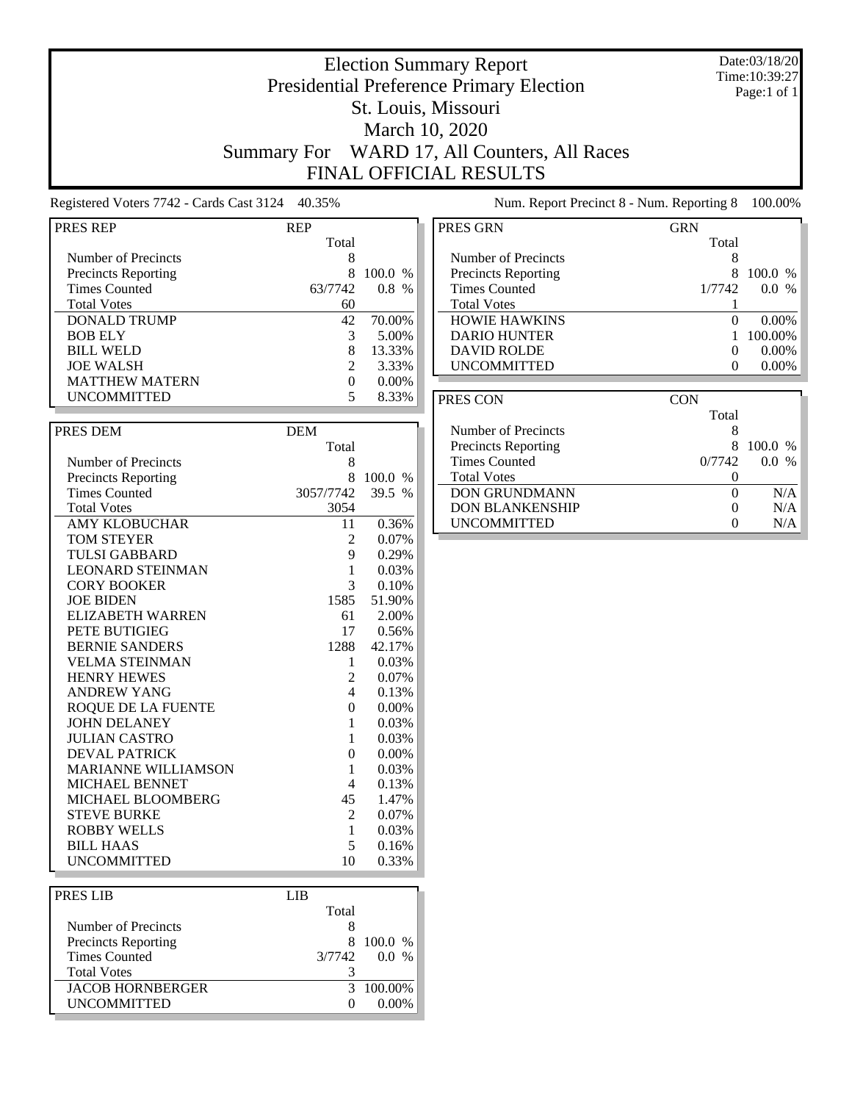### Date:03/18/20 Time:10:39:27 Page:1 of 1

## Presidential Preference Primary Election St. Louis, Missouri March 10, 2020 Summary For WARD 17, All Counters, All Races FINAL OFFICIAL RESULTS

Election Summary Report

Registered Voters 7742 - Cards Cast 3124 40.35% Num. Report Precinct 8 - Num. Reporting 8 100.00%

| PRES REP                   | REP                        |          |
|----------------------------|----------------------------|----------|
|                            | Total                      |          |
| Number of Precincts        | 8                          |          |
| <b>Precincts Reporting</b> | 8                          | 100.0 %  |
| <b>Times Counted</b>       | 63/7742                    | $0.8\%$  |
|                            |                            |          |
| <b>Total Votes</b>         | 60                         |          |
| <b>DONALD TRUMP</b>        | 42                         | 70.00%   |
| <b>BOB ELY</b>             | 3                          | 5.00%    |
| <b>BILL WELD</b>           | 8                          | 13.33%   |
| <b>JOE WALSH</b>           | $\overline{c}$             | 3.33%    |
| <b>MATTHEW MATERN</b>      | 0                          | 0.00%    |
| <b>UNCOMMITTED</b>         | 5                          | 8.33%    |
|                            |                            |          |
| PRES DEM                   | <b>DEM</b>                 |          |
|                            | Total                      |          |
| Number of Precincts        | 8                          |          |
| <b>Precincts Reporting</b> | 8                          | 100.0 %  |
| <b>Times Counted</b>       | 3057/7742                  | 39.5 %   |
| <b>Total Votes</b>         | 3054                       |          |
| <b>AMY KLOBUCHAR</b>       | 11                         | 0.36%    |
| <b>TOM STEYER</b>          | 2                          | 0.07%    |
| <b>TULSI GABBARD</b>       | 9                          | 0.29%    |
| <b>LEONARD STEINMAN</b>    | 1                          | 0.03%    |
| <b>CORY BOOKER</b>         | 3                          | 0.10%    |
| <b>JOE BIDEN</b>           | 1585                       | 51.90%   |
| <b>ELIZABETH WARREN</b>    | 61                         | 2.00%    |
| PETE BUTIGIEG              | 17                         | 0.56%    |
| <b>BERNIE SANDERS</b>      | 1288                       | 42.17%   |
| <b>VELMA STEINMAN</b>      | 1                          | 0.03%    |
| <b>HENRY HEWES</b>         | $\overline{2}$             | 0.07%    |
| <b>ANDREW YANG</b>         | $\overline{4}$             | 0.13%    |
| <b>ROQUE DE LA FUENTE</b>  | $\theta$                   | 0.00%    |
| <b>JOHN DELANEY</b>        | 1                          | 0.03%    |
| <b>JULIAN CASTRO</b>       |                            |          |
|                            | 1                          | $0.03\%$ |
| <b>DEVAL PATRICK</b>       | $\overline{0}$             | 0.00%    |
| <b>MARIANNE WILLIAMSON</b> | 1                          | 0.03%    |
| MICHAEL BENNET             | 4                          | 0.13%    |
| MICHAEL BLOOMBERG          | 45                         | 1.47%    |
| <b>STEVE BURKE</b>         | 2                          | 0.07%    |
| <b>ROBBY WELLS</b>         | 1                          | 0.03%    |
| <b>BILL HAAS</b>           | 5                          | 0.16%    |
| <b>UNCOMMITTED</b>         | 10                         | 0.33%    |
|                            |                            |          |
| <b>PRES LIB</b>            | <b>LIB</b>                 |          |
|                            | $T_{\alpha \tau \alpha}$ 1 |          |

| PRES LIB                   |                   |             |
|----------------------------|-------------------|-------------|
|                            | Total             |             |
| Number of Precincts        |                   |             |
| <b>Precincts Reporting</b> | x                 | 100.0 %     |
| <b>Times Counted</b>       | 3/7742            | 0.0<br>$\%$ |
| <b>Total Votes</b>         |                   |             |
| <b>JACOB HORNBERGER</b>    |                   | 3 100.00%   |
| <b>UNCOMMITTED</b>         | $\mathbf{\Omega}$ | 0.00%       |
|                            |                   |             |

| PRES GRN                   | <b>GRN</b>        |           |
|----------------------------|-------------------|-----------|
|                            | Total             |           |
| Number of Precincts        | 8                 |           |
| <b>Precincts Reporting</b> | 8                 | $100.0\%$ |
| <b>Times Counted</b>       | 1/7742            | $0.0\%$   |
| <b>Total Votes</b>         |                   |           |
| <b>HOWIE HAWKINS</b>       | $\mathbf{0}$      | $0.00\%$  |
| <b>DARIO HUNTER</b>        |                   | 100.00%   |
| <b>DAVID ROLDE</b>         | $\Omega$          | $0.00\%$  |
| <b>UNCOMMITTED</b>         | $\mathbf{\Omega}$ | $0.00\%$  |
|                            |                   |           |
|                            |                   |           |

| PRES CON                   | <b>CON</b> |            |
|----------------------------|------------|------------|
|                            | Total      |            |
| Number of Precincts        | x          |            |
| <b>Precincts Reporting</b> |            | $100.0\%$  |
| <b>Times Counted</b>       | 0/7742     | $\%$<br>00 |
| <b>Total Votes</b>         |            |            |
| <b>DON GRUNDMANN</b>       |            | N/A        |
| <b>DON BLANKENSHIP</b>     | $\theta$   | N/A        |
| <b>UNCOMMITTED</b>         |            | N/A        |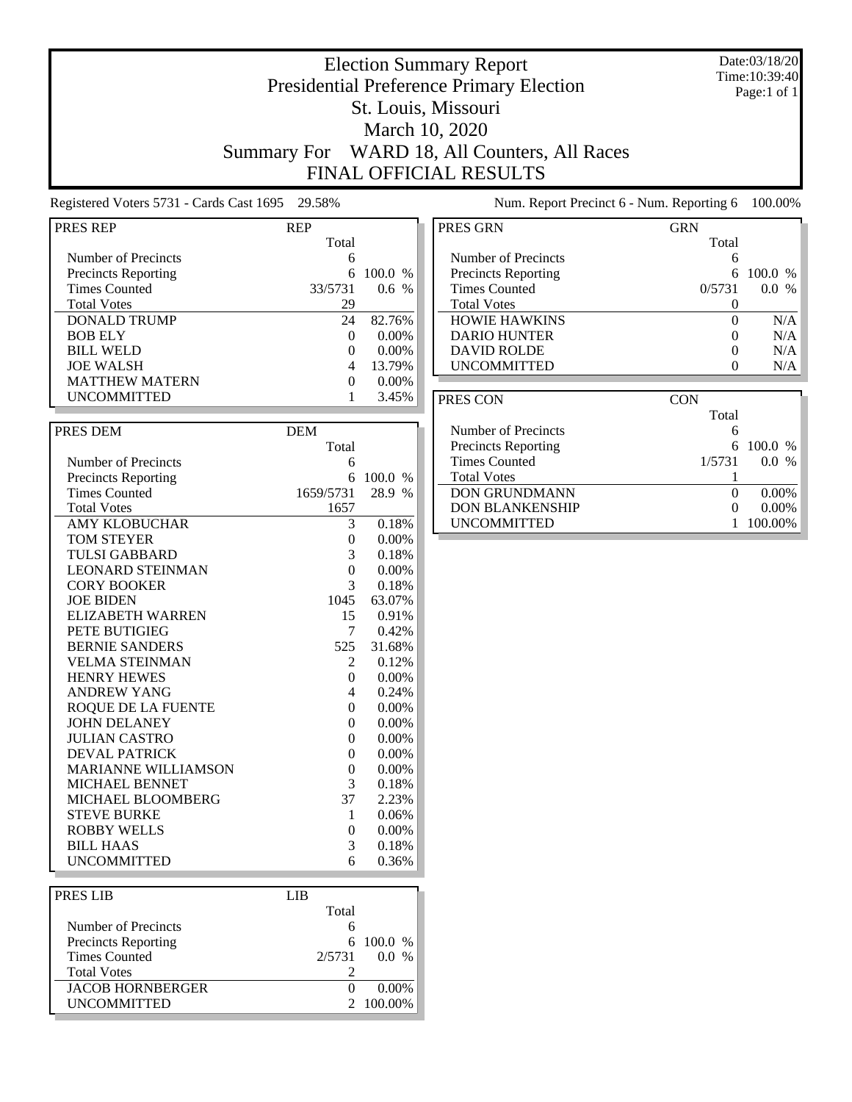### Date:03/18/20 Time:10:39:40 Page:1 of 1

## Election Summary Report Presidential Preference Primary Election St. Louis, Missouri March 10, 2020 Summary For WARD 18, All Counters, All Races FINAL OFFICIAL RESULTS

Registered Voters 5731 - Cards Cast 1695 29.58% Num. Report Precinct 6 - Num. Reporting 6 100.00%

| <b>PRES REP</b>            | <b>REP</b>       |          |
|----------------------------|------------------|----------|
|                            | Total            |          |
| Number of Precincts        | 6                |          |
| <b>Precincts Reporting</b> | 6                | 100.0 %  |
| <b>Times Counted</b>       | 33/5731          | 0.6 %    |
| <b>Total Votes</b>         | 29               |          |
| <b>DONALD TRUMP</b>        | 24               | 82.76%   |
| <b>BOB ELY</b>             | 0                | 0.00%    |
| <b>BILL WELD</b>           | $\theta$         | 0.00%    |
| <b>JOE WALSH</b>           | 4                | 13.79%   |
| <b>MATTHEW MATERN</b>      | $\mathbf{0}$     | 0.00%    |
| <b>UNCOMMITTED</b>         | 1                | 3.45%    |
|                            |                  |          |
| PRES DEM                   | <b>DEM</b>       |          |
|                            | Total            |          |
| Number of Precincts        |                  |          |
|                            | 6<br>6           |          |
| <b>Precincts Reporting</b> |                  | 100.0 %  |
| <b>Times Counted</b>       | 1659/5731        | 28.9 %   |
| <b>Total Votes</b>         | 1657             |          |
| <b>AMY KLOBUCHAR</b>       | 3                | 0.18%    |
| <b>TOM STEYER</b>          | 0                | 0.00%    |
| <b>TULSI GABBARD</b>       | 3                | 0.18%    |
| <b>LEONARD STEINMAN</b>    | $\theta$         | $0.00\%$ |
| <b>CORY BOOKER</b>         | 3                | 0.18%    |
| <b>JOE BIDEN</b>           | 1045             | 63.07%   |
| <b>ELIZABETH WARREN</b>    | 15               | 0.91%    |
| PETE BUTIGIEG              | 7                | 0.42%    |
| <b>BERNIE SANDERS</b>      | 525              | 31.68%   |
| <b>VELMA STEINMAN</b>      | 2                | 0.12%    |
| <b>HENRY HEWES</b>         | $\theta$         | 0.00%    |
| <b>ANDREW YANG</b>         | 4                | 0.24%    |
| ROQUE DE LA FUENTE         | $\theta$         | $0.00\%$ |
| <b>JOHN DELANEY</b>        | $\mathbf{0}$     | 0.00%    |
| <b>JULIAN CASTRO</b>       | $\boldsymbol{0}$ | 0.00%    |
| <b>DEVAL PATRICK</b>       | $\theta$         | $0.00\%$ |
| <b>MARIANNE WILLIAMSON</b> | 0                | 0.00%    |
| <b>MICHAEL BENNET</b>      | 3                | 0.18%    |
| MICHAEL BLOOMBERG          | 37               | 2.23%    |
| <b>STEVE BURKE</b>         | 1                | 0.06%    |
| <b>ROBBY WELLS</b>         | $\boldsymbol{0}$ | 0.00%    |
| BILL HAAS                  | 3                | 0.18%    |
| <b>UNCOMMITTED</b>         | 6                | 0.36%    |
|                            |                  |          |
| PRES LIB                   | <b>LIB</b>       |          |
|                            | Total            |          |
| Number of Precincts        | 6                |          |
| <b>Precincts Reporting</b> | 6                | 100.0 %  |
| <b>Times Counted</b>       | 2/5731           | 0.0 %    |

**UNCOMMITTED** 

Total Votes 2

 $\fbox{JACOB HORNBERGER} \begin{tabular}{c} \multicolumn{2}{c}{} & \multicolumn{2}{c}{} & \multicolumn{2}{c}{} \\ \multicolumn{2}{c}{} & \multicolumn{2}{c}{} & \multicolumn{2}{c}{} \\ \multicolumn{2}{c}{} & \multicolumn{2}{c}{} & \multicolumn{2}{c}{} \\ \multicolumn{2}{c}{} & \multicolumn{2}{c}{} & \multicolumn{2}{c}{} \\ \multicolumn{2}{c}{} & \multicolumn{2}{c}{} & \multicolumn{2}{c}{} \\ \multicolumn{2}{c}{} & \multicolumn{2}{c}{} & \multicolumn{2}{c}{} \\ \multicolumn$ 

| PRES GRN                   | <b>GRN</b>   |                          |
|----------------------------|--------------|--------------------------|
|                            | Total        |                          |
| Number of Precincts        | 6            |                          |
| <b>Precincts Reporting</b> | 6            | - 100.0<br>$\frac{0}{0}$ |
| <b>Times Counted</b>       | 0/5731       | 0.0<br>$\frac{0}{6}$     |
| <b>Total Votes</b>         |              |                          |
| <b>HOWIE HAWKINS</b>       | $\Omega$     | N/A                      |
| <b>DARIO HUNTER</b>        |              | N/A                      |
| <b>DAVID ROLDE</b>         | $\mathbf{0}$ | N/A                      |
| <b>UNCOMMITTED</b>         |              | N/A                      |

| PRES CON                   | <b>CON</b> |                     |
|----------------------------|------------|---------------------|
|                            | Total      |                     |
| Number of Precincts        | 6          |                     |
| <b>Precincts Reporting</b> |            | 6 100.0 $%$         |
| Times Counted              | 1/5731     | 00<br>$\frac{0}{6}$ |
| <b>Total Votes</b>         |            |                     |
| <b>DON GRUNDMANN</b>       |            | $0.00\%$            |
| <b>DON BLANKENSHIP</b>     |            | $0.00\%$            |
| <b>UNCOMMITTED</b>         |            | 100.00%             |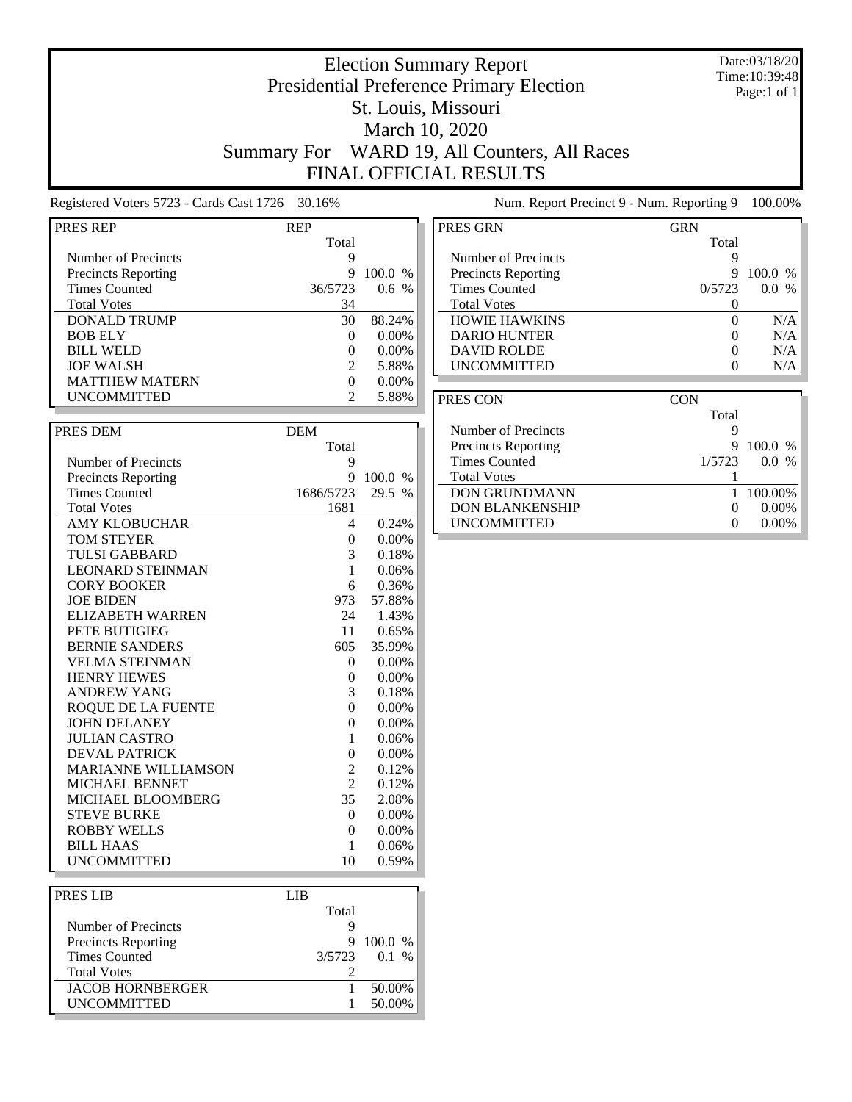### Date:03/18/20 Time:10:39:48 Page:1 of 1

# Presidential Preference Primary Election St. Louis, Missouri March 10, 2020 Summary For WARD 19, All Counters, All Races

Election Summary Report

FINAL OFFICIAL RESULTS

Registered Voters 5723 - Cards Cast 1726 30.16% Num. Report Precinct 9 - Num. Reporting 9 100.00%

| PRES REP                   |                |          |
|----------------------------|----------------|----------|
|                            | REP<br>Total   |          |
| Number of Precincts        | 9              |          |
|                            | 9              |          |
| <b>Precincts Reporting</b> |                | 100.0 %  |
| <b>Times Counted</b>       | 36/5723        | 0.6 %    |
| <b>Total Votes</b>         | 34             |          |
| <b>DONALD TRUMP</b>        | 30             | 88.24%   |
| <b>BOB ELY</b>             | 0              | 0.00%    |
| <b>BILL WELD</b>           | 0              | $0.00\%$ |
| <b>JOE WALSH</b>           | $\overline{2}$ | 5.88%    |
| <b>MATTHEW MATERN</b>      | $\overline{0}$ | $0.00\%$ |
| <b>UNCOMMITTED</b>         | $\overline{c}$ | 5.88%    |
|                            |                |          |
| PRES DEM                   | <b>DEM</b>     |          |
|                            | Total          |          |
| Number of Precincts        | 9              |          |
| <b>Precincts Reporting</b> | 9              | 100.0 %  |
| <b>Times Counted</b>       | 1686/5723      | 29.5 %   |
| <b>Total Votes</b>         | 1681           |          |
| <b>AMY KLOBUCHAR</b>       | 4              | 0.24%    |
| <b>TOM STEYER</b>          | 0              | 0.00%    |
| <b>TULSI GABBARD</b>       | 3              | 0.18%    |
| <b>LEONARD STEINMAN</b>    | 1              | 0.06%    |
| <b>CORY BOOKER</b>         | 6              | 0.36%    |
| <b>JOE BIDEN</b>           | 973            | 57.88%   |
| <b>ELIZABETH WARREN</b>    | 24             | 1.43%    |
| PETE BUTIGIEG              | 11             | 0.65%    |
| <b>BERNIE SANDERS</b>      | 605            | 35.99%   |
| <b>VELMA STEINMAN</b>      | 0              | 0.00%    |
| <b>HENRY HEWES</b>         | 0              | $0.00\%$ |
| <b>ANDREW YANG</b>         | 3              | 0.18%    |
| <b>ROQUE DE LA FUENTE</b>  | 0              | 0.00%    |
| <b>JOHN DELANEY</b>        | 0              | $0.00\%$ |
| <b>JULIAN CASTRO</b>       | 1              | 0.06%    |
| <b>DEVAL PATRICK</b>       | 0              | 0.00%    |
| <b>MARIANNE WILLIAMSON</b> | $\overline{2}$ | 0.12%    |
| MICHAEL BENNET             | $\overline{2}$ | 0.12%    |
| MICHAEL BLOOMBERG          | 35             | 2.08%    |
| <b>STEVE BURKE</b>         | $\theta$       | $0.00\%$ |
| <b>ROBBY WELLS</b>         | $\overline{0}$ | $0.00\%$ |
| <b>BILL HAAS</b>           | $\mathbf{1}$   | 0.06%    |
| <b>UNCOMMITTED</b>         | 10             | 0.59%    |
|                            |                |          |
| <b>PRESIJB</b>             | LIB            |          |

| LIB    |         |
|--------|---------|
| Total  |         |
|        |         |
|        | 9100.0% |
| 3/5723 | 0.1 %   |
|        |         |
|        | 50.00%  |
|        | 50.00%  |
|        |         |

| PRES GRN                   | GRN    |                      |
|----------------------------|--------|----------------------|
|                            | Total  |                      |
| Number of Precincts        | 9      |                      |
| <b>Precincts Reporting</b> | 9      | $100.0\%$            |
| <b>Times Counted</b>       | 0/5723 | $\frac{0}{6}$<br>0.0 |
| <b>Total Votes</b>         |        |                      |
| <b>HOWIE HAWKINS</b>       | 0      | N/A                  |
| <b>DARIO HUNTER</b>        |        | N/A                  |
| <b>DAVID ROLDE</b>         | 0      | N/A                  |
| <b>UNCOMMITTED</b>         |        | N/A                  |

| PRES CON                   | <b>CON</b>        |       |
|----------------------------|-------------------|-------|
|                            | Total             |       |
| Number of Precincts        | ч                 |       |
| <b>Precincts Reporting</b> | $100.0\%$<br>9    |       |
| <b>Times Counted</b>       | 1/5723<br>0.0     | $\%$  |
| <b>Total Votes</b>         |                   |       |
| <b>DON GRUNDMANN</b>       | 100.00%           |       |
| <b>DON BLANKENSHIP</b>     | $\mathbf{\Omega}$ | 0.00% |
| <b>UNCOMMITTED</b>         |                   | 0.00% |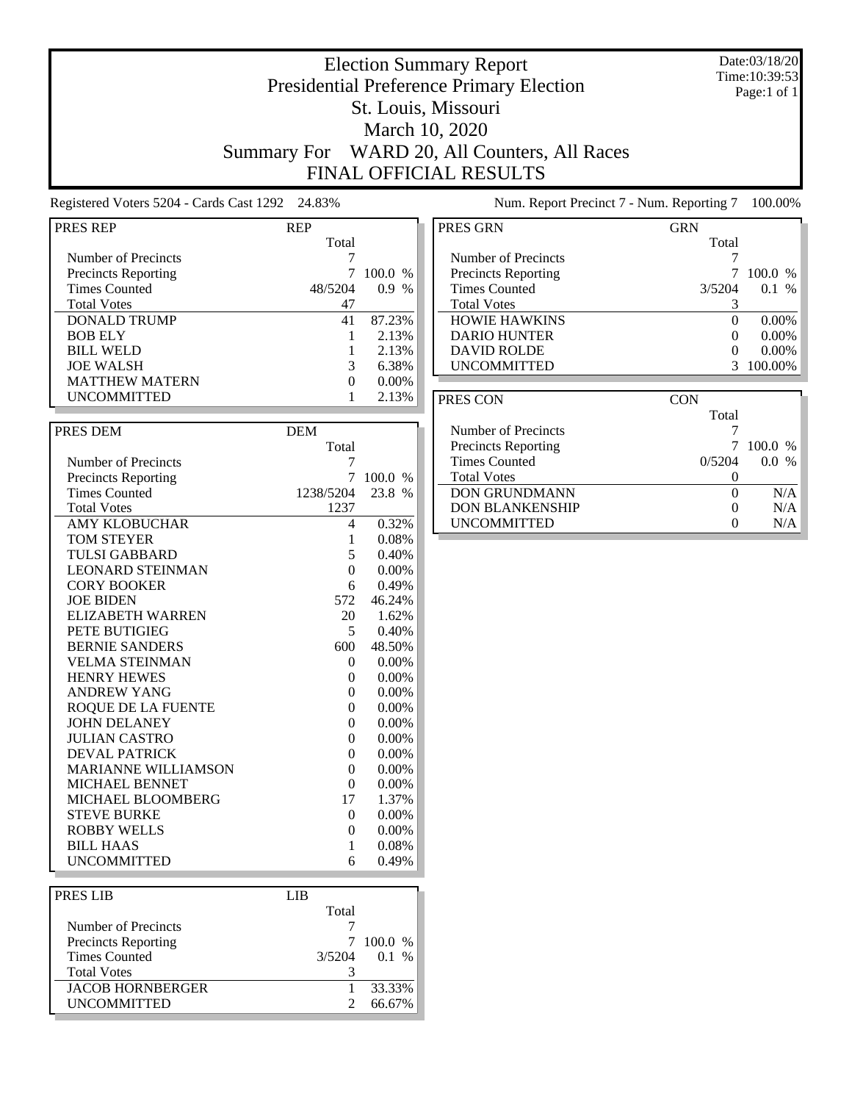### Date:03/18/20 Time:10:39:53 Page:1 of 1

## St. Louis, Missouri March 10, 2020

Election Summary Report Presidential Preference Primary Election

Summary For WARD 20, All Counters, All Races FINAL OFFICIAL RESULTS

Registered Voters 5204 - Cards Cast 1292 24.83% Num. Report Precinct 7 - Num. Reporting 7 100.00%

| <b>PRES REP</b>            | <b>REP</b>       |          |
|----------------------------|------------------|----------|
|                            | Total            |          |
| Number of Precincts        | 7                |          |
| <b>Precincts Reporting</b> | 7                | 100.0 %  |
| <b>Times Counted</b>       | 48/5204          | $0.9\%$  |
| <b>Total Votes</b>         | 47               |          |
| <b>DONALD TRUMP</b>        | 41               | 87.23%   |
| <b>BOB ELY</b>             | 1                | 2.13%    |
| <b>BILL WELD</b>           | 1                | 2.13%    |
| <b>JOE WALSH</b>           | 3                | 6.38%    |
| <b>MATTHEW MATERN</b>      | $\overline{0}$   | 0.00%    |
| <b>UNCOMMITTED</b>         | 1                | 2.13%    |
|                            |                  |          |
| PRES DEM                   | <b>DEM</b>       |          |
|                            | Total            |          |
| Number of Precincts        | 7                |          |
| <b>Precincts Reporting</b> | 7                | 100.0 %  |
| <b>Times Counted</b>       | 1238/5204        | 23.8 %   |
| <b>Total Votes</b>         | 1237             |          |
| <b>AMY KLOBUCHAR</b>       | 4                | 0.32%    |
| <b>TOM STEYER</b>          | 1                | 0.08%    |
| <b>TULSI GABBARD</b>       | 5                | 0.40%    |
| <b>LEONARD STEINMAN</b>    | $\overline{0}$   | 0.00%    |
| <b>CORY BOOKER</b>         | 6                | 0.49%    |
| <b>JOE BIDEN</b>           | 572              | 46.24%   |
| <b>ELIZABETH WARREN</b>    | 20               | 1.62%    |
| PETE BUTIGIEG              | 5                | 0.40%    |
| <b>BERNIE SANDERS</b>      | 600              | 48.50%   |
| <b>VELMA STEINMAN</b>      | 0                | $0.00\%$ |
| <b>HENRY HEWES</b>         | $\overline{0}$   | 0.00%    |
| <b>ANDREW YANG</b>         | 0                | $0.00\%$ |
| <b>ROQUE DE LA FUENTE</b>  | $\overline{0}$   | 0.00%    |
| <b>JOHN DELANEY</b>        | $\theta$         | 0.00%    |
| <b>JULIAN CASTRO</b>       | $\overline{0}$   | 0.00%    |
| <b>DEVAL PATRICK</b>       | $\Omega$         | 0.00%    |
| <b>MARIANNE WILLIAMSON</b> | $\overline{0}$   | 0.00%    |
| MICHAEL BENNET             | 0                | $0.00\%$ |
| MICHAEL BLOOMBERG          | 17               | 1.37%    |
| <b>STEVE BURKE</b>         | $\boldsymbol{0}$ | 0.00%    |
| <b>ROBBY WELLS</b>         | $\overline{0}$   | 0.00%    |
| <b>BILL HAAS</b>           | 1                | 0.08%    |
| <b>UNCOMMITTED</b>         | 6                | 0.49%    |
|                            |                  |          |
| <b>PRESIJB</b>             | I IR             |          |

| PRES LIB                   | LIB    |         |
|----------------------------|--------|---------|
|                            | Total  |         |
| Number of Precincts        |        |         |
| <b>Precincts Reporting</b> |        | 100.0 % |
| <b>Times Counted</b>       | 3/5204 | 0.1 %   |
| <b>Total Votes</b>         |        |         |
| <b>JACOB HORNBERGER</b>    |        | 33.33%  |
| <b>UNCOMMITTED</b>         |        | 66.67%  |
|                            |        |         |

| PRES GRN                   | <b>GRN</b>        |               |
|----------------------------|-------------------|---------------|
|                            | Total             |               |
| Number of Precincts        |                   |               |
| <b>Precincts Reporting</b> |                   | 100.0<br>$\%$ |
| <b>Times Counted</b>       | 3/5204            | 0.1<br>$\%$   |
| <b>Total Votes</b>         |                   |               |
| <b>HOWIE HAWKINS</b>       | $\theta$          | $0.00\%$      |
| <b>DARIO HUNTER</b>        | $\mathbf{\Omega}$ | $0.00\%$      |
| <b>DAVID ROLDE</b>         |                   | $0.00\%$      |
| <b>UNCOMMITTED</b>         |                   | 100.00%       |

| PRES CON                   | CON    |                      |
|----------------------------|--------|----------------------|
|                            | Total  |                      |
| Number of Precincts        |        |                      |
| <b>Precincts Reporting</b> |        | 100.0%               |
| <b>Times Counted</b>       | 0/5204 | 0.0<br>$\frac{0}{6}$ |
| <b>Total Votes</b>         |        |                      |
| <b>DON GRUNDMANN</b>       | 0      | N/A                  |
| <b>DON BLANKENSHIP</b>     |        | N/A                  |
| <b>UNCOMMITTED</b>         |        | N/A                  |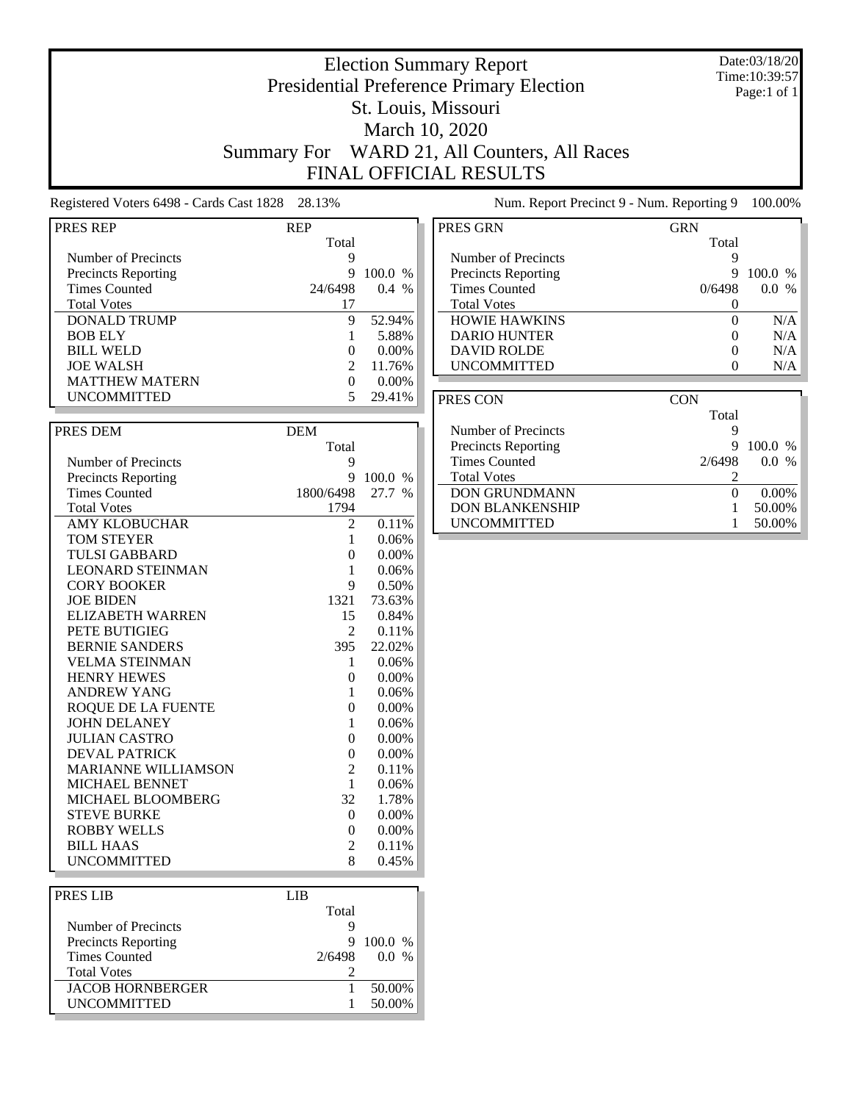### Date:03/18/20 Time:10:39:57 Page:1 of 1

## Presidential Preference Primary Election St. Louis, Missouri March 10, 2020 Summary For WARD 21, All Counters, All Races FINAL OFFICIAL RESULTS

Election Summary Report

Registered Voters 6498 - Cards Cast 1828 28.13% Num. Report Precinct 9 - Num. Reporting 9 100.00%

| PRES REP                   | <b>REP</b>     |          |
|----------------------------|----------------|----------|
|                            | Total          |          |
| Number of Precincts        | 9              |          |
| <b>Precincts Reporting</b> | 9              | 100.0 %  |
| <b>Times Counted</b>       | 24/6498        | $0.4\%$  |
| <b>Total Votes</b>         | 17             |          |
| <b>DONALD TRUMP</b>        | 9              | 52.94%   |
| <b>BOB ELY</b>             | 1              | 5.88%    |
| <b>BILL WELD</b>           | $\Omega$       | $0.00\%$ |
| <b>JOE WALSH</b>           | $\overline{c}$ | 11.76%   |
| <b>MATTHEW MATERN</b>      | $\Omega$       | $0.00\%$ |
| <b>UNCOMMITTED</b>         | 5.             | 29.41%   |
|                            |                |          |
| PRES DEM                   | <b>DEM</b>     |          |
|                            | Total          |          |
| Number of Precincts        | 9              |          |
| <b>Precincts Reporting</b> | 9              | 100.0 %  |
| <b>Times Counted</b>       | 1800/6498      | 27.7 %   |
| <b>Total Votes</b>         | 1794           |          |
| <b>AMY KLOBUCHAR</b>       | 2              | 0.11%    |
| <b>TOM STEYER</b>          | 1              | 0.06%    |
| <b>TULSI GABBARD</b>       | $\theta$       | 0.00%    |
| <b>LEONARD STEINMAN</b>    | 1              | 0.06%    |
| <b>CORY BOOKER</b>         | 9              | 0.50%    |
| <b>JOE BIDEN</b>           | 1321           | 73.63%   |
| <b>ELIZABETH WARREN</b>    | 15             | 0.84%    |
| PETE BUTIGIEG              | 2              | 0.11%    |
| <b>BERNIE SANDERS</b>      | 395            | 22.02%   |
| <b>VELMA STEINMAN</b>      | 1              | 0.06%    |
| <b>HENRY HEWES</b>         | $\overline{0}$ | 0.00%    |
| <b>ANDREW YANG</b>         | 1              | 0.06%    |
| <b>ROQUE DE LA FUENTE</b>  | 0              | 0.00%    |
| <b>JOHN DELANEY</b>        | 1              | 0.06%    |
| <b>JULIAN CASTRO</b>       | $\theta$       | 0.00%    |
| <b>DEVAL PATRICK</b>       | $\Omega$       | 0.00%    |
| <b>MARIANNE WILLIAMSON</b> | $\overline{2}$ | 0.11%    |
| MICHAEL BENNET             | $\mathbf{1}$   | 0.06%    |
| MICHAEL BLOOMBERG          | 32             | 1.78%    |
| <b>STEVE BURKE</b>         | $\overline{0}$ | 0.00%    |
| <b>ROBBY WELLS</b>         | $\overline{0}$ | 0.00%    |
| <b>BILL HAAS</b>           | 2              | 0.11%    |
| <b>UNCOMMITTED</b>         | 8              | 0.45%    |
|                            |                |          |
| <b>PRES LIB</b>            | <b>LIB</b>     |          |
|                            |                |          |

| PRES GRN                   | <b>GRN</b> |                                |
|----------------------------|------------|--------------------------------|
|                            | Total      |                                |
| Number of Precincts        |            |                                |
| <b>Precincts Reporting</b> | 9          | $100.0\%$                      |
| <b>Times Counted</b>       | 0/6498     | $\frac{0}{0}$<br>$0.0^{\circ}$ |
| <b>Total Votes</b>         |            |                                |
| <b>HOWIE HAWKINS</b>       |            | N/A                            |
| <b>DARIO HUNTER</b>        |            | N/A                            |
| DAVID ROLDE                | 0          | N/A                            |
| <b>UNCOMMITTED</b>         |            | N/A                            |

| PRES CON                   | CON      |          |
|----------------------------|----------|----------|
|                            | Total    |          |
| Number of Precincts        |          |          |
| <b>Precincts Reporting</b> | 9        | 100.0 %  |
| Times Counted              | 2/6498   | $0.0\%$  |
| <b>Total Votes</b>         |          |          |
| <b>DON GRUNDMANN</b>       | $\theta$ | $0.00\%$ |
| <b>DON BLANKENSHIP</b>     |          | 50.00%   |
| <b>UNCOMMITTED</b>         |          | 50.00%   |

| PRES LIB                   | LIB    |         |  |
|----------------------------|--------|---------|--|
|                            | Total  |         |  |
| Number of Precincts        |        |         |  |
| <b>Precincts Reporting</b> | 9      | 100.0 % |  |
| <b>Times Counted</b>       | 2/6498 | $0.0\%$ |  |
| <b>Total Votes</b>         |        |         |  |
| <b>JACOB HORNBERGER</b>    |        | 50.00%  |  |
| <b>UNCOMMITTED</b>         |        | 50.00%  |  |
|                            |        |         |  |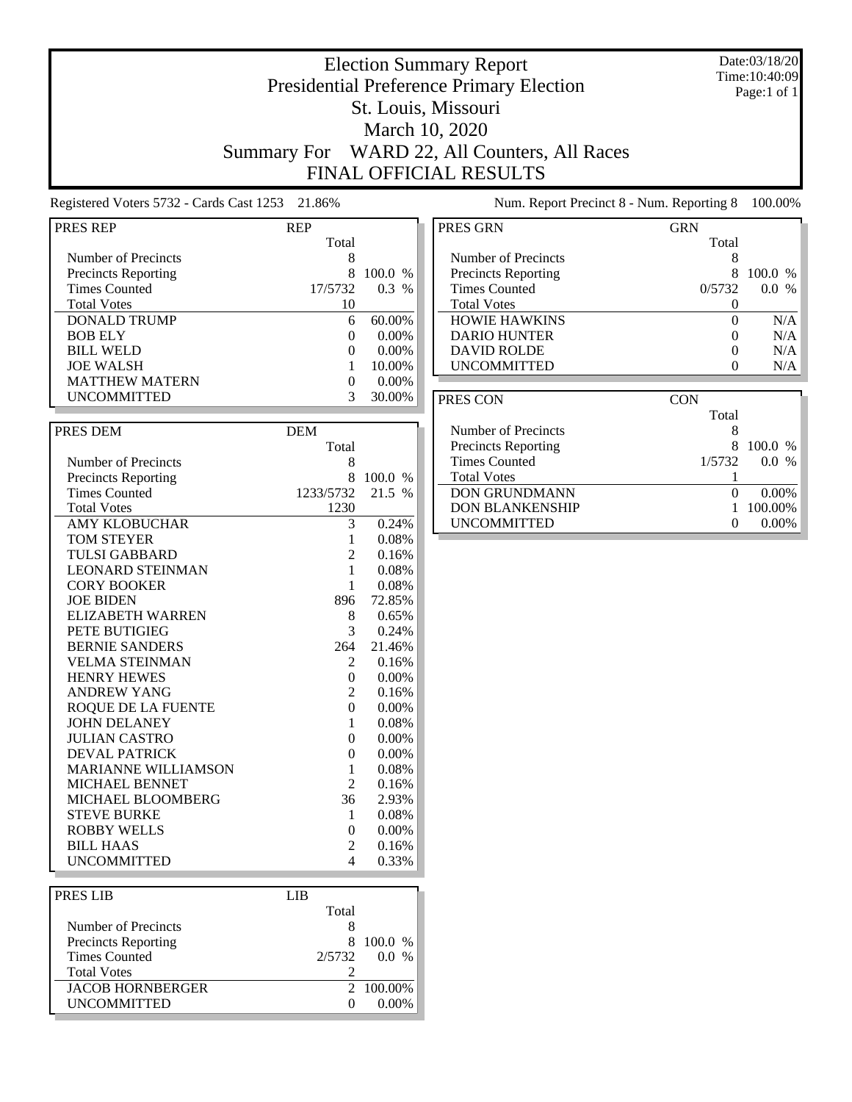### Date:03/18/20 Time:10:40:09 Page:1 of 1

## St. Louis, Missouri March 10, 2020

Election Summary Report Presidential Preference Primary Election

Summary For WARD 22, All Counters, All Races FINAL OFFICIAL RESULTS

Registered Voters 5732 - Cards Cast 1253 21.86% Num. Report Precinct 8 - Num. Reporting 8 100.00%

| PRES REP                   | REP            |          |
|----------------------------|----------------|----------|
|                            | Total          |          |
| <b>Number of Precincts</b> | 8              |          |
| <b>Precincts Reporting</b> | 8              | 100.0 %  |
| <b>Times Counted</b>       | 17/5732        | 0.3 %    |
| <b>Total Votes</b>         | 10             |          |
| <b>DONALD TRUMP</b>        | 6              | 60.00%   |
| <b>BOB ELY</b>             | 0              | $0.00\%$ |
| <b>BILL WELD</b>           | 0              | 0.00%    |
| <b>JOE WALSH</b>           | $\mathbf{1}$   | 10.00%   |
| <b>MATTHEW MATERN</b>      | 0              | $0.00\%$ |
| UNCOMMITTED                | 3              | 30.00%   |
|                            |                |          |
|                            |                |          |
| PRES DEM                   | <b>DEM</b>     |          |
|                            | Total          |          |
| <b>Number of Precincts</b> | 8              |          |
| <b>Precincts Reporting</b> | 8              | 100.0 %  |
| <b>Times Counted</b>       | 1233/5732      | 21.5 %   |
| <b>Total Votes</b>         | 1230           |          |
| <b>AMY KLOBUCHAR</b>       | 3              | 0.24%    |
| <b>TOM STEYER</b>          | 1              | 0.08%    |
| <b>TULSI GABBARD</b>       | $\overline{2}$ | 0.16%    |
| <b>LEONARD STEINMAN</b>    | 1              | 0.08%    |
| <b>CORY BOOKER</b>         | 1              | 0.08%    |
| <b>JOE BIDEN</b>           | 896            | 72.85%   |
| <b>ELIZABETH WARREN</b>    | 8              | 0.65%    |
| PETE BUTIGIEG              | 3              | 0.24%    |
| <b>BERNIE SANDERS</b>      | 264            | 21.46%   |
| <b>VELMA STEINMAN</b>      | 2              | 0.16%    |
| <b>HENRY HEWES</b>         | 0              | 0.00%    |
| <b>ANDREW YANG</b>         | $\overline{2}$ | 0.16%    |
| <b>ROQUE DE LA FUENTE</b>  | $\overline{0}$ | $0.00\%$ |
| <b>JOHN DELANEY</b>        | 1              | 0.08%    |
| <b>JULIAN CASTRO</b>       | 0              | 0.00%    |
| <b>DEVAL PATRICK</b>       | $\theta$       | 0.00%    |
| <b>MARIANNE WILLIAMSON</b> | 1              | 0.08%    |
| MICHAEL BENNET             | $\overline{2}$ | 0.16%    |
| MICHAEL BLOOMBERG          | 36             | 2.93%    |
| <b>STEVE BURKE</b>         | 1              | 0.08%    |
| <b>ROBBY WELLS</b>         | $\theta$       | $0.00\%$ |
| <b>BILL HAAS</b>           | 2              | 0.16%    |
| <b>UNCOMMITTED</b>         | 4              | 0.33%    |
|                            |                |          |
| PRES LIB                   | <b>LIB</b>     |          |
|                            |                |          |

| PRES LIB                   | I IR     |                |
|----------------------------|----------|----------------|
|                            | Total    |                |
| Number of Precincts        |          |                |
| <b>Precincts Reporting</b> | 8        | $100.0\%$      |
| <b>Times Counted</b>       |          | $2/5732$ 0.0 % |
| <b>Total Votes</b>         |          |                |
| <b>JACOB HORNBERGER</b>    |          | 2 100.00%      |
| <b>UNCOMMITTED</b>         | $^{(1)}$ | 0.00%          |
|                            |          |                |

| PRES GRN                   | GRN    |                      |
|----------------------------|--------|----------------------|
|                            | Total  |                      |
| Number of Precincts        | 8      |                      |
| <b>Precincts Reporting</b> | x      | $100.0\%$            |
| <b>Times Counted</b>       | 0/5732 | 0.0<br>$\frac{0}{6}$ |
| <b>Total Votes</b>         |        |                      |
| <b>HOWIE HAWKINS</b>       | 0      | N/A                  |
| <b>DARIO HUNTER</b>        |        | N/A                  |
| <b>DAVID ROLDE</b>         | 0      | N/A                  |
| <b>UNCOMMITTED</b>         |        | N/A                  |

| PRES CON                   | CON                            |  |
|----------------------------|--------------------------------|--|
|                            | Total                          |  |
| Number of Precincts        | 8                              |  |
| <b>Precincts Reporting</b> | 100.0 %<br>8                   |  |
| <b>Times Counted</b>       | 1/5732<br>0.0<br>$\frac{0}{6}$ |  |
| <b>Total Votes</b>         |                                |  |
| <b>DON GRUNDMANN</b>       | $0.00\%$                       |  |
| <b>DON BLANKENSHIP</b>     | 100.00%                        |  |
| <b>UNCOMMITTED</b>         | $0.00\%$                       |  |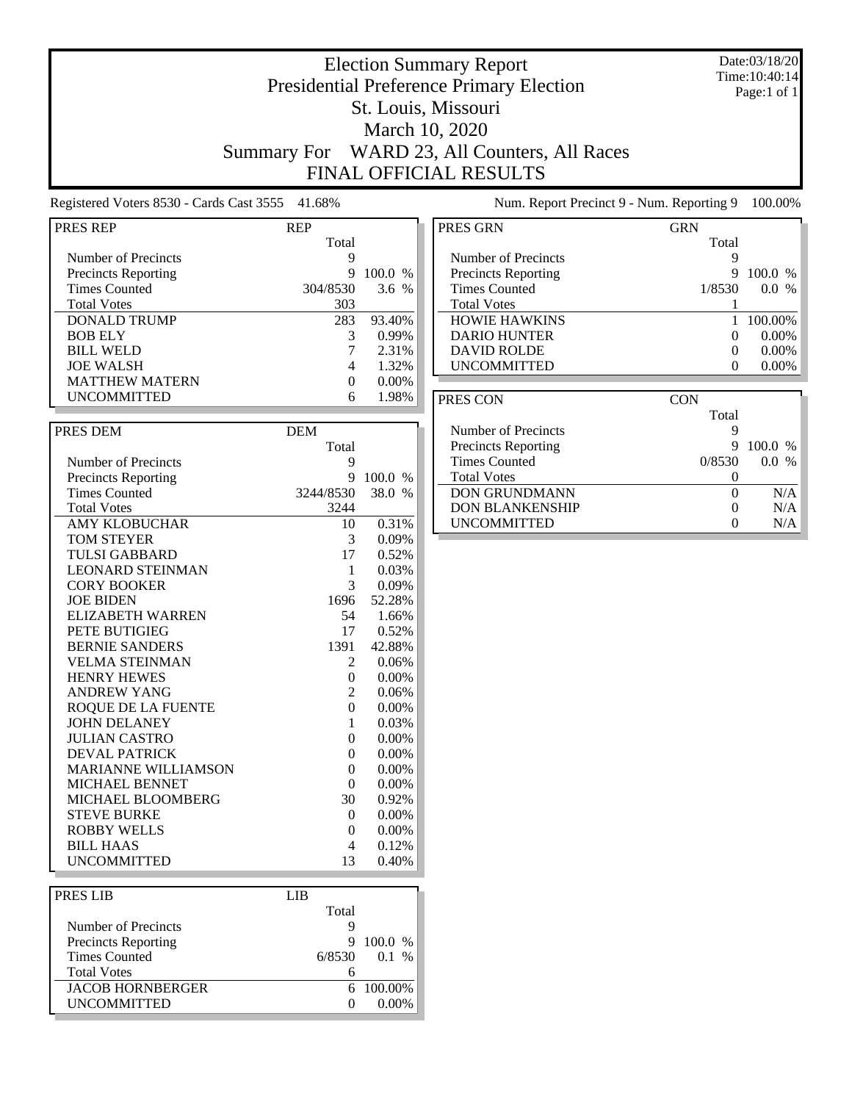### Date:03/18/20 Time:10:40:14 Page:1 of 1

## Presidential Preference Primary Election St. Louis, Missouri March 10, 2020 Summary For WARD 23, All Counters, All Races FINAL OFFICIAL RESULTS

Total

Election Summary Report

Registered Voters 8530 - Cards Cast 3555 41.68%

Number of Precincts<br>
Precincts Reporting<br>
9 100.0 % Precincts Reporting 9 100.0 %<br>Times Counted 9 304/8530 3.6 %

Total Votes<br>
DONALD TRUMP<br>
283 93.40%

BOB ELY 3 0.99% BILL WELD 3 2.31% BILL WELD 7 2.31% <br>
JOE WALSH 4 1.32%

PRES REP REP

Times Counted

DONALD TRUMP

| Num. Report Precinct 9 - Num. Reporting 9 |                   | 100.00%  |
|-------------------------------------------|-------------------|----------|
| PRES GRN                                  | GRN               |          |
|                                           | Total             |          |
| Number of Precincts                       | 9                 |          |
| <b>Precincts Reporting</b>                | 9                 | 100.0 %  |
| <b>Times Counted</b>                      | 1/8530            | $0.0\%$  |
| <b>Total Votes</b>                        |                   |          |
| <b>HOWIE HAWKINS</b>                      |                   | 100.00%  |
| <b>DARIO HUNTER</b>                       | $\mathbf{\Omega}$ | $0.00\%$ |
| <b>DAVID ROLDE</b>                        | $\Omega$          | $0.00\%$ |
| <b>UNCOMMITTED</b>                        |                   | $0.00\%$ |

| <b>JOE WALSH</b>           | 4              | 1.32%    |
|----------------------------|----------------|----------|
| <b>MATTHEW MATERN</b>      | $\theta$       | 0.00%    |
| <b>UNCOMMITTED</b>         | 6              | 1.98%    |
|                            |                |          |
| PRES DEM                   | <b>DEM</b>     |          |
|                            | Total          |          |
| Number of Precincts        | 9              |          |
| <b>Precincts Reporting</b> | 9              | 100.0 %  |
| <b>Times Counted</b>       | 3244/8530      | 38.0 %   |
| <b>Total Votes</b>         | 3244           |          |
| <b>AMY KLOBUCHAR</b>       | 10             | 0.31%    |
| <b>TOM STEYER</b>          | 3              | 0.09%    |
| <b>TULSI GABBARD</b>       | 17             | 0.52%    |
| <b>LEONARD STEINMAN</b>    | 1              | 0.03%    |
| <b>CORY BOOKER</b>         | 3              | 0.09%    |
| <b>JOE BIDEN</b>           | 1696           | 52.28%   |
| ELIZABETH WARREN           | 54             | 1.66%    |
| PETE BUTIGIEG              | 17             | 0.52%    |
| <b>BERNIE SANDERS</b>      | 1391           | 42.88%   |
| <b>VELMA STEINMAN</b>      | 2              | 0.06%    |
| <b>HENRY HEWES</b>         | $\overline{0}$ | $0.00\%$ |
| <b>ANDREW YANG</b>         | $\overline{c}$ | 0.06%    |
| <b>ROQUE DE LA FUENTE</b>  | $\theta$       | 0.00%    |
| <b>JOHN DELANEY</b>        | 1              | 0.03%    |
| <b>JULIAN CASTRO</b>       | $\theta$       | $0.00\%$ |
| <b>DEVAL PATRICK</b>       | $\theta$       | $0.00\%$ |
| <b>MARIANNE WILLIAMSON</b> | $\theta$       | $0.00\%$ |
| <b>MICHAEL BENNET</b>      | $\theta$       | $0.00\%$ |
| MICHAEL BLOOMBERG          | 30             | 0.92%    |
| <b>STEVE BURKE</b>         | $\overline{0}$ | 0.00%    |
| <b>ROBBY WELLS</b>         | $\overline{0}$ | 0.00%    |
| <b>BILL HAAS</b>           | 4              | 0.12%    |
| <b>UNCOMMITTED</b>         | 13             | 0.40%    |
|                            |                |          |

| <b>PRES LIB</b>            | LIB.   |           |
|----------------------------|--------|-----------|
|                            | Total  |           |
| Number of Precincts        |        |           |
| <b>Precincts Reporting</b> |        | 100.0 %   |
| <b>Times Counted</b>       | 6/8530 | 0.1 %     |
| <b>Total Votes</b>         |        |           |
| <b>JACOB HORNBERGER</b>    |        | 6 100.00% |
| <b>UNCOMMITTED</b>         |        | 0.009     |

| PRES CON                   | CON    |                       |
|----------------------------|--------|-----------------------|
|                            | Total  |                       |
| Number of Precincts        |        |                       |
| <b>Precincts Reporting</b> | 9      | 100.0 %               |
| <b>Times Counted</b>       | 0/8530 | $\%$<br>$0.0^{\circ}$ |
| <b>Total Votes</b>         |        |                       |
| <b>DON GRUNDMANN</b>       | 0      | N/A                   |
| <b>DON BLANKENSHIP</b>     |        | N/A                   |
| <b>UNCOMMITTED</b>         |        | N/A                   |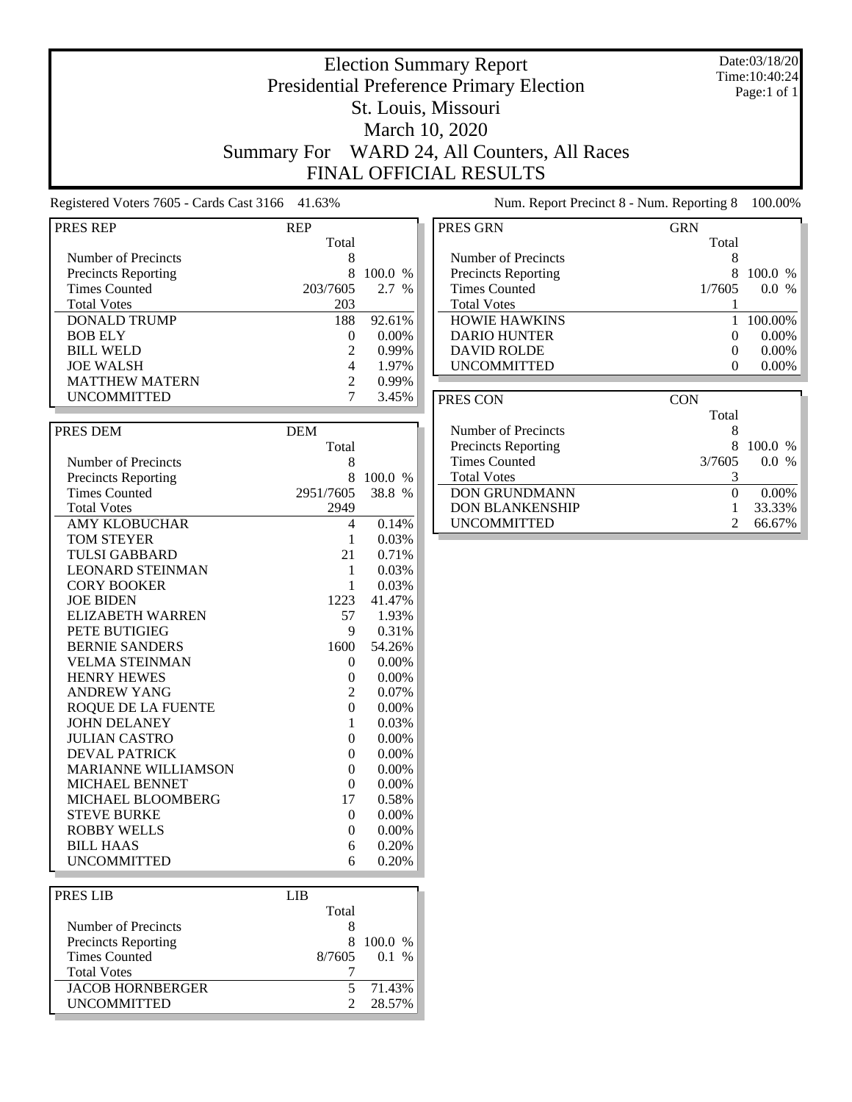### Date:03/18/20 Time:10:40:24 Page:1 of 1

## Presidential Preference Primary Election St. Louis, Missouri March 10, 2020 Summary For WARD 24, All Counters, All Races FINAL OFFICIAL RESULTS

Election Summary Report

Registered Voters 7605 - Cards Cast 3166 41.63% Num. Report Precinct 8 - Num. Reporting 8 100.00%

| <b>PRES REP</b>            | <b>REP</b>     |                 |
|----------------------------|----------------|-----------------|
|                            | Total          |                 |
| Number of Precincts        | 8              |                 |
| <b>Precincts Reporting</b> | 8              | 100.0 %         |
| <b>Times Counted</b>       | 203/7605       | $2.7\%$         |
| <b>Total Votes</b>         | 203            |                 |
| <b>DONALD TRUMP</b>        | 188            | 92.61%          |
| <b>BOB ELY</b>             | $\overline{0}$ | 0.00%           |
| <b>BILL WELD</b>           | $\mathbf{2}$   | 0.99%           |
| <b>JOE WALSH</b>           | 4              | 1.97%           |
| <b>MATTHEW MATERN</b>      | $\overline{c}$ | 0.99%           |
| <b>UNCOMMITTED</b>         | 7              | 3.45%           |
|                            |                |                 |
|                            |                |                 |
| PRES DEM                   | <b>DEM</b>     |                 |
|                            | Total          |                 |
| Number of Precincts        | 8              |                 |
| <b>Precincts Reporting</b> | 8              | 100.0 %         |
| <b>Times Counted</b>       | 2951/7605      | 38.8 %          |
| <b>Total Votes</b>         | 2949           |                 |
| <b>AMY KLOBUCHAR</b>       | 4              | 0.14%           |
| TOM STEYER                 | 1              | 0.03%           |
| <b>TULSI GABBARD</b>       | 21             | 0.71%           |
| <b>LEONARD STEINMAN</b>    | $\mathbf{1}$   | 0.03%           |
| <b>CORY BOOKER</b>         | $\mathbf{1}$   | 0.03%           |
| <b>JOE BIDEN</b>           | 1223           | 41.47%          |
| <b>ELIZABETH WARREN</b>    | 57             | 1.93%           |
| PETE BUTIGIEG              | 9              | 0.31%           |
| <b>BERNIE SANDERS</b>      | 1600           | 54.26%          |
| <b>VELMA STEINMAN</b>      | 0              | $0.00\%$        |
| <b>HENRY HEWES</b>         | $\overline{0}$ | 0.00%           |
| <b>ANDREW YANG</b>         | 2              | 0.07%           |
| <b>ROQUE DE LA FUENTE</b>  | $\overline{0}$ | $0.00\%$        |
| <b>JOHN DELANEY</b>        | 1              | 0.03%           |
| <b>JULIAN CASTRO</b>       | $\overline{0}$ | 0.00%           |
| <b>DEVAL PATRICK</b>       | $\overline{0}$ | 0.00%           |
| <b>MARIANNE WILLIAMSON</b> | $\overline{0}$ | 0.00%           |
| <b>MICHAEL BENNET</b>      | 0              | 0.00%           |
| MICHAEL BLOOMBERG          | 17             | 0.58%           |
| <b>STEVE BURKE</b>         | 0              | 0.00%           |
| <b>ROBBY WELLS</b>         | $\overline{0}$ | 0.00%           |
|                            |                | 0.20%           |
| BILL HAAS                  | 6              |                 |
| <b>UNCOMMITTED</b>         | 6              | 0.20%           |
|                            |                |                 |
| PRES LIB                   | <b>LIB</b>     |                 |
|                            | Total          |                 |
| Number of Precincts        | 8              |                 |
| <b>Precincts Reporting</b> | 8              | 100.0 %         |
| <b>Times Counted</b>       | 8/7605         | $0.1\,$<br>$\%$ |

**UNCOMMITTED** 

Total Votes 7

JACOB HORNBERGER 5 71.43% UNCOMMITTED 2 28.57%

| PRES GRN                   | <b>GRN</b> |           |
|----------------------------|------------|-----------|
|                            | Total      |           |
| Number of Precincts        | 8          |           |
| <b>Precincts Reporting</b> | x          | $100.0\%$ |
| <b>Times Counted</b>       | 1/7605     | $0.0\%$   |
| <b>Total Votes</b>         |            |           |
| <b>HOWIE HAWKINS</b>       |            | 100.00%   |
| <b>DARIO HUNTER</b>        | $\Omega$   | $0.00\%$  |
| <b>DAVID ROLDE</b>         | $\Omega$   | $0.00\%$  |
| <b>UNCOMMITTED</b>         |            | $0.00\%$  |
|                            |            |           |

| PRES CON                   | CON    |                      |
|----------------------------|--------|----------------------|
|                            | Total  |                      |
| Number of Precincts        | 8      |                      |
| <b>Precincts Reporting</b> |        | 100.0 %              |
| Times Counted              | 3/7605 | 0.0<br>$\frac{0}{0}$ |
| <b>Total Votes</b>         |        |                      |
| <b>DON GRUNDMANN</b>       |        | 0.00%                |
| <b>DON BLANKENSHIP</b>     |        | 33.33%               |
| <b>UNCOMMITTED</b>         |        | 66.67%               |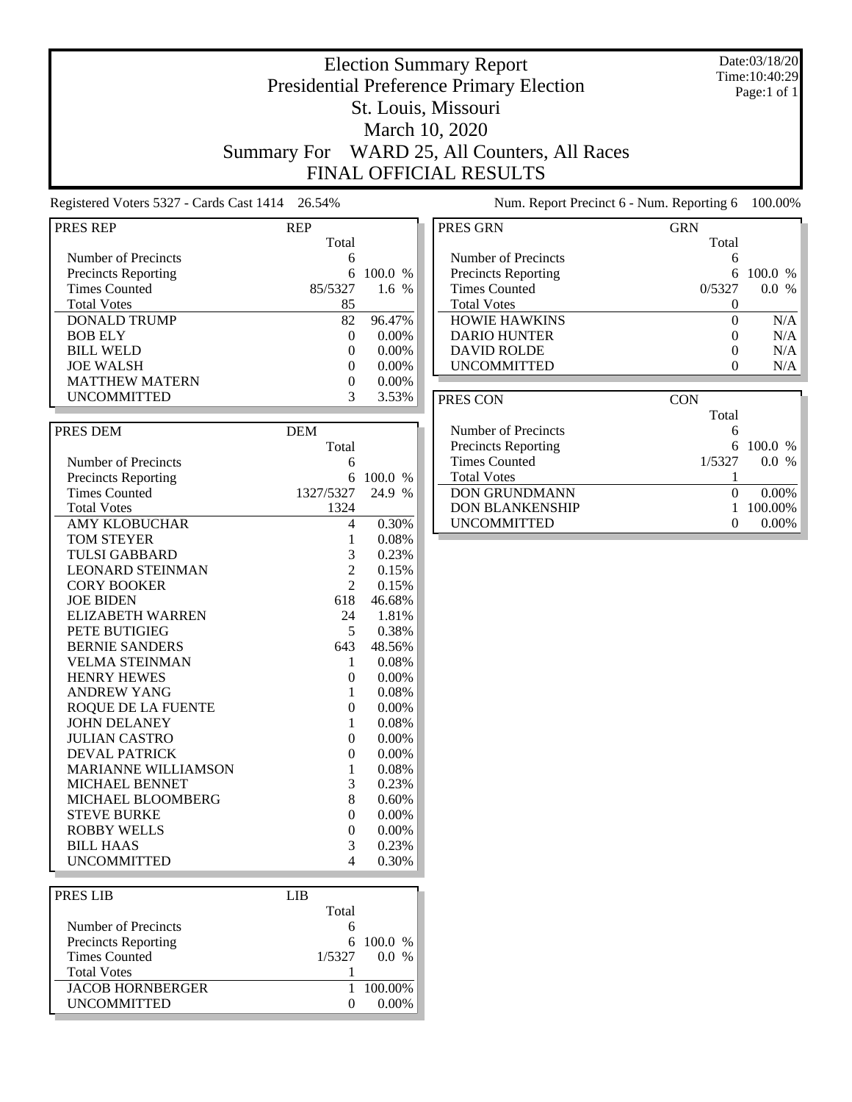### Date:03/18/20 Time:10:40:29 Page:1 of 1

## Presidential Preference Primary Election St. Louis, Missouri March 10, 2020 Summary For WARD 25, All Counters, All Races FINAL OFFICIAL RESULTS

Election Summary Report

Registered Voters 5327 - Cards Cast 1414 26.54% Num. Report Precinct 6 - Num. Reporting 6 100.00%

| PRES REP                   | <b>REP</b>     |          |
|----------------------------|----------------|----------|
|                            | Total          |          |
| Number of Precincts        | 6              |          |
| <b>Precincts Reporting</b> | 6              | 100.0 %  |
| <b>Times Counted</b>       | 85/5327        | $1.6\%$  |
| <b>Total Votes</b>         | 85             |          |
| <b>DONALD TRUMP</b>        | 82             | 96.47%   |
| <b>BOB ELY</b>             | $\overline{0}$ | 0.00%    |
| <b>BILL WELD</b>           | $\theta$       | $0.00\%$ |
| <b>JOE WALSH</b>           | $\overline{0}$ | 0.00%    |
| <b>MATTHEW MATERN</b>      | $\theta$       | $0.00\%$ |
| <b>UNCOMMITTED</b>         | 3              | 3.53%    |
|                            |                |          |
| PRES DEM                   | <b>DEM</b>     |          |
|                            | Total          |          |
|                            |                |          |
| Number of Precincts        | 6<br>6         |          |
| <b>Precincts Reporting</b> |                | 100.0 %  |
| <b>Times Counted</b>       | 1327/5327      | 24.9 %   |
| <b>Total Votes</b>         | 1324           |          |
| <b>AMY KLOBUCHAR</b>       | 4              | 0.30%    |
| <b>TOM STEYER</b>          | 1              | 0.08%    |
| <b>TULSI GABBARD</b>       | 3              | 0.23%    |
| <b>LEONARD STEINMAN</b>    | $\overline{2}$ | 0.15%    |
| <b>CORY BOOKER</b>         | $\mathfrak{D}$ | 0.15%    |
| <b>JOE BIDEN</b>           | 618            | 46.68%   |
| <b>ELIZABETH WARREN</b>    | 24             | 1.81%    |
| PETE BUTIGIEG              | 5              | 0.38%    |
| <b>BERNIE SANDERS</b>      | 643            | 48.56%   |
| <b>VELMA STEINMAN</b>      | 1              | 0.08%    |
| <b>HENRY HEWES</b>         | $\theta$       | $0.00\%$ |
| <b>ANDREW YANG</b>         | 1              | 0.08%    |
| <b>ROQUE DE LA FUENTE</b>  | $\overline{0}$ | $0.00\%$ |
| <b>JOHN DELANEY</b>        | 1              | 0.08%    |
| <b>JULIAN CASTRO</b>       | $\overline{0}$ | $0.00\%$ |
| <b>DEVAL PATRICK</b>       | $\theta$       | $0.00\%$ |
| <b>MARIANNE WILLIAMSON</b> | 1              | 0.08%    |
| <b>MICHAEL BENNET</b>      | 3              | 0.23%    |
| MICHAEL BLOOMBERG          | 8              | 0.60%    |
| <b>STEVE BURKE</b>         | $\overline{0}$ | 0.00%    |
| <b>ROBBY WELLS</b>         | $\theta$       | $0.00\%$ |
| <b>BILL HAAS</b>           | 3              | 0.23%    |
| <b>UNCOMMITTED</b>         | 4              | 0.30%    |
|                            |                |          |
| PRES LIB                   | <b>LIB</b>     |          |
|                            | Total          |          |

| PRES LIB                   |                   |                      |
|----------------------------|-------------------|----------------------|
|                            | Total             |                      |
| Number of Precincts        |                   |                      |
| <b>Precincts Reporting</b> |                   | 6 100.0 %            |
| <b>Times Counted</b>       | 1/5327            | 0.0<br>$\frac{0}{0}$ |
| <b>Total Votes</b>         |                   |                      |
| <b>JACOB HORNBERGER</b>    |                   | 100.00%              |
| <b>UNCOMMITTED</b>         | $\mathbf{\Omega}$ | 0.00%                |
|                            |                   |                      |

| PRES GRN                   | <b>GRN</b> |                      |
|----------------------------|------------|----------------------|
|                            | Total      |                      |
| Number of Precincts        | 6          |                      |
| <b>Precincts Reporting</b> | 6          | 100.0 %              |
| <b>Times Counted</b>       | 0/5327     | $\frac{0}{0}$<br>0.0 |
| <b>Total Votes</b>         |            |                      |
| <b>HOWIE HAWKINS</b>       | 0          | N/A                  |
| <b>DARIO HUNTER</b>        |            | N/A                  |
| <b>DAVID ROLDE</b>         |            | N/A                  |
| <b>UNCOMMITTED</b>         |            | N/A                  |

| PRES CON                   | CON          |             |
|----------------------------|--------------|-------------|
|                            | Total        |             |
| Number of Precincts        | 6            |             |
| <b>Precincts Reporting</b> |              | 6 100.0 $%$ |
| <b>Times Counted</b>       | 1/5327       | 00<br>$\%$  |
| <b>Total Votes</b>         |              |             |
| <b>DON GRUNDMANN</b>       | $\mathbf{0}$ | $0.00\%$    |
| <b>DON BLANKENSHIP</b>     |              | 100.00%     |
| <b>UNCOMMITTED</b>         | 0            |             |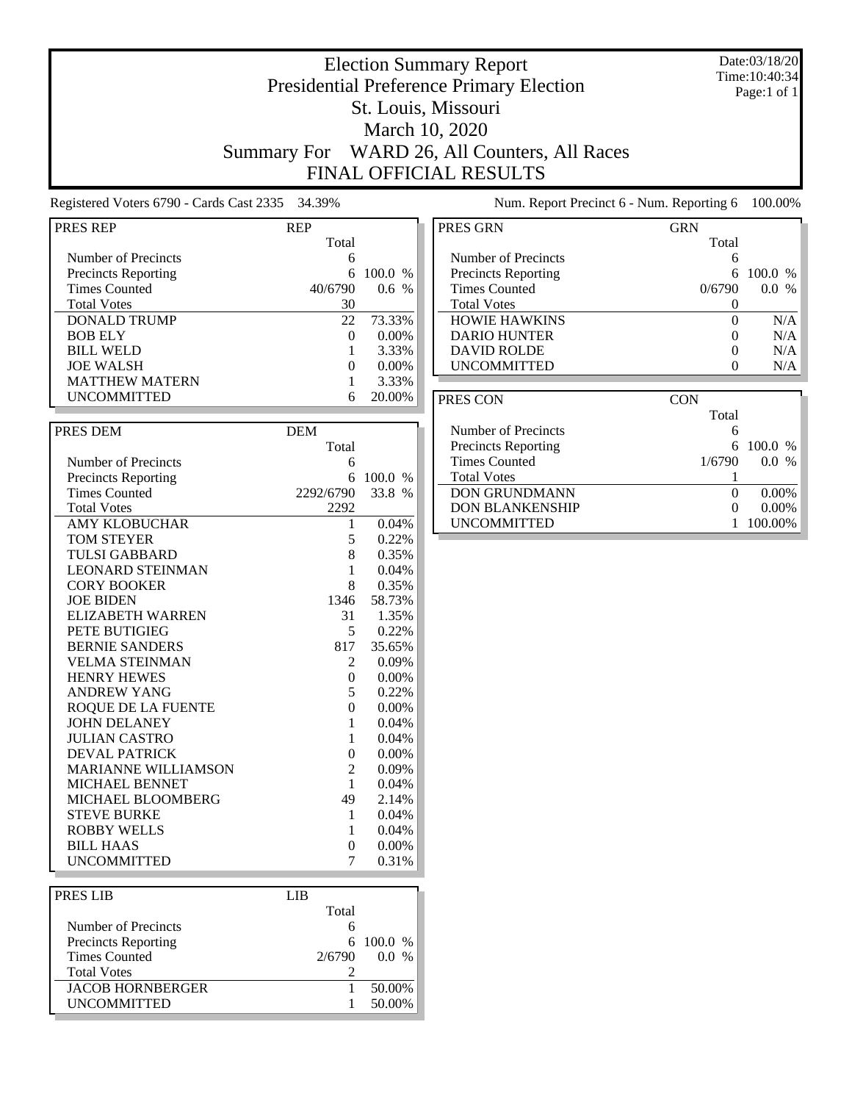### Date:03/18/20 Time:10:40:34 Page:1 of 1

Total

## Presidential Preference Primary Election St. Louis, Missouri March 10, 2020 Summary For WARD 26, All Counters, All Races FINAL OFFICIAL RESULTS

Election Summary Report

Registered Voters 6790 - Cards Cast 2335 34.39% Num. Report Precinct 6 Num. Report Precinct 6 100.000 Num. Report Precinct 6 100.000 Num. Report 8 100.000 Num. Report 6 100.000 Num. Report 6 100.000 Num. Report 6 100.000 N

|  |  |  |  |  | um. Report Precinct 6 - Num. Reporting 6 100.00% |  |  |
|--|--|--|--|--|--------------------------------------------------|--|--|
|--|--|--|--|--|--------------------------------------------------|--|--|

| PRES REP                                           | <b>REP</b>     |          |
|----------------------------------------------------|----------------|----------|
|                                                    | Total          |          |
| Number of Precincts                                | 6              |          |
| <b>Precincts Reporting</b>                         | 6              | 100.0 %  |
| <b>Times Counted</b>                               | 40/6790        | 0.6 %    |
| <b>Total Votes</b>                                 | 30             |          |
| <b>DONALD TRUMP</b>                                | 22             | 73.33%   |
| <b>BOB ELY</b>                                     | $\theta$       | 0.00%    |
| <b>BILL WELD</b>                                   | 1              | 3.33%    |
| <b>JOE WALSH</b>                                   | $\theta$       | 0.00%    |
| <b>MATTHEW MATERN</b>                              | $\mathbf{1}$   | 3.33%    |
| <b>UNCOMMITTED</b>                                 | 6              | 20.00%   |
|                                                    |                |          |
| PRES DEM                                           | <b>DEM</b>     |          |
|                                                    | Total          |          |
| Number of Precincts                                |                |          |
|                                                    | 6<br>6         | 100.0 %  |
| <b>Precincts Reporting</b><br><b>Times Counted</b> | 2292/6790      | 33.8 %   |
|                                                    |                |          |
| <b>Total Votes</b>                                 | 2292           |          |
| <b>AMY KLOBUCHAR</b>                               | 1              | 0.04%    |
| <b>TOM STEYER</b>                                  | 5              | 0.22%    |
| <b>TULSI GABBARD</b>                               | 8              | 0.35%    |
| <b>LEONARD STEINMAN</b>                            | 1              | 0.04%    |
| <b>CORY BOOKER</b>                                 | 8              | 0.35%    |
| <b>JOE BIDEN</b>                                   | 1346           | 58.73%   |
| <b>ELIZABETH WARREN</b>                            | 31             | 1.35%    |
| PETE BUTIGIEG                                      | 5              | 0.22%    |
| <b>BERNIE SANDERS</b>                              | 817            | 35.65%   |
| <b>VELMA STEINMAN</b>                              | 2              | $0.09\%$ |
| <b>HENRY HEWES</b>                                 | $\theta$       | 0.00%    |
| <b>ANDREW YANG</b>                                 | 5              | 0.22%    |
| <b>ROOUE DE LA FUENTE</b>                          | $\theta$       | $0.00\%$ |
| <b>JOHN DELANEY</b>                                | 1              | 0.04%    |
| <b>JULIAN CASTRO</b>                               | $\mathbf{1}$   | 0.04%    |
| <b>DEVAL PATRICK</b>                               | $\overline{0}$ | 0.00%    |
| <b>MARIANNE WILLIAMSON</b>                         | $\overline{2}$ | 0.09%    |
| MICHAEL BENNET                                     | 1              | 0.04%    |
| MICHAEL BLOOMBERG                                  | 49             | 2.14%    |
| <b>STEVE BURKE</b>                                 | 1              | 0.04%    |
| <b>ROBBY WELLS</b>                                 | 1              | 0.04%    |
| <b>BILL HAAS</b>                                   | $\overline{0}$ | 0.00%    |
| <b>UNCOMMITTED</b>                                 | 7              | 0.31%    |
|                                                    |                |          |
| <b>PRES LIB</b>                                    | <b>LIB</b>     |          |
|                                                    | Total          |          |

| PRES LIB                   | LIB    |                      |
|----------------------------|--------|----------------------|
|                            | Total  |                      |
| Number of Precincts        |        |                      |
| <b>Precincts Reporting</b> |        | 6 100.0 %            |
| <b>Times Counted</b>       | 2/6790 | $\frac{0}{6}$<br>0.0 |
| <b>Total Votes</b>         |        |                      |
| <b>JACOB HORNBERGER</b>    |        | 50.00%               |
| <b>UNCOMMITTED</b>         |        | 50.00%               |
|                            |        |                      |

| <b>Precincts Reporting</b> | 6          | 100.0 %  |
|----------------------------|------------|----------|
| <b>Times Counted</b>       | 0/6790     | $0.0\%$  |
| <b>Total Votes</b>         | 0          |          |
| <b>HOWIE HAWKINS</b>       | 0          | N/A      |
| <b>DARIO HUNTER</b>        | 0          | N/A      |
| <b>DAVID ROLDE</b>         | 0          | N/A      |
| <b>UNCOMMITTED</b>         | 0          | N/A      |
|                            |            |          |
|                            |            |          |
| PRES CON                   | <b>CON</b> |          |
|                            | Total      |          |
| Number of Precincts        | 6          |          |
| <b>Precincts Reporting</b> | 6          | 100.0 %  |
| <b>Times Counted</b>       | 1/6790     | $0.0\%$  |
| <b>Total Votes</b>         |            |          |
| <b>DON GRUNDMANN</b>       | 0          | $0.00\%$ |
| <b>DON BLANKENSHIP</b>     | 0          | $0.00\%$ |

Number of Precincts<br>
Precincts Reporting<br>
6 100.0 %

PRES GRN GRN GRN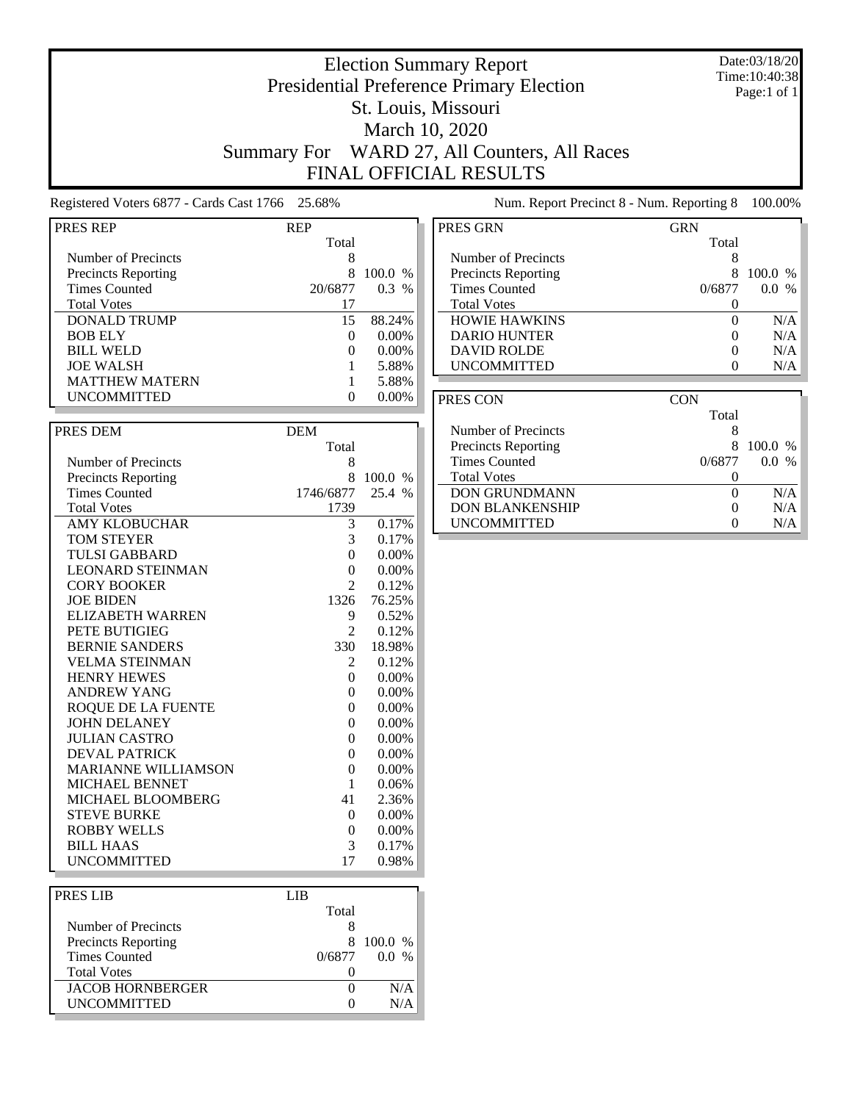### Date:03/18/20 Time:10:40:38 Page:1 of 1

# Presidential Preference Primary Election St. Louis, Missouri March 10, 2020 Summary For WARD 27, All Counters, All Races

Election Summary Report

FINAL OFFICIAL RESULTS

Registered Voters 6877 - Cards Cast 1766 25.68% Num. Report Precinct 8 - Num. Reporting 8 100.00%

| PRES REP                   | REP            |          |
|----------------------------|----------------|----------|
|                            | Total          |          |
| Number of Precincts        | 8              |          |
| <b>Precincts Reporting</b> | 8              | 100.0 %  |
| <b>Times Counted</b>       | 20/6877        | 0.3 %    |
| <b>Total Votes</b>         | 17             |          |
| <b>DONALD TRUMP</b>        | 15             | 88.24%   |
| <b>BOB ELY</b>             | 0              | 0.00%    |
| <b>BILL WELD</b>           | $\theta$       | $0.00\%$ |
| <b>JOE WALSH</b>           | 1              | 5.88%    |
| <b>MATTHEW MATERN</b>      | 1              | 5.88%    |
| <b>UNCOMMITTED</b>         | $\theta$       | $0.00\%$ |
|                            |                |          |
| PRES DEM                   | <b>DEM</b>     |          |
|                            | Total          |          |
| Number of Precincts        | 8              |          |
| <b>Precincts Reporting</b> | 8              | 100.0 %  |
| <b>Times Counted</b>       | 1746/6877      | 25.4 %   |
| <b>Total Votes</b>         | 1739           |          |
| <b>AMY KLOBUCHAR</b>       | 3              | 0.17%    |
| <b>TOM STEYER</b>          | 3              | 0.17%    |
| <b>TULSI GABBARD</b>       | 0              | $0.00\%$ |
| <b>LEONARD STEINMAN</b>    |                |          |
|                            | $\theta$       | 0.00%    |
| <b>CORY BOOKER</b>         | 2              | 0.12%    |
| <b>JOE BIDEN</b>           | 1326           | 76.25%   |
| <b>ELIZABETH WARREN</b>    | 9              | 0.52%    |
| PETE BUTIGIEG              | 2              | 0.12%    |
| <b>BERNIE SANDERS</b>      | 330            | 18.98%   |
| <b>VELMA STEINMAN</b>      | 2              | 0.12%    |
| <b>HENRY HEWES</b>         | $\overline{0}$ | 0.00%    |
| <b>ANDREW YANG</b>         | 0              | $0.00\%$ |
| <b>ROQUE DE LA FUENTE</b>  | $\overline{0}$ | 0.00%    |
| <b>JOHN DELANEY</b>        | 0              | 0.00%    |
| <b>JULIAN CASTRO</b>       | 0              | 0.00%    |
| <b>DEVAL PATRICK</b>       | $\theta$       | $0.00\%$ |
| <b>MARIANNE WILLIAMSON</b> | $\overline{0}$ | 0.00%    |
| MICHAEL BENNET             | 1              | 0.06%    |
| MICHAEL BLOOMBERG          | 41             | 2.36%    |
| <b>STEVE BURKE</b>         | 0              | 0.00%    |
| <b>ROBBY WELLS</b>         | 0              | 0.00%    |
| <b>BILL HAAS</b>           | 3              | 0.17%    |
| UNCOMMITTED                | 17             | 0.98%    |
|                            |                |          |
| DDDG I ID                  | <b>T</b> TD    |          |

| PRES LIB                   | LIB.   |            |
|----------------------------|--------|------------|
|                            | Total  |            |
| Number of Precincts        |        |            |
| <b>Precincts Reporting</b> | 8.     | 100.0 %    |
| <b>Times Counted</b>       | 0/6877 | 00<br>$\%$ |
| <b>Total Votes</b>         |        |            |
| <b>JACOB HORNBERGER</b>    |        | N/A        |
| <b>UNCOMMITTED</b>         |        | N/A        |
|                            |        |            |

| PRES GRN                   | <b>GRN</b> |                      |
|----------------------------|------------|----------------------|
|                            | Total      |                      |
| Number of Precincts        | 8          |                      |
| <b>Precincts Reporting</b> | 8          | $100.0\%$            |
| <b>Times Counted</b>       | 0/6877     | $\frac{0}{6}$<br>0.0 |
| <b>Total Votes</b>         |            |                      |
| <b>HOWIE HAWKINS</b>       | 0          | N/A                  |
| <b>DARIO HUNTER</b>        |            | N/A                  |
| <b>DAVID ROLDE</b>         |            | N/A                  |
| <b>UNCOMMITTED</b>         |            | N/A                  |

| PRES CON                   | <b>CON</b> |             |
|----------------------------|------------|-------------|
|                            | Total      |             |
| Number of Precincts        | 8          |             |
| <b>Precincts Reporting</b> | 8          | 100.0 %     |
| Times Counted              | 0/6877     | 0.0<br>$\%$ |
| <b>Total Votes</b>         |            |             |
| <b>DON GRUNDMANN</b>       |            | N/A         |
| <b>DON BLANKENSHIP</b>     |            | N/A         |
| <b>UNCOMMITTED</b>         |            | N/A         |